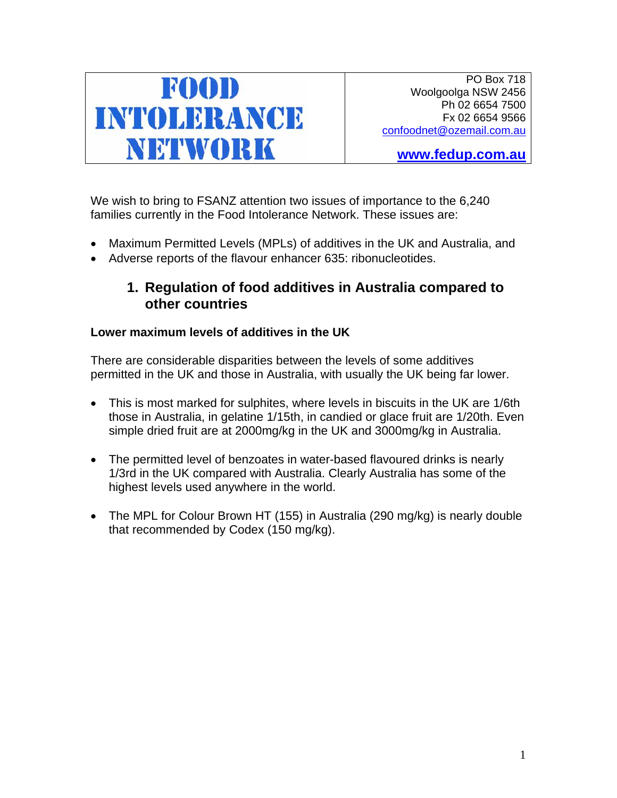

PO Box 718 Woolgoolga NSW 2456 Ph 02 6654 7500 Fx 02 6654 9566 confoodnet@ozemail.com.au

**www.fedup.com.au**

We wish to bring to FSANZ attention two issues of importance to the 6,240 families currently in the Food Intolerance Network. These issues are:

- Maximum Permitted Levels (MPLs) of additives in the UK and Australia, and
- Adverse reports of the flavour enhancer 635: ribonucleotides.

# **1. Regulation of food additives in Australia compared to other countries**

# **Lower maximum levels of additives in the UK**

There are considerable disparities between the levels of some additives permitted in the UK and those in Australia, with usually the UK being far lower.

- This is most marked for sulphites, where levels in biscuits in the UK are 1/6th those in Australia, in gelatine 1/15th, in candied or glace fruit are 1/20th. Even simple dried fruit are at 2000mg/kg in the UK and 3000mg/kg in Australia.
- The permitted level of benzoates in water-based flavoured drinks is nearly 1/3rd in the UK compared with Australia. Clearly Australia has some of the highest levels used anywhere in the world.
- The MPL for Colour Brown HT (155) in Australia (290 mg/kg) is nearly double that recommended by Codex (150 mg/kg).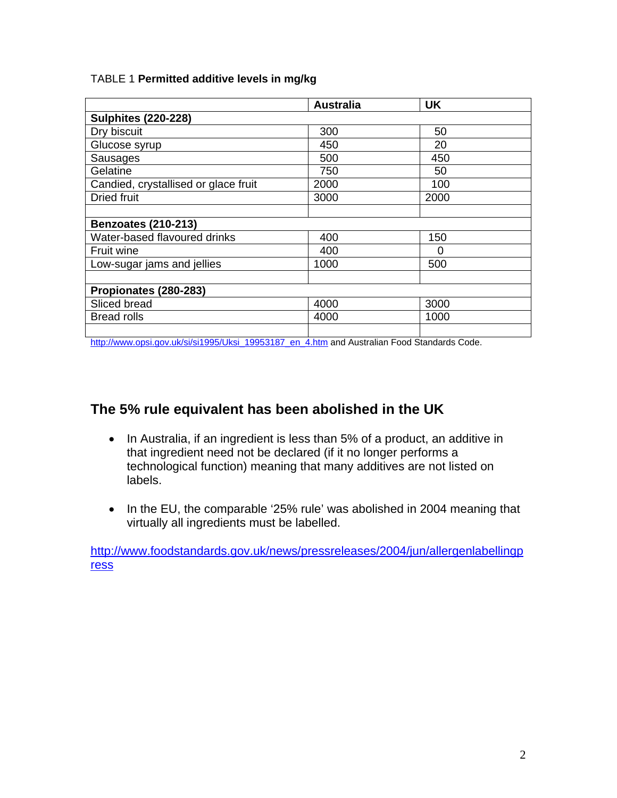|  | TABLE 1 Permitted additive levels in mg/kg |  |  |  |
|--|--------------------------------------------|--|--|--|
|--|--------------------------------------------|--|--|--|

|                                      | <b>Australia</b> | UK   |  |  |
|--------------------------------------|------------------|------|--|--|
| <b>Sulphites (220-228)</b>           |                  |      |  |  |
| Dry biscuit                          | 300              | 50   |  |  |
| Glucose syrup                        | 450              | 20   |  |  |
| Sausages                             | 500              | 450  |  |  |
| Gelatine                             | 750              | 50   |  |  |
| Candied, crystallised or glace fruit | 2000             | 100  |  |  |
| <b>Dried fruit</b>                   | 3000             | 2000 |  |  |
|                                      |                  |      |  |  |
| <b>Benzoates (210-213)</b>           |                  |      |  |  |
| Water-based flavoured drinks         | 400              | 150  |  |  |
| <b>Fruit wine</b>                    | 400              | 0    |  |  |
| Low-sugar jams and jellies           | 1000             | 500  |  |  |
|                                      |                  |      |  |  |
| Propionates (280-283)                |                  |      |  |  |
| Sliced bread                         | 4000             | 3000 |  |  |
| <b>Bread rolls</b>                   | 4000             | 1000 |  |  |
|                                      |                  |      |  |  |

http://www.opsi.gov.uk/si/si1995/Uksi\_19953187\_en\_4.htm and Australian Food Standards Code.

# **The 5% rule equivalent has been abolished in the UK**

- In Australia, if an ingredient is less than 5% of a product, an additive in that ingredient need not be declared (if it no longer performs a technological function) meaning that many additives are not listed on labels.
- In the EU, the comparable '25% rule' was abolished in 2004 meaning that virtually all ingredients must be labelled.

http://www.foodstandards.gov.uk/news/pressreleases/2004/jun/allergenlabellingp ress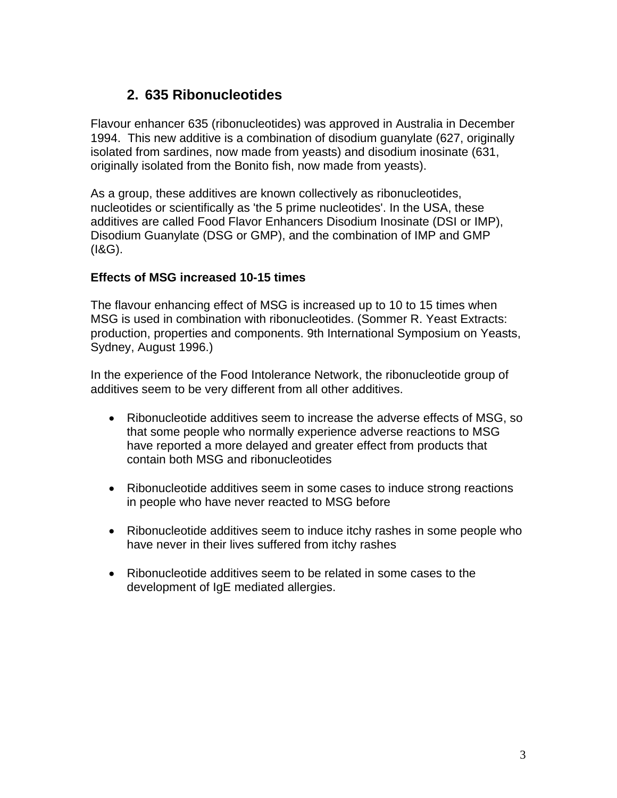# **2. 635 Ribonucleotides**

Flavour enhancer 635 (ribonucleotides) was approved in Australia in December 1994. This new additive is a combination of disodium guanylate (627, originally isolated from sardines, now made from yeasts) and disodium inosinate (631, originally isolated from the Bonito fish, now made from yeasts).

As a group, these additives are known collectively as ribonucleotides, nucleotides or scientifically as 'the 5 prime nucleotides'. In the USA, these additives are called Food Flavor Enhancers Disodium Inosinate (DSI or IMP), Disodium Guanylate (DSG or GMP), and the combination of IMP and GMP (I&G).

# **Effects of MSG increased 10-15 times**

The flavour enhancing effect of MSG is increased up to 10 to 15 times when MSG is used in combination with ribonucleotides. (Sommer R. Yeast Extracts: production, properties and components. 9th International Symposium on Yeasts, Sydney, August 1996.)

In the experience of the Food Intolerance Network, the ribonucleotide group of additives seem to be very different from all other additives.

- Ribonucleotide additives seem to increase the adverse effects of MSG, so that some people who normally experience adverse reactions to MSG have reported a more delayed and greater effect from products that contain both MSG and ribonucleotides
- Ribonucleotide additives seem in some cases to induce strong reactions in people who have never reacted to MSG before
- Ribonucleotide additives seem to induce itchy rashes in some people who have never in their lives suffered from itchy rashes
- Ribonucleotide additives seem to be related in some cases to the development of IgE mediated allergies.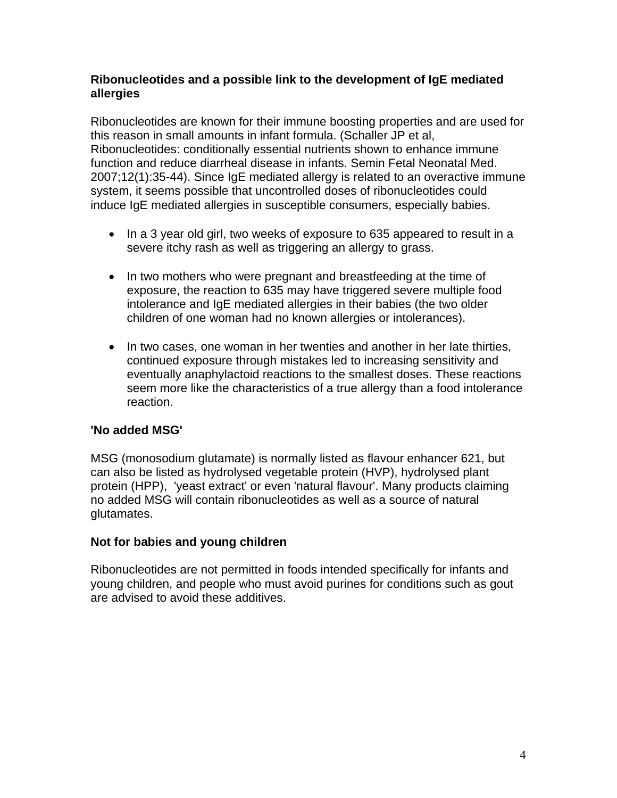# **Ribonucleotides and a possible link to the development of IgE mediated allergies**

Ribonucleotides are known for their immune boosting properties and are used for this reason in small amounts in infant formula. (Schaller JP et al, Ribonucleotides: conditionally essential nutrients shown to enhance immune function and reduce diarrheal disease in infants. Semin Fetal Neonatal Med. 2007;12(1):35-44). Since IgE mediated allergy is related to an overactive immune system, it seems possible that uncontrolled doses of ribonucleotides could induce IgE mediated allergies in susceptible consumers, especially babies.

- In a 3 year old girl, two weeks of exposure to 635 appeared to result in a severe itchy rash as well as triggering an allergy to grass.
- In two mothers who were pregnant and breastfeeding at the time of exposure, the reaction to 635 may have triggered severe multiple food intolerance and IgE mediated allergies in their babies (the two older children of one woman had no known allergies or intolerances).
- In two cases, one woman in her twenties and another in her late thirties, continued exposure through mistakes led to increasing sensitivity and eventually anaphylactoid reactions to the smallest doses. These reactions seem more like the characteristics of a true allergy than a food intolerance reaction.

# **'No added MSG'**

MSG (monosodium glutamate) is normally listed as flavour enhancer 621, but can also be listed as hydrolysed vegetable protein (HVP), hydrolysed plant protein (HPP), 'yeast extract' or even 'natural flavour'. Many products claiming no added MSG will contain ribonucleotides as well as a source of natural glutamates.

# **Not for babies and young children**

Ribonucleotides are not permitted in foods intended specifically for infants and young children, and people who must avoid purines for conditions such as gout are advised to avoid these additives.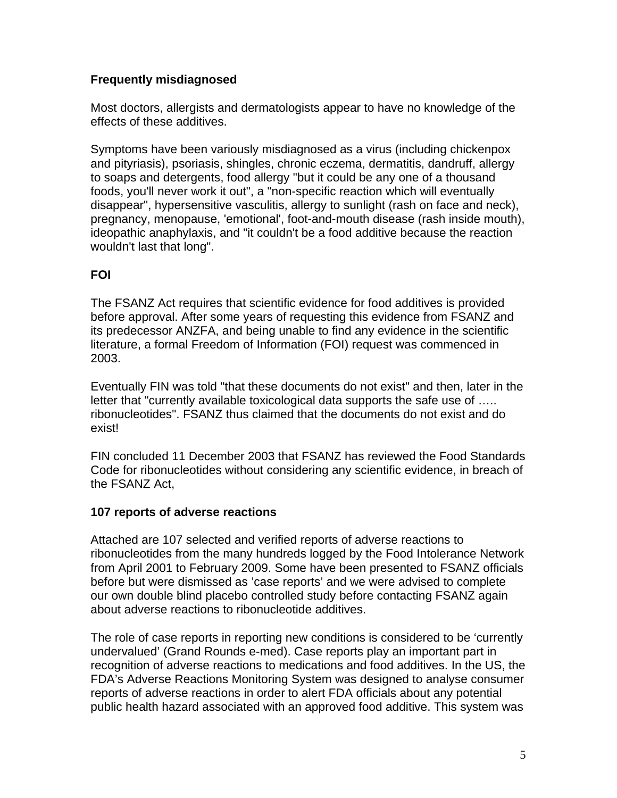# **Frequently misdiagnosed**

Most doctors, allergists and dermatologists appear to have no knowledge of the effects of these additives.

Symptoms have been variously misdiagnosed as a virus (including chickenpox and pityriasis), psoriasis, shingles, chronic eczema, dermatitis, dandruff, allergy to soaps and detergents, food allergy "but it could be any one of a thousand foods, you'll never work it out", a "non-specific reaction which will eventually disappear", hypersensitive vasculitis, allergy to sunlight (rash on face and neck), pregnancy, menopause, 'emotional', foot-and-mouth disease (rash inside mouth), ideopathic anaphylaxis, and "it couldn't be a food additive because the reaction wouldn't last that long".

# **FOI**

The FSANZ Act requires that scientific evidence for food additives is provided before approval. After some years of requesting this evidence from FSANZ and its predecessor ANZFA, and being unable to find any evidence in the scientific literature, a formal Freedom of Information (FOI) request was commenced in 2003.

Eventually FIN was told "that these documents do not exist" and then, later in the letter that "currently available toxicological data supports the safe use of ….. ribonucleotides". FSANZ thus claimed that the documents do not exist and do exist!

FIN concluded 11 December 2003 that FSANZ has reviewed the Food Standards Code for ribonucleotides without considering any scientific evidence, in breach of the FSANZ Act,

# **107 reports of adverse reactions**

Attached are 107 selected and verified reports of adverse reactions to ribonucleotides from the many hundreds logged by the Food Intolerance Network from April 2001 to February 2009. Some have been presented to FSANZ officials before but were dismissed as 'case reports' and we were advised to complete our own double blind placebo controlled study before contacting FSANZ again about adverse reactions to ribonucleotide additives.

The role of case reports in reporting new conditions is considered to be 'currently undervalued' (Grand Rounds e-med). Case reports play an important part in recognition of adverse reactions to medications and food additives. In the US, the FDA's Adverse Reactions Monitoring System was designed to analyse consumer reports of adverse reactions in order to alert FDA officials about any potential public health hazard associated with an approved food additive. This system was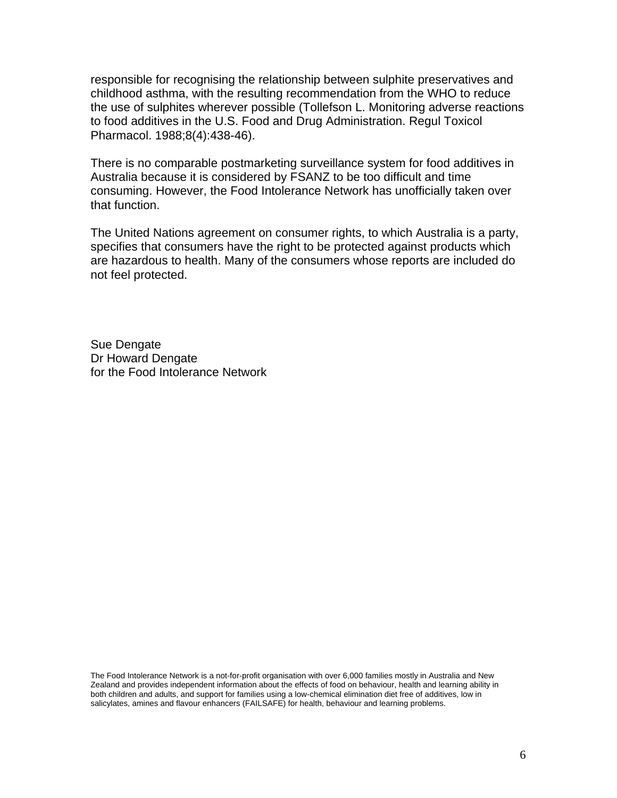responsible for recognising the relationship between sulphite preservatives and childhood asthma, with the resulting recommendation from the WHO to reduce the use of sulphites wherever possible (Tollefson L. Monitoring adverse reactions to food additives in the U.S. Food and Drug Administration. Regul Toxicol Pharmacol. 1988;8(4):438-46).

There is no comparable postmarketing surveillance system for food additives in Australia because it is considered by FSANZ to be too difficult and time consuming. However, the Food Intolerance Network has unofficially taken over that function.

The United Nations agreement on consumer rights, to which Australia is a party, specifies that consumers have the right to be protected against products which are hazardous to health. Many of the consumers whose reports are included do not feel protected.

Sue Dengate Dr Howard Dengate for the Food Intolerance Network

The Food Intolerance Network is a not-for-profit organisation with over 6,000 families mostly in Australia and New Zealand and provides independent information about the effects of food on behaviour, health and learning ability in both children and adults, and support for families using a low-chemical elimination diet free of additives, low in salicylates, amines and flavour enhancers (FAILSAFE) for health, behaviour and learning problems.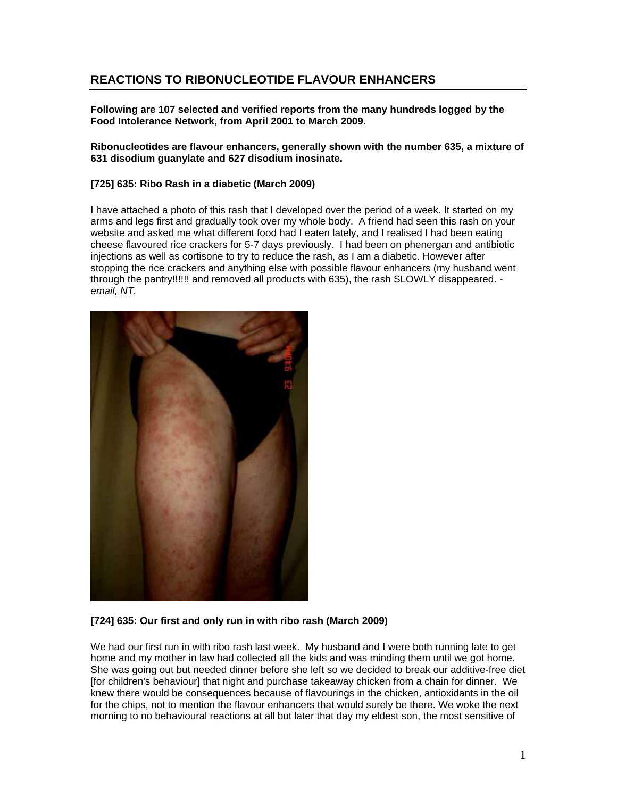# **REACTIONS TO RIBONUCLEOTIDE FLAVOUR ENHANCERS**

**Following are 107 selected and verified reports from the many hundreds logged by the Food Intolerance Network, from April 2001 to March 2009.** 

**Ribonucleotides are flavour enhancers, generally shown with the number 635, a mixture of 631 disodium guanylate and 627 disodium inosinate.** 

#### **[725] 635: Ribo Rash in a diabetic (March 2009)**

I have attached a photo of this rash that I developed over the period of a week. It started on my arms and legs first and gradually took over my whole body. A friend had seen this rash on your website and asked me what different food had I eaten lately, and I realised I had been eating cheese flavoured rice crackers for 5-7 days previously. I had been on phenergan and antibiotic injections as well as cortisone to try to reduce the rash, as I am a diabetic. However after stopping the rice crackers and anything else with possible flavour enhancers (my husband went through the pantry!!!!!! and removed all products with 635), the rash SLOWLY disappeared.  *email, NT.*



### **[724] 635: Our first and only run in with ribo rash (March 2009)**

We had our first run in with ribo rash last week. My husband and I were both running late to get home and my mother in law had collected all the kids and was minding them until we got home. She was going out but needed dinner before she left so we decided to break our additive-free diet [for children's behaviour] that night and purchase takeaway chicken from a chain for dinner. We knew there would be consequences because of flavourings in the chicken, antioxidants in the oil for the chips, not to mention the flavour enhancers that would surely be there. We woke the next morning to no behavioural reactions at all but later that day my eldest son, the most sensitive of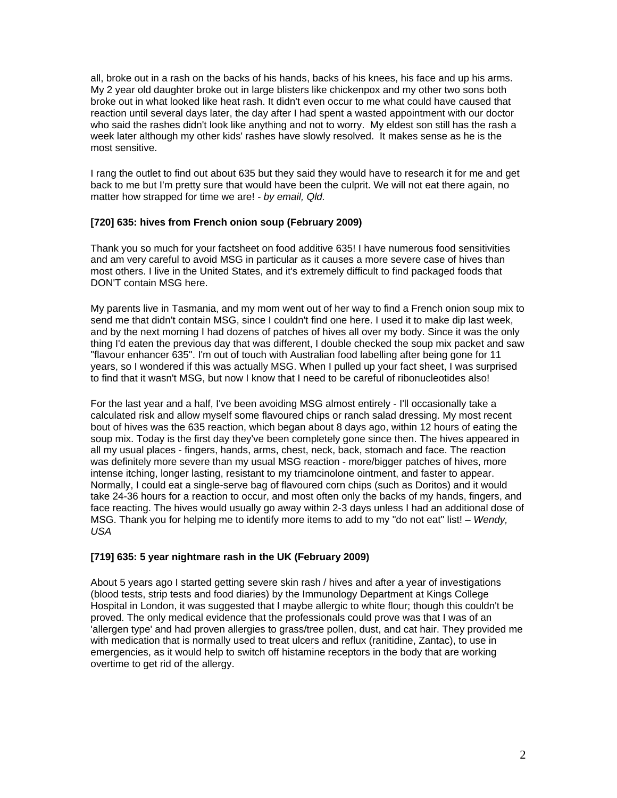all, broke out in a rash on the backs of his hands, backs of his knees, his face and up his arms. My 2 year old daughter broke out in large blisters like chickenpox and my other two sons both broke out in what looked like heat rash. It didn't even occur to me what could have caused that reaction until several days later, the day after I had spent a wasted appointment with our doctor who said the rashes didn't look like anything and not to worry. My eldest son still has the rash a week later although my other kids' rashes have slowly resolved. It makes sense as he is the most sensitive.

I rang the outlet to find out about 635 but they said they would have to research it for me and get back to me but I'm pretty sure that would have been the culprit. We will not eat there again, no matter how strapped for time we are! *- by email, Qld.* 

### **[720] 635: hives from French onion soup (February 2009)**

Thank you so much for your factsheet on food additive 635! I have numerous food sensitivities and am very careful to avoid MSG in particular as it causes a more severe case of hives than most others. I live in the United States, and it's extremely difficult to find packaged foods that DON'T contain MSG here.

My parents live in Tasmania, and my mom went out of her way to find a French onion soup mix to send me that didn't contain MSG, since I couldn't find one here. I used it to make dip last week, and by the next morning I had dozens of patches of hives all over my body. Since it was the only thing I'd eaten the previous day that was different, I double checked the soup mix packet and saw "flavour enhancer 635". I'm out of touch with Australian food labelling after being gone for 11 years, so I wondered if this was actually MSG. When I pulled up your fact sheet, I was surprised to find that it wasn't MSG, but now I know that I need to be careful of ribonucleotides also!

For the last year and a half, I've been avoiding MSG almost entirely - I'll occasionally take a calculated risk and allow myself some flavoured chips or ranch salad dressing. My most recent bout of hives was the 635 reaction, which began about 8 days ago, within 12 hours of eating the soup mix. Today is the first day they've been completely gone since then. The hives appeared in all my usual places - fingers, hands, arms, chest, neck, back, stomach and face. The reaction was definitely more severe than my usual MSG reaction - more/bigger patches of hives, more intense itching, longer lasting, resistant to my triamcinolone ointment, and faster to appear. Normally, I could eat a single-serve bag of flavoured corn chips (such as Doritos) and it would take 24-36 hours for a reaction to occur, and most often only the backs of my hands, fingers, and face reacting. The hives would usually go away within 2-3 days unless I had an additional dose of MSG. Thank you for helping me to identify more items to add to my "do not eat" list! – *Wendy, USA* 

### **[719] 635: 5 year nightmare rash in the UK (February 2009)**

About 5 years ago I started getting severe skin rash / hives and after a year of investigations (blood tests, strip tests and food diaries) by the Immunology Department at Kings College Hospital in London, it was suggested that I maybe allergic to white flour; though this couldn't be proved. The only medical evidence that the professionals could prove was that I was of an 'allergen type' and had proven allergies to grass/tree pollen, dust, and cat hair. They provided me with medication that is normally used to treat ulcers and reflux (ranitidine, Zantac), to use in emergencies, as it would help to switch off histamine receptors in the body that are working overtime to get rid of the allergy.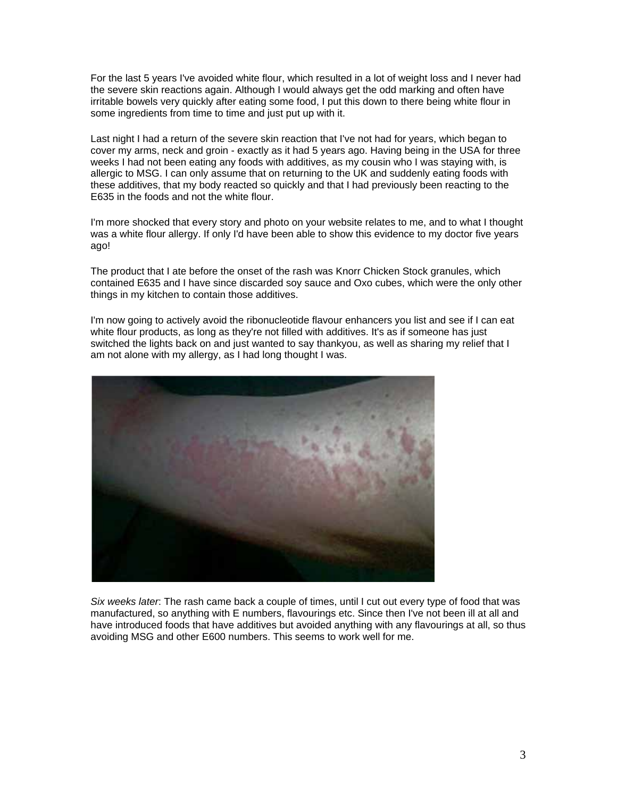For the last 5 years I've avoided white flour, which resulted in a lot of weight loss and I never had the severe skin reactions again. Although I would always get the odd marking and often have irritable bowels very quickly after eating some food, I put this down to there being white flour in some ingredients from time to time and just put up with it.

Last night I had a return of the severe skin reaction that I've not had for years, which began to cover my arms, neck and groin - exactly as it had 5 years ago. Having being in the USA for three weeks I had not been eating any foods with additives, as my cousin who I was staying with, is allergic to MSG. I can only assume that on returning to the UK and suddenly eating foods with these additives, that my body reacted so quickly and that I had previously been reacting to the E635 in the foods and not the white flour.

I'm more shocked that every story and photo on your website relates to me, and to what I thought was a white flour allergy. If only I'd have been able to show this evidence to my doctor five years ago!

The product that I ate before the onset of the rash was Knorr Chicken Stock granules, which contained E635 and I have since discarded soy sauce and Oxo cubes, which were the only other things in my kitchen to contain those additives.

I'm now going to actively avoid the ribonucleotide flavour enhancers you list and see if I can eat white flour products, as long as they're not filled with additives. It's as if someone has just switched the lights back on and just wanted to say thankyou, as well as sharing my relief that I am not alone with my allergy, as I had long thought I was.



*Six weeks later*: The rash came back a couple of times, until I cut out every type of food that was manufactured, so anything with E numbers, flavourings etc. Since then I've not been ill at all and have introduced foods that have additives but avoided anything with any flavourings at all, so thus avoiding MSG and other E600 numbers. This seems to work well for me.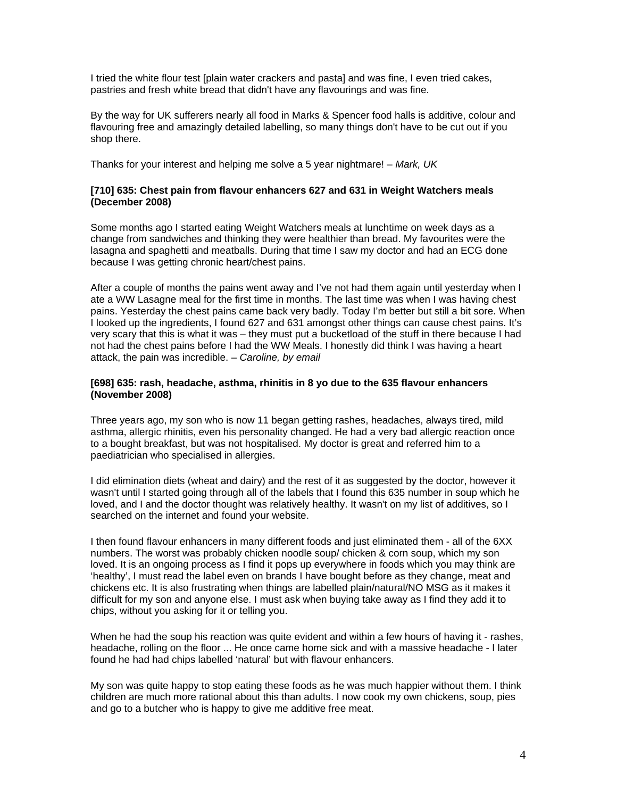I tried the white flour test [plain water crackers and pasta] and was fine, I even tried cakes, pastries and fresh white bread that didn't have any flavourings and was fine.

By the way for UK sufferers nearly all food in Marks & Spencer food halls is additive, colour and flavouring free and amazingly detailed labelling, so many things don't have to be cut out if you shop there.

Thanks for your interest and helping me solve a 5 year nightmare! – *Mark, UK* 

#### **[710] 635: Chest pain from flavour enhancers 627 and 631 in Weight Watchers meals (December 2008)**

Some months ago I started eating Weight Watchers meals at lunchtime on week days as a change from sandwiches and thinking they were healthier than bread. My favourites were the lasagna and spaghetti and meatballs. During that time I saw my doctor and had an ECG done because I was getting chronic heart/chest pains.

After a couple of months the pains went away and I've not had them again until yesterday when I ate a WW Lasagne meal for the first time in months. The last time was when I was having chest pains. Yesterday the chest pains came back very badly. Today I'm better but still a bit sore. When I looked up the ingredients, I found 627 and 631 amongst other things can cause chest pains. It's very scary that this is what it was – they must put a bucketload of the stuff in there because I had not had the chest pains before I had the WW Meals. I honestly did think I was having a heart attack, the pain was incredible. *– Caroline, by email* 

#### **[698] 635: rash, headache, asthma, rhinitis in 8 yo due to the 635 flavour enhancers (November 2008)**

Three years ago, my son who is now 11 began getting rashes, headaches, always tired, mild asthma, allergic rhinitis, even his personality changed. He had a very bad allergic reaction once to a bought breakfast, but was not hospitalised. My doctor is great and referred him to a paediatrician who specialised in allergies.

I did elimination diets (wheat and dairy) and the rest of it as suggested by the doctor, however it wasn't until I started going through all of the labels that I found this 635 number in soup which he loved, and I and the doctor thought was relatively healthy. It wasn't on my list of additives, so I searched on the internet and found your website.

I then found flavour enhancers in many different foods and just eliminated them - all of the 6XX numbers. The worst was probably chicken noodle soup/ chicken & corn soup, which my son loved. It is an ongoing process as I find it pops up everywhere in foods which you may think are 'healthy', I must read the label even on brands I have bought before as they change, meat and chickens etc. It is also frustrating when things are labelled plain/natural/NO MSG as it makes it difficult for my son and anyone else. I must ask when buying take away as I find they add it to chips, without you asking for it or telling you.

When he had the soup his reaction was quite evident and within a few hours of having it - rashes, headache, rolling on the floor ... He once came home sick and with a massive headache - I later found he had had chips labelled 'natural' but with flavour enhancers.

My son was quite happy to stop eating these foods as he was much happier without them. I think children are much more rational about this than adults. I now cook my own chickens, soup, pies and go to a butcher who is happy to give me additive free meat.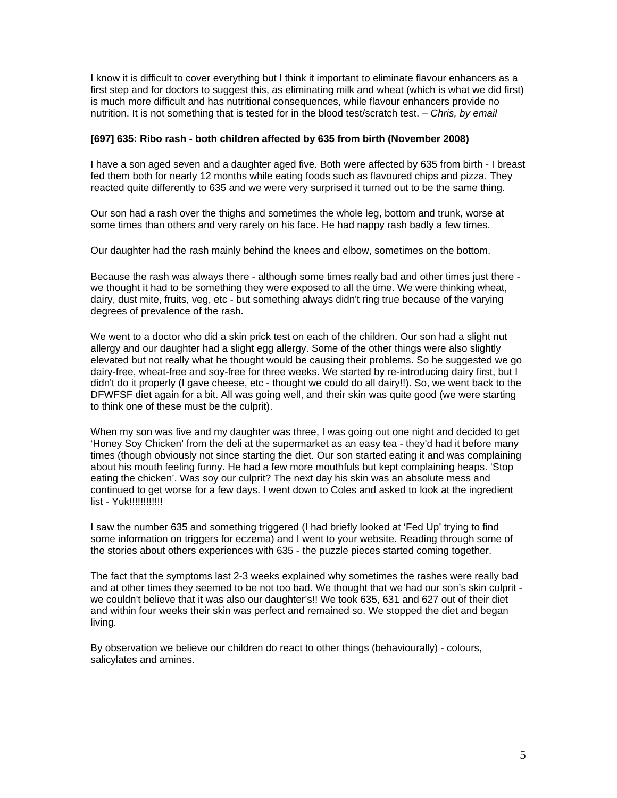I know it is difficult to cover everything but I think it important to eliminate flavour enhancers as a first step and for doctors to suggest this, as eliminating milk and wheat (which is what we did first) is much more difficult and has nutritional consequences, while flavour enhancers provide no nutrition. It is not something that is tested for in the blood test/scratch test. *– Chris, by email* 

#### **[697] 635: Ribo rash - both children affected by 635 from birth (November 2008)**

I have a son aged seven and a daughter aged five. Both were affected by 635 from birth - I breast fed them both for nearly 12 months while eating foods such as flavoured chips and pizza. They reacted quite differently to 635 and we were very surprised it turned out to be the same thing.

Our son had a rash over the thighs and sometimes the whole leg, bottom and trunk, worse at some times than others and very rarely on his face. He had nappy rash badly a few times.

Our daughter had the rash mainly behind the knees and elbow, sometimes on the bottom.

Because the rash was always there - although some times really bad and other times just there we thought it had to be something they were exposed to all the time. We were thinking wheat, dairy, dust mite, fruits, veg, etc - but something always didn't ring true because of the varying degrees of prevalence of the rash.

We went to a doctor who did a skin prick test on each of the children. Our son had a slight nut allergy and our daughter had a slight egg allergy. Some of the other things were also slightly elevated but not really what he thought would be causing their problems. So he suggested we go dairy-free, wheat-free and soy-free for three weeks. We started by re-introducing dairy first, but I didn't do it properly (I gave cheese, etc - thought we could do all dairy!!). So, we went back to the DFWFSF diet again for a bit. All was going well, and their skin was quite good (we were starting to think one of these must be the culprit).

When my son was five and my daughter was three, I was going out one night and decided to get 'Honey Soy Chicken' from the deli at the supermarket as an easy tea - they'd had it before many times (though obviously not since starting the diet. Our son started eating it and was complaining about his mouth feeling funny. He had a few more mouthfuls but kept complaining heaps. 'Stop eating the chicken'. Was soy our culprit? The next day his skin was an absolute mess and continued to get worse for a few days. I went down to Coles and asked to look at the ingredient list - Yuk!!!!!!!!!!!!

I saw the number 635 and something triggered (I had briefly looked at 'Fed Up' trying to find some information on triggers for eczema) and I went to your website. Reading through some of the stories about others experiences with 635 - the puzzle pieces started coming together.

The fact that the symptoms last 2-3 weeks explained why sometimes the rashes were really bad and at other times they seemed to be not too bad. We thought that we had our son's skin culprit we couldn't believe that it was also our daughter's!! We took 635, 631 and 627 out of their diet and within four weeks their skin was perfect and remained so. We stopped the diet and began living.

By observation we believe our children do react to other things (behaviourally) - colours, salicylates and amines.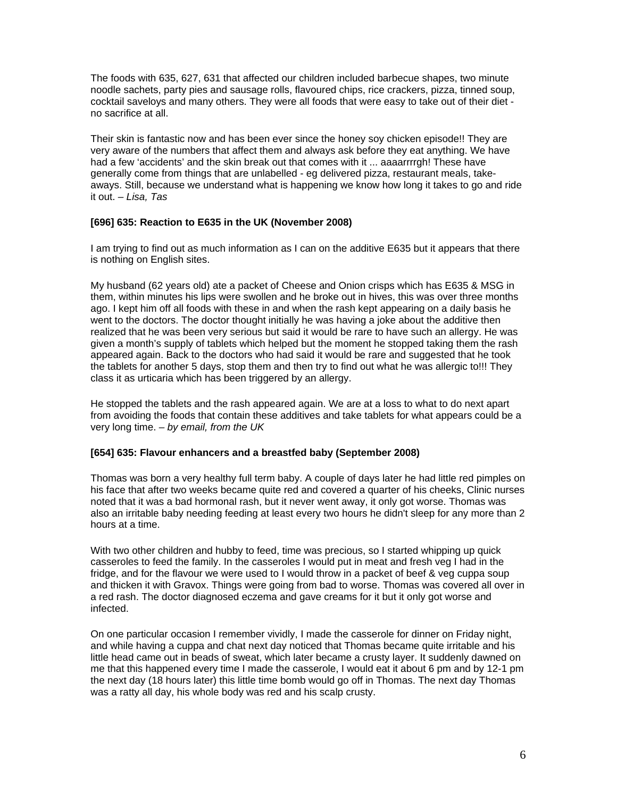The foods with 635, 627, 631 that affected our children included barbecue shapes, two minute noodle sachets, party pies and sausage rolls, flavoured chips, rice crackers, pizza, tinned soup, cocktail saveloys and many others. They were all foods that were easy to take out of their diet no sacrifice at all.

Their skin is fantastic now and has been ever since the honey soy chicken episode!! They are very aware of the numbers that affect them and always ask before they eat anything. We have had a few 'accidents' and the skin break out that comes with it ... aaaarrrrgh! These have generally come from things that are unlabelled - eg delivered pizza, restaurant meals, takeaways. Still, because we understand what is happening we know how long it takes to go and ride it out. *– Lisa, Tas*

#### **[696] 635: Reaction to E635 in the UK (November 2008)**

I am trying to find out as much information as I can on the additive E635 but it appears that there is nothing on English sites.

My husband (62 years old) ate a packet of Cheese and Onion crisps which has E635 & MSG in them, within minutes his lips were swollen and he broke out in hives, this was over three months ago. I kept him off all foods with these in and when the rash kept appearing on a daily basis he went to the doctors. The doctor thought initially he was having a joke about the additive then realized that he was been very serious but said it would be rare to have such an allergy. He was given a month's supply of tablets which helped but the moment he stopped taking them the rash appeared again. Back to the doctors who had said it would be rare and suggested that he took the tablets for another 5 days, stop them and then try to find out what he was allergic to!!! They class it as urticaria which has been triggered by an allergy.

He stopped the tablets and the rash appeared again. We are at a loss to what to do next apart from avoiding the foods that contain these additives and take tablets for what appears could be a very long time. *– by email, from the UK* 

#### **[654] 635: Flavour enhancers and a breastfed baby (September 2008)**

Thomas was born a very healthy full term baby. A couple of days later he had little red pimples on his face that after two weeks became quite red and covered a quarter of his cheeks, Clinic nurses noted that it was a bad hormonal rash, but it never went away, it only got worse. Thomas was also an irritable baby needing feeding at least every two hours he didn't sleep for any more than 2 hours at a time.

With two other children and hubby to feed, time was precious, so I started whipping up quick casseroles to feed the family. In the casseroles I would put in meat and fresh veg I had in the fridge, and for the flavour we were used to I would throw in a packet of beef & veg cuppa soup and thicken it with Gravox. Things were going from bad to worse. Thomas was covered all over in a red rash. The doctor diagnosed eczema and gave creams for it but it only got worse and infected.

On one particular occasion I remember vividly, I made the casserole for dinner on Friday night, and while having a cuppa and chat next day noticed that Thomas became quite irritable and his little head came out in beads of sweat, which later became a crusty layer. It suddenly dawned on me that this happened every time I made the casserole, I would eat it about 6 pm and by 12-1 pm the next day (18 hours later) this little time bomb would go off in Thomas. The next day Thomas was a ratty all day, his whole body was red and his scalp crusty.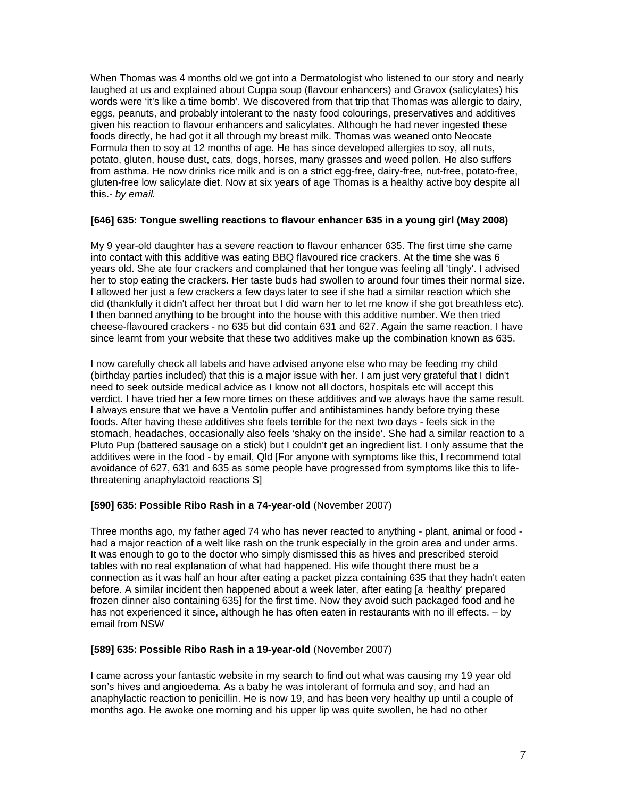When Thomas was 4 months old we got into a Dermatologist who listened to our story and nearly laughed at us and explained about Cuppa soup (flavour enhancers) and Gravox (salicylates) his words were 'it's like a time bomb'. We discovered from that trip that Thomas was allergic to dairy, eggs, peanuts, and probably intolerant to the nasty food colourings, preservatives and additives given his reaction to flavour enhancers and salicylates. Although he had never ingested these foods directly, he had got it all through my breast milk. Thomas was weaned onto Neocate Formula then to soy at 12 months of age. He has since developed allergies to soy, all nuts, potato, gluten, house dust, cats, dogs, horses, many grasses and weed pollen. He also suffers from asthma. He now drinks rice milk and is on a strict egg-free, dairy-free, nut-free, potato-free, gluten-free low salicylate diet. Now at six years of age Thomas is a healthy active boy despite all this.*- by email.* 

#### **[646] 635: Tongue swelling reactions to flavour enhancer 635 in a young girl (May 2008)**

My 9 year-old daughter has a severe reaction to flavour enhancer 635. The first time she came into contact with this additive was eating BBQ flavoured rice crackers. At the time she was 6 years old. She ate four crackers and complained that her tongue was feeling all 'tingly'. I advised her to stop eating the crackers. Her taste buds had swollen to around four times their normal size. I allowed her just a few crackers a few days later to see if she had a similar reaction which she did (thankfully it didn't affect her throat but I did warn her to let me know if she got breathless etc). I then banned anything to be brought into the house with this additive number. We then tried cheese-flavoured crackers - no 635 but did contain 631 and 627. Again the same reaction. I have since learnt from your website that these two additives make up the combination known as 635.

I now carefully check all labels and have advised anyone else who may be feeding my child (birthday parties included) that this is a major issue with her. I am just very grateful that I didn't need to seek outside medical advice as I know not all doctors, hospitals etc will accept this verdict. I have tried her a few more times on these additives and we always have the same result. I always ensure that we have a Ventolin puffer and antihistamines handy before trying these foods. After having these additives she feels terrible for the next two days - feels sick in the stomach, headaches, occasionally also feels 'shaky on the inside'. She had a similar reaction to a Pluto Pup (battered sausage on a stick) but I couldn't get an ingredient list. I only assume that the additives were in the food - by email, Qld [For anyone with symptoms like this, I recommend total avoidance of 627, 631 and 635 as some people have progressed from symptoms like this to lifethreatening anaphylactoid reactions S]

#### **[590] 635: Possible Ribo Rash in a 74-year-old** (November 2007)

Three months ago, my father aged 74 who has never reacted to anything - plant, animal or food had a major reaction of a welt like rash on the trunk especially in the groin area and under arms. It was enough to go to the doctor who simply dismissed this as hives and prescribed steroid tables with no real explanation of what had happened. His wife thought there must be a connection as it was half an hour after eating a packet pizza containing 635 that they hadn't eaten before. A similar incident then happened about a week later, after eating [a 'healthy' prepared frozen dinner also containing 635] for the first time. Now they avoid such packaged food and he has not experienced it since, although he has often eaten in restaurants with no ill effects. – by email from NSW

#### **[589] 635: Possible Ribo Rash in a 19-year-old** (November 2007)

I came across your fantastic website in my search to find out what was causing my 19 year old son's hives and angioedema. As a baby he was intolerant of formula and soy, and had an anaphylactic reaction to penicillin. He is now 19, and has been very healthy up until a couple of months ago. He awoke one morning and his upper lip was quite swollen, he had no other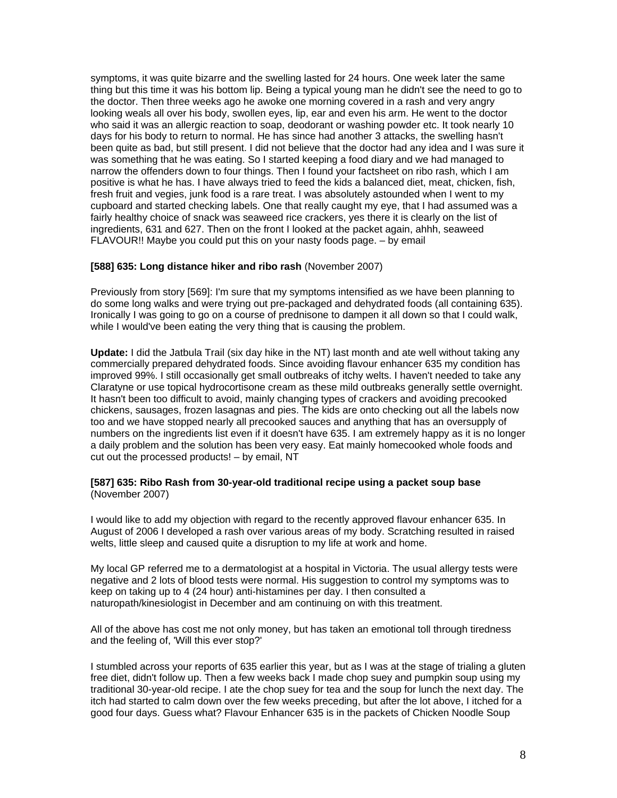symptoms, it was quite bizarre and the swelling lasted for 24 hours. One week later the same thing but this time it was his bottom lip. Being a typical young man he didn't see the need to go to the doctor. Then three weeks ago he awoke one morning covered in a rash and very angry looking weals all over his body, swollen eyes, lip, ear and even his arm. He went to the doctor who said it was an allergic reaction to soap, deodorant or washing powder etc. It took nearly 10 days for his body to return to normal. He has since had another 3 attacks, the swelling hasn't been quite as bad, but still present. I did not believe that the doctor had any idea and I was sure it was something that he was eating. So I started keeping a food diary and we had managed to narrow the offenders down to four things. Then I found your factsheet on ribo rash, which I am positive is what he has. I have always tried to feed the kids a balanced diet, meat, chicken, fish, fresh fruit and vegies, junk food is a rare treat. I was absolutely astounded when I went to my cupboard and started checking labels. One that really caught my eye, that I had assumed was a fairly healthy choice of snack was seaweed rice crackers, yes there it is clearly on the list of ingredients, 631 and 627. Then on the front I looked at the packet again, ahhh, seaweed FLAVOUR!! Maybe you could put this on your nasty foods page. – by email

#### **[588] 635: Long distance hiker and ribo rash** (November 2007)

Previously from story [569]: I'm sure that my symptoms intensified as we have been planning to do some long walks and were trying out pre-packaged and dehydrated foods (all containing 635). Ironically I was going to go on a course of prednisone to dampen it all down so that I could walk, while I would've been eating the very thing that is causing the problem.

**Update:** I did the Jatbula Trail (six day hike in the NT) last month and ate well without taking any commercially prepared dehydrated foods. Since avoiding flavour enhancer 635 my condition has improved 99%. I still occasionally get small outbreaks of itchy welts. I haven't needed to take any Claratyne or use topical hydrocortisone cream as these mild outbreaks generally settle overnight. It hasn't been too difficult to avoid, mainly changing types of crackers and avoiding precooked chickens, sausages, frozen lasagnas and pies. The kids are onto checking out all the labels now too and we have stopped nearly all precooked sauces and anything that has an oversupply of numbers on the ingredients list even if it doesn't have 635. I am extremely happy as it is no longer a daily problem and the solution has been very easy. Eat mainly homecooked whole foods and cut out the processed products! – by email, NT

#### **[587] 635: Ribo Rash from 30-year-old traditional recipe using a packet soup base**  (November 2007)

I would like to add my objection with regard to the recently approved flavour enhancer 635. In August of 2006 I developed a rash over various areas of my body. Scratching resulted in raised welts, little sleep and caused quite a disruption to my life at work and home.

My local GP referred me to a dermatologist at a hospital in Victoria. The usual allergy tests were negative and 2 lots of blood tests were normal. His suggestion to control my symptoms was to keep on taking up to 4 (24 hour) anti-histamines per day. I then consulted a naturopath/kinesiologist in December and am continuing on with this treatment.

All of the above has cost me not only money, but has taken an emotional toll through tiredness and the feeling of, 'Will this ever stop?'

I stumbled across your reports of 635 earlier this year, but as I was at the stage of trialing a gluten free diet, didn't follow up. Then a few weeks back I made chop suey and pumpkin soup using my traditional 30-year-old recipe. I ate the chop suey for tea and the soup for lunch the next day. The itch had started to calm down over the few weeks preceding, but after the lot above, I itched for a good four days. Guess what? Flavour Enhancer 635 is in the packets of Chicken Noodle Soup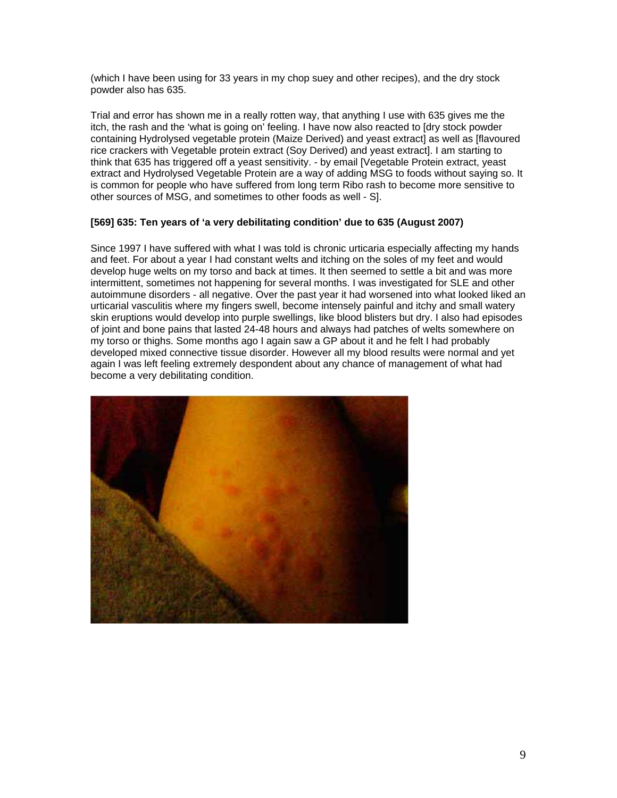(which I have been using for 33 years in my chop suey and other recipes), and the dry stock powder also has 635.

Trial and error has shown me in a really rotten way, that anything I use with 635 gives me the itch, the rash and the 'what is going on' feeling. I have now also reacted to [dry stock powder containing Hydrolysed vegetable protein (Maize Derived) and yeast extract] as well as [flavoured rice crackers with Vegetable protein extract (Soy Derived) and yeast extract]. I am starting to think that 635 has triggered off a yeast sensitivity. - by email [Vegetable Protein extract, yeast extract and Hydrolysed Vegetable Protein are a way of adding MSG to foods without saying so. It is common for people who have suffered from long term Ribo rash to become more sensitive to other sources of MSG, and sometimes to other foods as well - S].

### **[569] 635: Ten years of 'a very debilitating condition' due to 635 (August 2007)**

Since 1997 I have suffered with what I was told is chronic urticaria especially affecting my hands and feet. For about a year I had constant welts and itching on the soles of my feet and would develop huge welts on my torso and back at times. It then seemed to settle a bit and was more intermittent, sometimes not happening for several months. I was investigated for SLE and other autoimmune disorders - all negative. Over the past year it had worsened into what looked liked an urticarial vasculitis where my fingers swell, become intensely painful and itchy and small watery skin eruptions would develop into purple swellings, like blood blisters but dry. I also had episodes of joint and bone pains that lasted 24-48 hours and always had patches of welts somewhere on my torso or thighs. Some months ago I again saw a GP about it and he felt I had probably developed mixed connective tissue disorder. However all my blood results were normal and yet again I was left feeling extremely despondent about any chance of management of what had become a very debilitating condition.

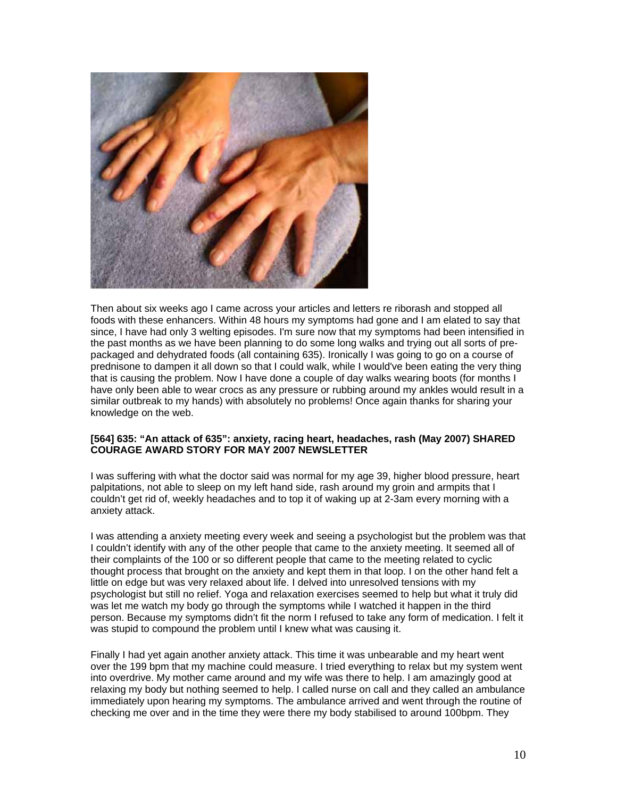

Then about six weeks ago I came across your articles and letters re riborash and stopped all foods with these enhancers. Within 48 hours my symptoms had gone and I am elated to say that since, I have had only 3 welting episodes. I'm sure now that my symptoms had been intensified in the past months as we have been planning to do some long walks and trying out all sorts of prepackaged and dehydrated foods (all containing 635). Ironically I was going to go on a course of prednisone to dampen it all down so that I could walk, while I would've been eating the very thing that is causing the problem. Now I have done a couple of day walks wearing boots (for months I have only been able to wear crocs as any pressure or rubbing around my ankles would result in a similar outbreak to my hands) with absolutely no problems! Once again thanks for sharing your knowledge on the web.

#### **[564] 635: "An attack of 635": anxiety, racing heart, headaches, rash (May 2007) SHARED COURAGE AWARD STORY FOR MAY 2007 NEWSLETTER**

I was suffering with what the doctor said was normal for my age 39, higher blood pressure, heart palpitations, not able to sleep on my left hand side, rash around my groin and armpits that I couldn't get rid of, weekly headaches and to top it of waking up at 2-3am every morning with a anxiety attack.

I was attending a anxiety meeting every week and seeing a psychologist but the problem was that I couldn't identify with any of the other people that came to the anxiety meeting. It seemed all of their complaints of the 100 or so different people that came to the meeting related to cyclic thought process that brought on the anxiety and kept them in that loop. I on the other hand felt a little on edge but was very relaxed about life. I delved into unresolved tensions with my psychologist but still no relief. Yoga and relaxation exercises seemed to help but what it truly did was let me watch my body go through the symptoms while I watched it happen in the third person. Because my symptoms didn't fit the norm I refused to take any form of medication. I felt it was stupid to compound the problem until I knew what was causing it.

Finally I had yet again another anxiety attack. This time it was unbearable and my heart went over the 199 bpm that my machine could measure. I tried everything to relax but my system went into overdrive. My mother came around and my wife was there to help. I am amazingly good at relaxing my body but nothing seemed to help. I called nurse on call and they called an ambulance immediately upon hearing my symptoms. The ambulance arrived and went through the routine of checking me over and in the time they were there my body stabilised to around 100bpm. They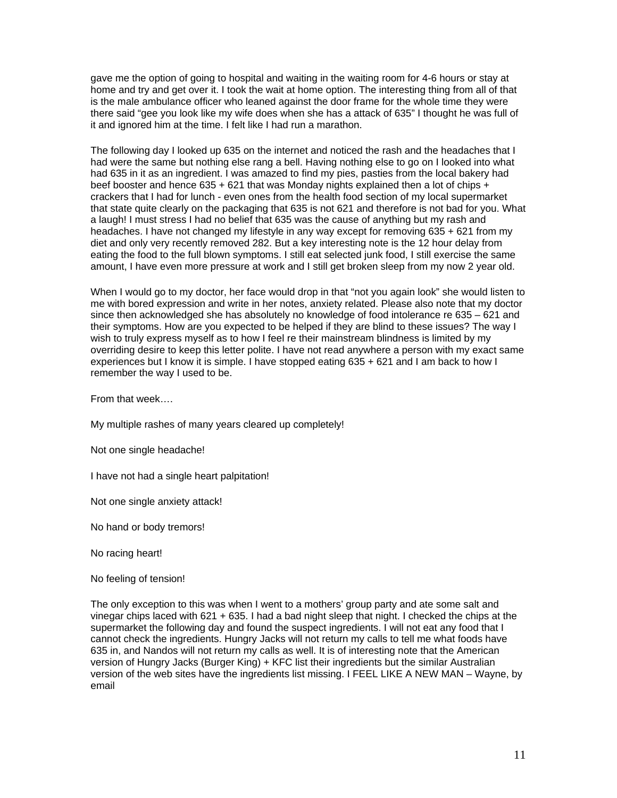gave me the option of going to hospital and waiting in the waiting room for 4-6 hours or stay at home and try and get over it. I took the wait at home option. The interesting thing from all of that is the male ambulance officer who leaned against the door frame for the whole time they were there said "gee you look like my wife does when she has a attack of 635" I thought he was full of it and ignored him at the time. I felt like I had run a marathon.

The following day I looked up 635 on the internet and noticed the rash and the headaches that I had were the same but nothing else rang a bell. Having nothing else to go on I looked into what had 635 in it as an ingredient. I was amazed to find my pies, pasties from the local bakery had beef booster and hence  $635 + 621$  that was Monday nights explained then a lot of chips + crackers that I had for lunch - even ones from the health food section of my local supermarket that state quite clearly on the packaging that 635 is not 621 and therefore is not bad for you. What a laugh! I must stress I had no belief that 635 was the cause of anything but my rash and headaches. I have not changed my lifestyle in any way except for removing 635 + 621 from my diet and only very recently removed 282. But a key interesting note is the 12 hour delay from eating the food to the full blown symptoms. I still eat selected junk food, I still exercise the same amount, I have even more pressure at work and I still get broken sleep from my now 2 year old.

When I would go to my doctor, her face would drop in that "not you again look" she would listen to me with bored expression and write in her notes, anxiety related. Please also note that my doctor since then acknowledged she has absolutely no knowledge of food intolerance re 635 – 621 and their symptoms. How are you expected to be helped if they are blind to these issues? The way I wish to truly express myself as to how I feel re their mainstream blindness is limited by my overriding desire to keep this letter polite. I have not read anywhere a person with my exact same experiences but I know it is simple. I have stopped eating 635 + 621 and I am back to how I remember the way I used to be.

From that week….

My multiple rashes of many years cleared up completely!

Not one single headache!

I have not had a single heart palpitation!

Not one single anxiety attack!

No hand or body tremors!

No racing heart!

No feeling of tension!

The only exception to this was when I went to a mothers' group party and ate some salt and vinegar chips laced with 621 + 635. I had a bad night sleep that night. I checked the chips at the supermarket the following day and found the suspect ingredients. I will not eat any food that I cannot check the ingredients. Hungry Jacks will not return my calls to tell me what foods have 635 in, and Nandos will not return my calls as well. It is of interesting note that the American version of Hungry Jacks (Burger King) + KFC list their ingredients but the similar Australian version of the web sites have the ingredients list missing. I FEEL LIKE A NEW MAN – Wayne, by email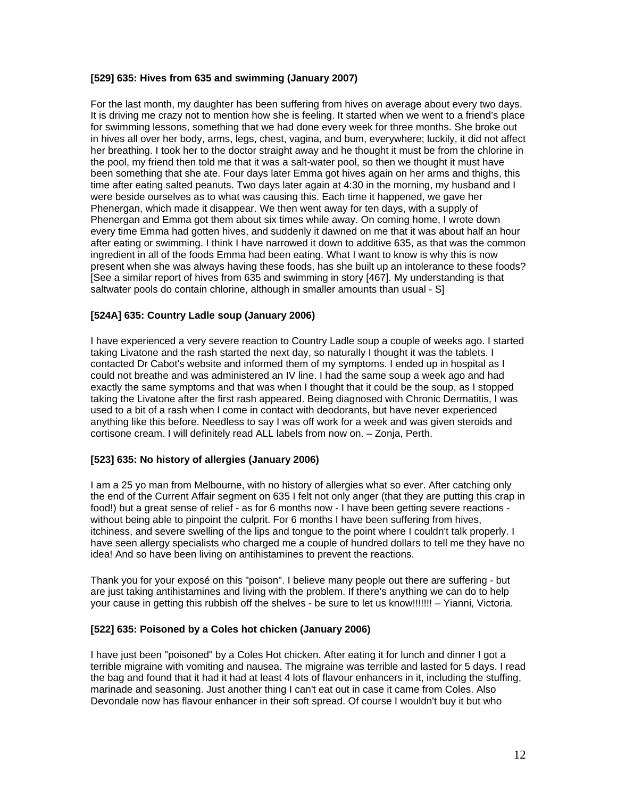### **[529] 635: Hives from 635 and swimming (January 2007)**

For the last month, my daughter has been suffering from hives on average about every two days. It is driving me crazy not to mention how she is feeling. It started when we went to a friend's place for swimming lessons, something that we had done every week for three months. She broke out in hives all over her body, arms, legs, chest, vagina, and bum, everywhere; luckily, it did not affect her breathing. I took her to the doctor straight away and he thought it must be from the chlorine in the pool, my friend then told me that it was a salt-water pool, so then we thought it must have been something that she ate. Four days later Emma got hives again on her arms and thighs, this time after eating salted peanuts. Two days later again at 4:30 in the morning, my husband and I were beside ourselves as to what was causing this. Each time it happened, we gave her Phenergan, which made it disappear. We then went away for ten days, with a supply of Phenergan and Emma got them about six times while away. On coming home, I wrote down every time Emma had gotten hives, and suddenly it dawned on me that it was about half an hour after eating or swimming. I think I have narrowed it down to additive 635, as that was the common ingredient in all of the foods Emma had been eating. What I want to know is why this is now present when she was always having these foods, has she built up an intolerance to these foods? [See a similar report of hives from 635 and swimming in story [467]. My understanding is that saltwater pools do contain chlorine, although in smaller amounts than usual - S]

### **[524A] 635: Country Ladle soup (January 2006)**

I have experienced a very severe reaction to Country Ladle soup a couple of weeks ago. I started taking Livatone and the rash started the next day, so naturally I thought it was the tablets. I contacted Dr Cabot's website and informed them of my symptoms. I ended up in hospital as I could not breathe and was administered an IV line. I had the same soup a week ago and had exactly the same symptoms and that was when I thought that it could be the soup, as I stopped taking the Livatone after the first rash appeared. Being diagnosed with Chronic Dermatitis, I was used to a bit of a rash when I come in contact with deodorants, but have never experienced anything like this before. Needless to say I was off work for a week and was given steroids and cortisone cream. I will definitely read ALL labels from now on. – Zonja, Perth.

### **[523] 635: No history of allergies (January 2006)**

I am a 25 yo man from Melbourne, with no history of allergies what so ever. After catching only the end of the Current Affair segment on 635 I felt not only anger (that they are putting this crap in food!) but a great sense of relief - as for 6 months now - I have been getting severe reactions without being able to pinpoint the culprit. For 6 months I have been suffering from hives, itchiness, and severe swelling of the lips and tongue to the point where I couldn't talk properly. I have seen allergy specialists who charged me a couple of hundred dollars to tell me they have no idea! And so have been living on antihistamines to prevent the reactions.

Thank you for your exposé on this "poison". I believe many people out there are suffering - but are just taking antihistamines and living with the problem. If there's anything we can do to help your cause in getting this rubbish off the shelves - be sure to let us know!!!!!!! – Yianni, Victoria.

### **[522] 635: Poisoned by a Coles hot chicken (January 2006)**

I have just been "poisoned" by a Coles Hot chicken. After eating it for lunch and dinner I got a terrible migraine with vomiting and nausea. The migraine was terrible and lasted for 5 days. I read the bag and found that it had it had at least 4 lots of flavour enhancers in it, including the stuffing, marinade and seasoning. Just another thing I can't eat out in case it came from Coles. Also Devondale now has flavour enhancer in their soft spread. Of course I wouldn't buy it but who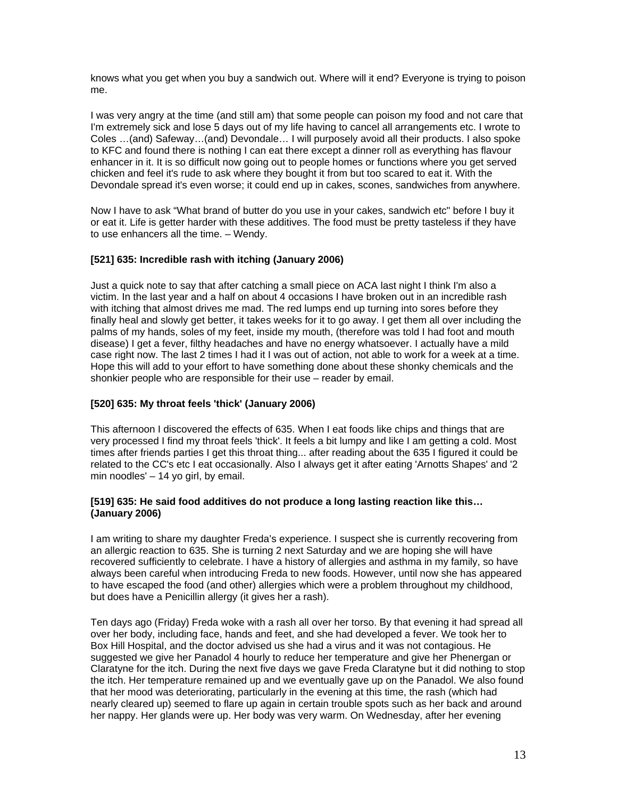knows what you get when you buy a sandwich out. Where will it end? Everyone is trying to poison me.

I was very angry at the time (and still am) that some people can poison my food and not care that I'm extremely sick and lose 5 days out of my life having to cancel all arrangements etc. I wrote to Coles …(and) Safeway…(and) Devondale… I will purposely avoid all their products. I also spoke to KFC and found there is nothing I can eat there except a dinner roll as everything has flavour enhancer in it. It is so difficult now going out to people homes or functions where you get served chicken and feel it's rude to ask where they bought it from but too scared to eat it. With the Devondale spread it's even worse; it could end up in cakes, scones, sandwiches from anywhere.

Now I have to ask "What brand of butter do you use in your cakes, sandwich etc" before I buy it or eat it. Life is getter harder with these additives. The food must be pretty tasteless if they have to use enhancers all the time. – Wendy.

### **[521] 635: Incredible rash with itching (January 2006)**

Just a quick note to say that after catching a small piece on ACA last night I think I'm also a victim. In the last year and a half on about 4 occasions I have broken out in an incredible rash with itching that almost drives me mad. The red lumps end up turning into sores before they finally heal and slowly get better, it takes weeks for it to go away. I get them all over including the palms of my hands, soles of my feet, inside my mouth, (therefore was told I had foot and mouth disease) I get a fever, filthy headaches and have no energy whatsoever. I actually have a mild case right now. The last 2 times I had it I was out of action, not able to work for a week at a time. Hope this will add to your effort to have something done about these shonky chemicals and the shonkier people who are responsible for their use – reader by email.

#### **[520] 635: My throat feels 'thick' (January 2006)**

This afternoon I discovered the effects of 635. When I eat foods like chips and things that are very processed I find my throat feels 'thick'. It feels a bit lumpy and like I am getting a cold. Most times after friends parties I get this throat thing... after reading about the 635 I figured it could be related to the CC's etc I eat occasionally. Also I always get it after eating 'Arnotts Shapes' and '2 min noodles' – 14 yo girl, by email.

#### **[519] 635: He said food additives do not produce a long lasting reaction like this… (January 2006)**

I am writing to share my daughter Freda's experience. I suspect she is currently recovering from an allergic reaction to 635. She is turning 2 next Saturday and we are hoping she will have recovered sufficiently to celebrate. I have a history of allergies and asthma in my family, so have always been careful when introducing Freda to new foods. However, until now she has appeared to have escaped the food (and other) allergies which were a problem throughout my childhood, but does have a Penicillin allergy (it gives her a rash).

Ten days ago (Friday) Freda woke with a rash all over her torso. By that evening it had spread all over her body, including face, hands and feet, and she had developed a fever. We took her to Box Hill Hospital, and the doctor advised us she had a virus and it was not contagious. He suggested we give her Panadol 4 hourly to reduce her temperature and give her Phenergan or Claratyne for the itch. During the next five days we gave Freda Claratyne but it did nothing to stop the itch. Her temperature remained up and we eventually gave up on the Panadol. We also found that her mood was deteriorating, particularly in the evening at this time, the rash (which had nearly cleared up) seemed to flare up again in certain trouble spots such as her back and around her nappy. Her glands were up. Her body was very warm. On Wednesday, after her evening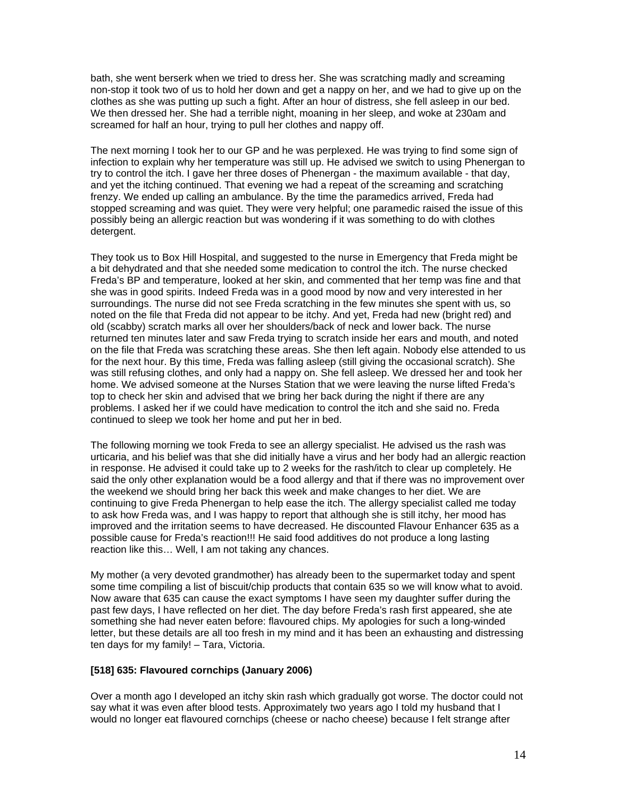bath, she went berserk when we tried to dress her. She was scratching madly and screaming non-stop it took two of us to hold her down and get a nappy on her, and we had to give up on the clothes as she was putting up such a fight. After an hour of distress, she fell asleep in our bed. We then dressed her. She had a terrible night, moaning in her sleep, and woke at 230am and screamed for half an hour, trying to pull her clothes and nappy off.

The next morning I took her to our GP and he was perplexed. He was trying to find some sign of infection to explain why her temperature was still up. He advised we switch to using Phenergan to try to control the itch. I gave her three doses of Phenergan - the maximum available - that day, and yet the itching continued. That evening we had a repeat of the screaming and scratching frenzy. We ended up calling an ambulance. By the time the paramedics arrived, Freda had stopped screaming and was quiet. They were very helpful; one paramedic raised the issue of this possibly being an allergic reaction but was wondering if it was something to do with clothes detergent.

They took us to Box Hill Hospital, and suggested to the nurse in Emergency that Freda might be a bit dehydrated and that she needed some medication to control the itch. The nurse checked Freda's BP and temperature, looked at her skin, and commented that her temp was fine and that she was in good spirits. Indeed Freda was in a good mood by now and very interested in her surroundings. The nurse did not see Freda scratching in the few minutes she spent with us, so noted on the file that Freda did not appear to be itchy. And yet, Freda had new (bright red) and old (scabby) scratch marks all over her shoulders/back of neck and lower back. The nurse returned ten minutes later and saw Freda trying to scratch inside her ears and mouth, and noted on the file that Freda was scratching these areas. She then left again. Nobody else attended to us for the next hour. By this time, Freda was falling asleep (still giving the occasional scratch). She was still refusing clothes, and only had a nappy on. She fell asleep. We dressed her and took her home. We advised someone at the Nurses Station that we were leaving the nurse lifted Freda's top to check her skin and advised that we bring her back during the night if there are any problems. I asked her if we could have medication to control the itch and she said no. Freda continued to sleep we took her home and put her in bed.

The following morning we took Freda to see an allergy specialist. He advised us the rash was urticaria, and his belief was that she did initially have a virus and her body had an allergic reaction in response. He advised it could take up to 2 weeks for the rash/itch to clear up completely. He said the only other explanation would be a food allergy and that if there was no improvement over the weekend we should bring her back this week and make changes to her diet. We are continuing to give Freda Phenergan to help ease the itch. The allergy specialist called me today to ask how Freda was, and I was happy to report that although she is still itchy, her mood has improved and the irritation seems to have decreased. He discounted Flavour Enhancer 635 as a possible cause for Freda's reaction!!! He said food additives do not produce a long lasting reaction like this… Well, I am not taking any chances.

My mother (a very devoted grandmother) has already been to the supermarket today and spent some time compiling a list of biscuit/chip products that contain 635 so we will know what to avoid. Now aware that 635 can cause the exact symptoms I have seen my daughter suffer during the past few days, I have reflected on her diet. The day before Freda's rash first appeared, she ate something she had never eaten before: flavoured chips. My apologies for such a long-winded letter, but these details are all too fresh in my mind and it has been an exhausting and distressing ten days for my family! – Tara, Victoria.

#### **[518] 635: Flavoured cornchips (January 2006)**

Over a month ago I developed an itchy skin rash which gradually got worse. The doctor could not say what it was even after blood tests. Approximately two years ago I told my husband that I would no longer eat flavoured cornchips (cheese or nacho cheese) because I felt strange after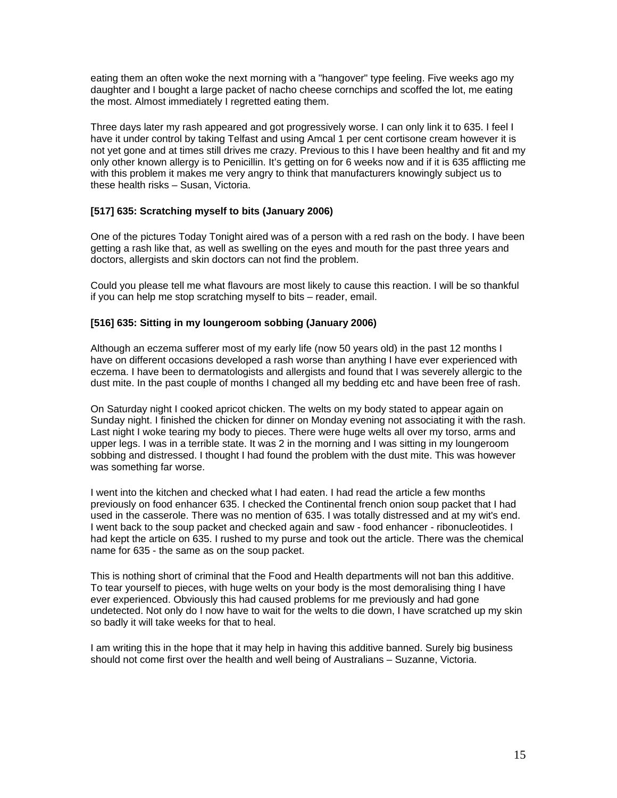eating them an often woke the next morning with a "hangover" type feeling. Five weeks ago my daughter and I bought a large packet of nacho cheese cornchips and scoffed the lot, me eating the most. Almost immediately I regretted eating them.

Three days later my rash appeared and got progressively worse. I can only link it to 635. I feel I have it under control by taking Telfast and using Amcal 1 per cent cortisone cream however it is not yet gone and at times still drives me crazy. Previous to this I have been healthy and fit and my only other known allergy is to Penicillin. It's getting on for 6 weeks now and if it is 635 afflicting me with this problem it makes me very angry to think that manufacturers knowingly subject us to these health risks – Susan, Victoria.

# **[517] 635: Scratching myself to bits (January 2006)**

One of the pictures Today Tonight aired was of a person with a red rash on the body. I have been getting a rash like that, as well as swelling on the eyes and mouth for the past three years and doctors, allergists and skin doctors can not find the problem.

Could you please tell me what flavours are most likely to cause this reaction. I will be so thankful if you can help me stop scratching myself to bits – reader, email.

### **[516] 635: Sitting in my loungeroom sobbing (January 2006)**

Although an eczema sufferer most of my early life (now 50 years old) in the past 12 months I have on different occasions developed a rash worse than anything I have ever experienced with eczema. I have been to dermatologists and allergists and found that I was severely allergic to the dust mite. In the past couple of months I changed all my bedding etc and have been free of rash.

On Saturday night I cooked apricot chicken. The welts on my body stated to appear again on Sunday night. I finished the chicken for dinner on Monday evening not associating it with the rash. Last night I woke tearing my body to pieces. There were huge welts all over my torso, arms and upper legs. I was in a terrible state. It was 2 in the morning and I was sitting in my loungeroom sobbing and distressed. I thought I had found the problem with the dust mite. This was however was something far worse.

I went into the kitchen and checked what I had eaten. I had read the article a few months previously on food enhancer 635. I checked the Continental french onion soup packet that I had used in the casserole. There was no mention of 635. I was totally distressed and at my wit's end. I went back to the soup packet and checked again and saw - food enhancer - ribonucleotides. I had kept the article on 635. I rushed to my purse and took out the article. There was the chemical name for 635 - the same as on the soup packet.

This is nothing short of criminal that the Food and Health departments will not ban this additive. To tear yourself to pieces, with huge welts on your body is the most demoralising thing I have ever experienced. Obviously this had caused problems for me previously and had gone undetected. Not only do I now have to wait for the welts to die down, I have scratched up my skin so badly it will take weeks for that to heal.

I am writing this in the hope that it may help in having this additive banned. Surely big business should not come first over the health and well being of Australians – Suzanne, Victoria.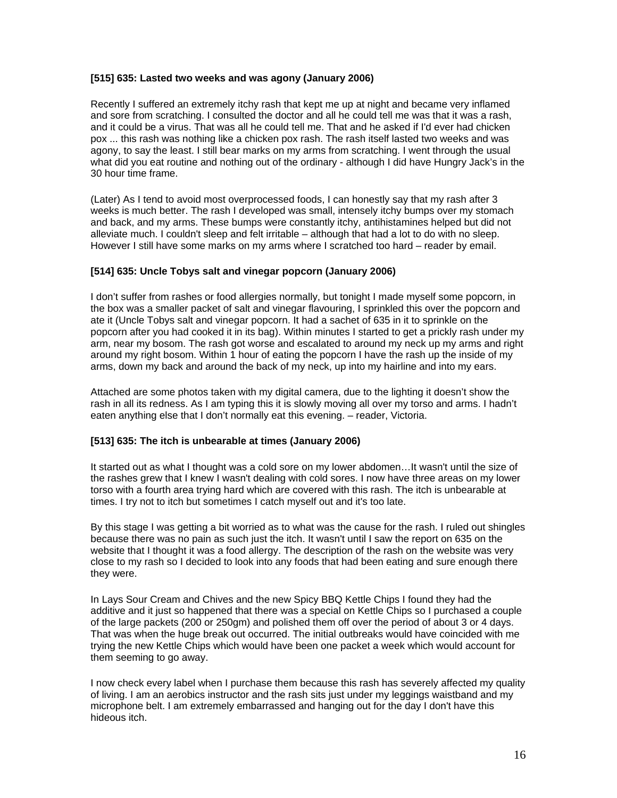#### **[515] 635: Lasted two weeks and was agony (January 2006)**

Recently I suffered an extremely itchy rash that kept me up at night and became very inflamed and sore from scratching. I consulted the doctor and all he could tell me was that it was a rash, and it could be a virus. That was all he could tell me. That and he asked if I'd ever had chicken pox ... this rash was nothing like a chicken pox rash. The rash itself lasted two weeks and was agony, to say the least. I still bear marks on my arms from scratching. I went through the usual what did you eat routine and nothing out of the ordinary - although I did have Hungry Jack's in the 30 hour time frame.

(Later) As I tend to avoid most overprocessed foods, I can honestly say that my rash after 3 weeks is much better. The rash I developed was small, intensely itchy bumps over my stomach and back, and my arms. These bumps were constantly itchy, antihistamines helped but did not alleviate much. I couldn't sleep and felt irritable – although that had a lot to do with no sleep. However I still have some marks on my arms where I scratched too hard – reader by email.

#### **[514] 635: Uncle Tobys salt and vinegar popcorn (January 2006)**

I don't suffer from rashes or food allergies normally, but tonight I made myself some popcorn, in the box was a smaller packet of salt and vinegar flavouring, I sprinkled this over the popcorn and ate it (Uncle Tobys salt and vinegar popcorn. It had a sachet of 635 in it to sprinkle on the popcorn after you had cooked it in its bag). Within minutes I started to get a prickly rash under my arm, near my bosom. The rash got worse and escalated to around my neck up my arms and right around my right bosom. Within 1 hour of eating the popcorn I have the rash up the inside of my arms, down my back and around the back of my neck, up into my hairline and into my ears.

Attached are some photos taken with my digital camera, due to the lighting it doesn't show the rash in all its redness. As I am typing this it is slowly moving all over my torso and arms. I hadn't eaten anything else that I don't normally eat this evening. – reader, Victoria.

#### **[513] 635: The itch is unbearable at times (January 2006)**

It started out as what I thought was a cold sore on my lower abdomen…It wasn't until the size of the rashes grew that I knew I wasn't dealing with cold sores. I now have three areas on my lower torso with a fourth area trying hard which are covered with this rash. The itch is unbearable at times. I try not to itch but sometimes I catch myself out and it's too late.

By this stage I was getting a bit worried as to what was the cause for the rash. I ruled out shingles because there was no pain as such just the itch. It wasn't until I saw the report on 635 on the website that I thought it was a food allergy. The description of the rash on the website was very close to my rash so I decided to look into any foods that had been eating and sure enough there they were.

In Lays Sour Cream and Chives and the new Spicy BBQ Kettle Chips I found they had the additive and it just so happened that there was a special on Kettle Chips so I purchased a couple of the large packets (200 or 250gm) and polished them off over the period of about 3 or 4 days. That was when the huge break out occurred. The initial outbreaks would have coincided with me trying the new Kettle Chips which would have been one packet a week which would account for them seeming to go away.

I now check every label when I purchase them because this rash has severely affected my quality of living. I am an aerobics instructor and the rash sits just under my leggings waistband and my microphone belt. I am extremely embarrassed and hanging out for the day I don't have this hideous itch.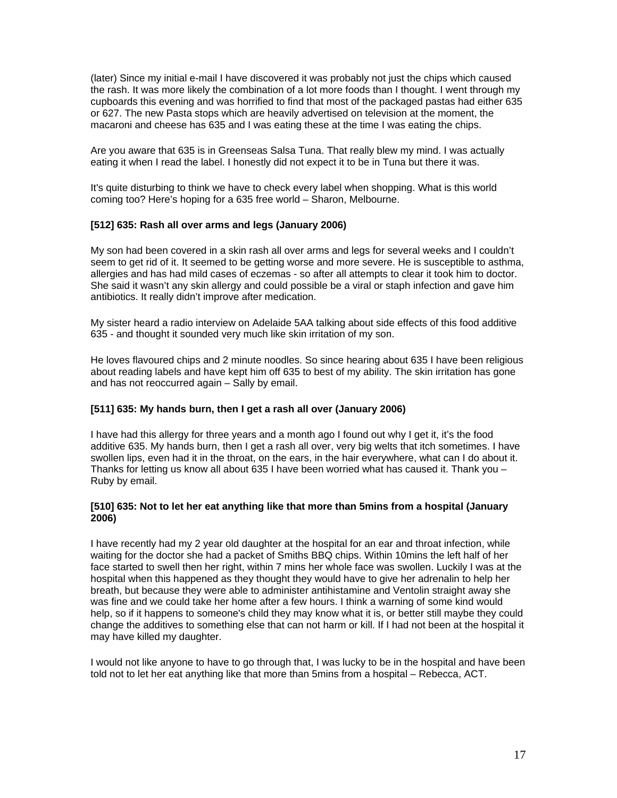(later) Since my initial e-mail I have discovered it was probably not just the chips which caused the rash. It was more likely the combination of a lot more foods than I thought. I went through my cupboards this evening and was horrified to find that most of the packaged pastas had either 635 or 627. The new Pasta stops which are heavily advertised on television at the moment, the macaroni and cheese has 635 and I was eating these at the time I was eating the chips.

Are you aware that 635 is in Greenseas Salsa Tuna. That really blew my mind. I was actually eating it when I read the label. I honestly did not expect it to be in Tuna but there it was.

It's quite disturbing to think we have to check every label when shopping. What is this world coming too? Here's hoping for a 635 free world – Sharon, Melbourne.

#### **[512] 635: Rash all over arms and legs (January 2006)**

My son had been covered in a skin rash all over arms and legs for several weeks and I couldn't seem to get rid of it. It seemed to be getting worse and more severe. He is susceptible to asthma, allergies and has had mild cases of eczemas - so after all attempts to clear it took him to doctor. She said it wasn't any skin allergy and could possible be a viral or staph infection and gave him antibiotics. It really didn't improve after medication.

My sister heard a radio interview on Adelaide 5AA talking about side effects of this food additive 635 - and thought it sounded very much like skin irritation of my son.

He loves flavoured chips and 2 minute noodles. So since hearing about 635 I have been religious about reading labels and have kept him off 635 to best of my ability. The skin irritation has gone and has not reoccurred again – Sally by email.

#### **[511] 635: My hands burn, then I get a rash all over (January 2006)**

I have had this allergy for three years and a month ago I found out why I get it, it's the food additive 635. My hands burn, then I get a rash all over, very big welts that itch sometimes. I have swollen lips, even had it in the throat, on the ears, in the hair everywhere, what can I do about it. Thanks for letting us know all about 635 I have been worried what has caused it. Thank you – Ruby by email.

#### **[510] 635: Not to let her eat anything like that more than 5mins from a hospital (January 2006)**

I have recently had my 2 year old daughter at the hospital for an ear and throat infection, while waiting for the doctor she had a packet of Smiths BBQ chips. Within 10mins the left half of her face started to swell then her right, within 7 mins her whole face was swollen. Luckily I was at the hospital when this happened as they thought they would have to give her adrenalin to help her breath, but because they were able to administer antihistamine and Ventolin straight away she was fine and we could take her home after a few hours. I think a warning of some kind would help, so if it happens to someone's child they may know what it is, or better still maybe they could change the additives to something else that can not harm or kill. If I had not been at the hospital it may have killed my daughter.

I would not like anyone to have to go through that, I was lucky to be in the hospital and have been told not to let her eat anything like that more than 5mins from a hospital – Rebecca, ACT.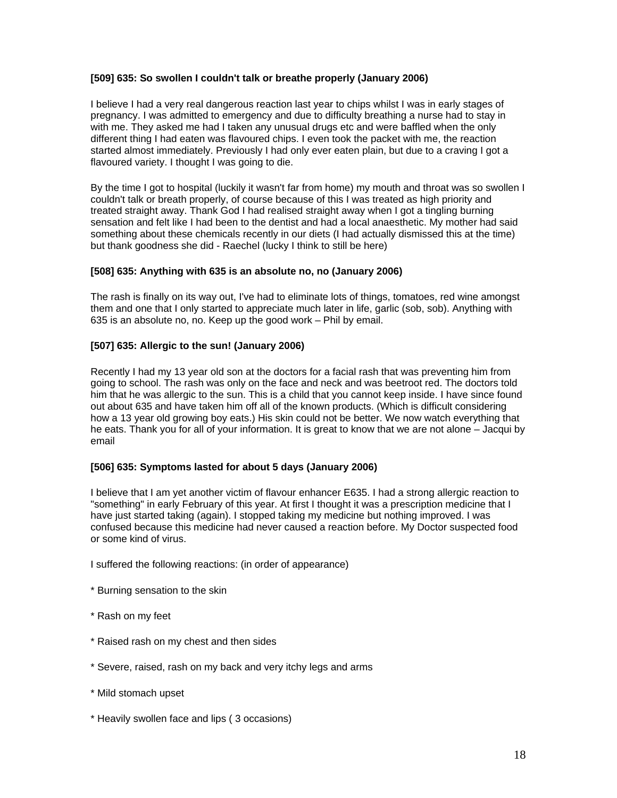### **[509] 635: So swollen I couldn't talk or breathe properly (January 2006)**

I believe I had a very real dangerous reaction last year to chips whilst I was in early stages of pregnancy. I was admitted to emergency and due to difficulty breathing a nurse had to stay in with me. They asked me had I taken any unusual drugs etc and were baffled when the only different thing I had eaten was flavoured chips. I even took the packet with me, the reaction started almost immediately. Previously I had only ever eaten plain, but due to a craving I got a flavoured variety. I thought I was going to die.

By the time I got to hospital (luckily it wasn't far from home) my mouth and throat was so swollen I couldn't talk or breath properly, of course because of this I was treated as high priority and treated straight away. Thank God I had realised straight away when I got a tingling burning sensation and felt like I had been to the dentist and had a local anaesthetic. My mother had said something about these chemicals recently in our diets (I had actually dismissed this at the time) but thank goodness she did - Raechel (lucky I think to still be here)

#### **[508] 635: Anything with 635 is an absolute no, no (January 2006)**

The rash is finally on its way out, I've had to eliminate lots of things, tomatoes, red wine amongst them and one that I only started to appreciate much later in life, garlic (sob, sob). Anything with 635 is an absolute no, no. Keep up the good work – Phil by email.

#### **[507] 635: Allergic to the sun! (January 2006)**

Recently I had my 13 year old son at the doctors for a facial rash that was preventing him from going to school. The rash was only on the face and neck and was beetroot red. The doctors told him that he was allergic to the sun. This is a child that you cannot keep inside. I have since found out about 635 and have taken him off all of the known products. (Which is difficult considering how a 13 year old growing boy eats.) His skin could not be better. We now watch everything that he eats. Thank you for all of your information. It is great to know that we are not alone – Jacqui by email

#### **[506] 635: Symptoms lasted for about 5 days (January 2006)**

I believe that I am yet another victim of flavour enhancer E635. I had a strong allergic reaction to "something" in early February of this year. At first I thought it was a prescription medicine that I have just started taking (again). I stopped taking my medicine but nothing improved. I was confused because this medicine had never caused a reaction before. My Doctor suspected food or some kind of virus.

I suffered the following reactions: (in order of appearance)

- \* Burning sensation to the skin
- \* Rash on my feet
- \* Raised rash on my chest and then sides
- \* Severe, raised, rash on my back and very itchy legs and arms
- \* Mild stomach upset
- \* Heavily swollen face and lips ( 3 occasions)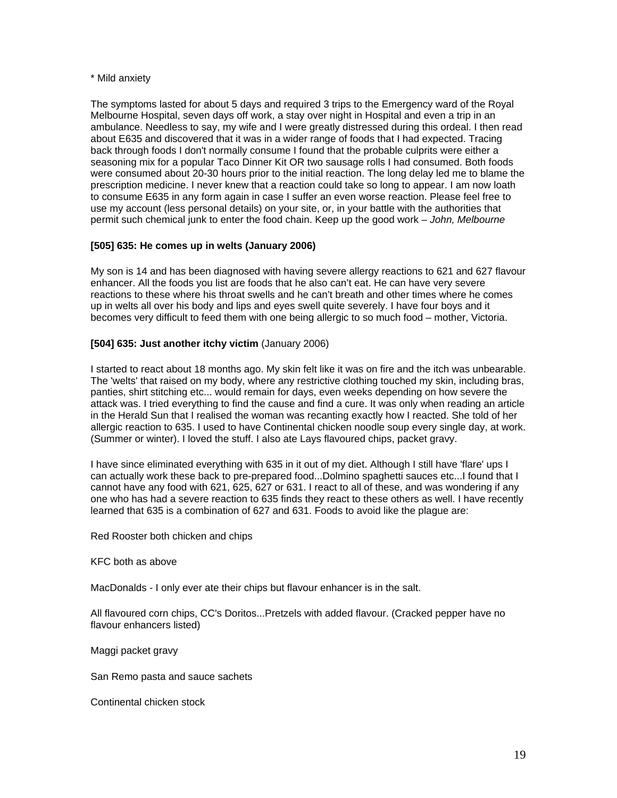#### \* Mild anxiety

The symptoms lasted for about 5 days and required 3 trips to the Emergency ward of the Royal Melbourne Hospital, seven days off work, a stay over night in Hospital and even a trip in an ambulance. Needless to say, my wife and I were greatly distressed during this ordeal. I then read about E635 and discovered that it was in a wider range of foods that I had expected. Tracing back through foods I don't normally consume I found that the probable culprits were either a seasoning mix for a popular Taco Dinner Kit OR two sausage rolls I had consumed. Both foods were consumed about 20-30 hours prior to the initial reaction. The long delay led me to blame the prescription medicine. I never knew that a reaction could take so long to appear. I am now loath to consume E635 in any form again in case I suffer an even worse reaction. Please feel free to use my account (less personal details) on your site, or, in your battle with the authorities that permit such chemical junk to enter the food chain. Keep up the good work *– John, Melbourne* 

#### **[505] 635: He comes up in welts (January 2006)**

My son is 14 and has been diagnosed with having severe allergy reactions to 621 and 627 flavour enhancer. All the foods you list are foods that he also can't eat. He can have very severe reactions to these where his throat swells and he can't breath and other times where he comes up in welts all over his body and lips and eyes swell quite severely. I have four boys and it becomes very difficult to feed them with one being allergic to so much food – mother, Victoria.

#### **[504] 635: Just another itchy victim** (January 2006)

I started to react about 18 months ago. My skin felt like it was on fire and the itch was unbearable. The 'welts' that raised on my body, where any restrictive clothing touched my skin, including bras, panties, shirt stitching etc... would remain for days, even weeks depending on how severe the attack was. I tried everything to find the cause and find a cure. It was only when reading an article in the Herald Sun that I realised the woman was recanting exactly how I reacted. She told of her allergic reaction to 635. I used to have Continental chicken noodle soup every single day, at work. (Summer or winter). I loved the stuff. I also ate Lays flavoured chips, packet gravy.

I have since eliminated everything with 635 in it out of my diet. Although I still have 'flare' ups I can actually work these back to pre-prepared food...Dolmino spaghetti sauces etc...I found that I cannot have any food with 621, 625, 627 or 631. I react to all of these, and was wondering if any one who has had a severe reaction to 635 finds they react to these others as well. I have recently learned that 635 is a combination of 627 and 631. Foods to avoid like the plague are:

Red Rooster both chicken and chips

KFC both as above

MacDonalds - I only ever ate their chips but flavour enhancer is in the salt.

All flavoured corn chips, CC's Doritos...Pretzels with added flavour. (Cracked pepper have no flavour enhancers listed)

Maggi packet gravy

San Remo pasta and sauce sachets

Continental chicken stock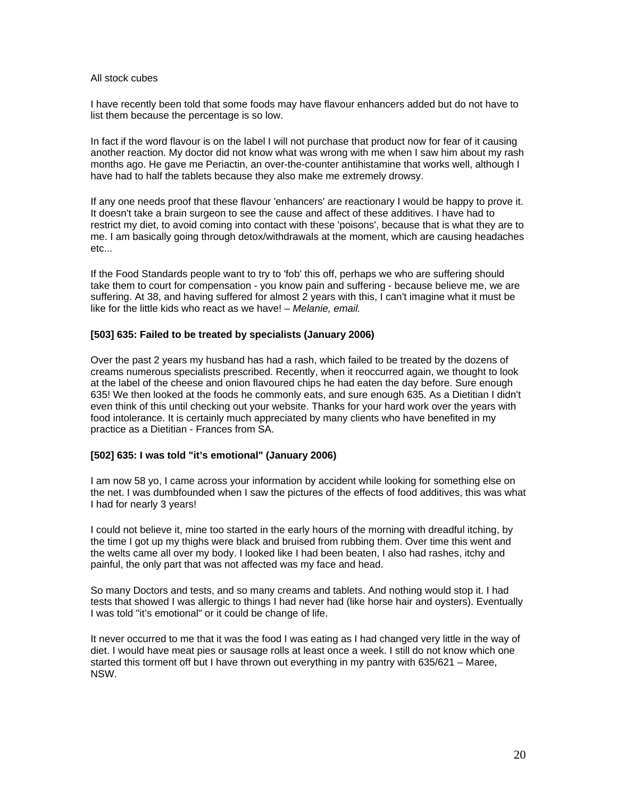#### All stock cubes

I have recently been told that some foods may have flavour enhancers added but do not have to list them because the percentage is so low.

In fact if the word flavour is on the label I will not purchase that product now for fear of it causing another reaction. My doctor did not know what was wrong with me when I saw him about my rash months ago. He gave me Periactin, an over-the-counter antihistamine that works well, although I have had to half the tablets because they also make me extremely drowsy.

If any one needs proof that these flavour 'enhancers' are reactionary I would be happy to prove it. It doesn't take a brain surgeon to see the cause and affect of these additives. I have had to restrict my diet, to avoid coming into contact with these 'poisons', because that is what they are to me. I am basically going through detox/withdrawals at the moment, which are causing headaches etc...

If the Food Standards people want to try to 'fob' this off, perhaps we who are suffering should take them to court for compensation - you know pain and suffering - because believe me, we are suffering. At 38, and having suffered for almost 2 years with this, I can't imagine what it must be like for the little kids who react as we have! *– Melanie, email.* 

#### **[503] 635: Failed to be treated by specialists (January 2006)**

Over the past 2 years my husband has had a rash, which failed to be treated by the dozens of creams numerous specialists prescribed. Recently, when it reoccurred again, we thought to look at the label of the cheese and onion flavoured chips he had eaten the day before. Sure enough 635! We then looked at the foods he commonly eats, and sure enough 635. As a Dietitian I didn't even think of this until checking out your website. Thanks for your hard work over the years with food intolerance. It is certainly much appreciated by many clients who have benefited in my practice as a Dietitian - Frances from SA.

#### **[502] 635: I was told "it's emotional" (January 2006)**

I am now 58 yo, I came across your information by accident while looking for something else on the net. I was dumbfounded when I saw the pictures of the effects of food additives, this was what I had for nearly 3 years!

I could not believe it, mine too started in the early hours of the morning with dreadful itching, by the time I got up my thighs were black and bruised from rubbing them. Over time this went and the welts came all over my body. I looked like I had been beaten, I also had rashes, itchy and painful, the only part that was not affected was my face and head.

So many Doctors and tests, and so many creams and tablets. And nothing would stop it. I had tests that showed I was allergic to things I had never had (like horse hair and oysters). Eventually I was told "it's emotional" or it could be change of life.

It never occurred to me that it was the food I was eating as I had changed very little in the way of diet. I would have meat pies or sausage rolls at least once a week. I still do not know which one started this torment off but I have thrown out everything in my pantry with 635/621 – Maree, NSW.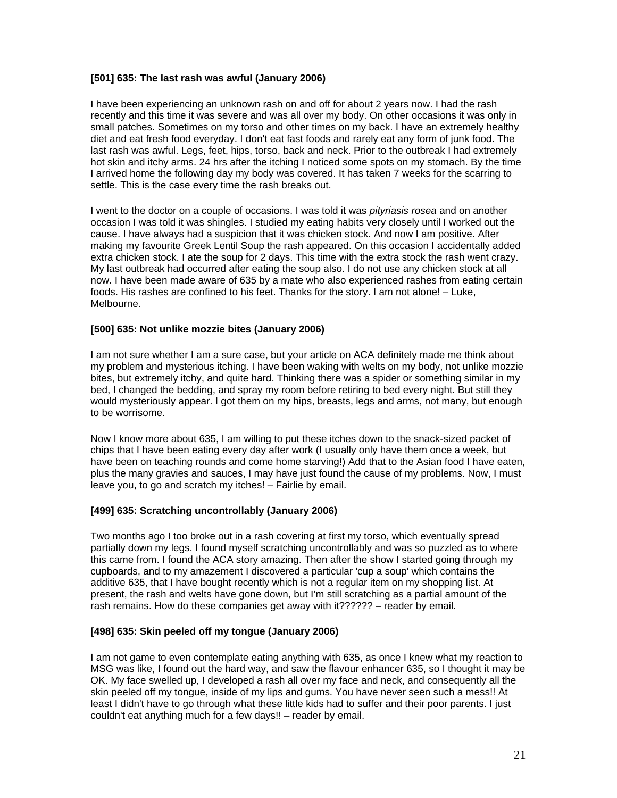### **[501] 635: The last rash was awful (January 2006)**

I have been experiencing an unknown rash on and off for about 2 years now. I had the rash recently and this time it was severe and was all over my body. On other occasions it was only in small patches. Sometimes on my torso and other times on my back. I have an extremely healthy diet and eat fresh food everyday. I don't eat fast foods and rarely eat any form of junk food. The last rash was awful. Legs, feet, hips, torso, back and neck. Prior to the outbreak I had extremely hot skin and itchy arms. 24 hrs after the itching I noticed some spots on my stomach. By the time I arrived home the following day my body was covered. It has taken 7 weeks for the scarring to settle. This is the case every time the rash breaks out.

I went to the doctor on a couple of occasions. I was told it was *pityriasis rosea* and on another occasion I was told it was shingles. I studied my eating habits very closely until I worked out the cause. I have always had a suspicion that it was chicken stock. And now I am positive. After making my favourite Greek Lentil Soup the rash appeared. On this occasion I accidentally added extra chicken stock. I ate the soup for 2 days. This time with the extra stock the rash went crazy. My last outbreak had occurred after eating the soup also. I do not use any chicken stock at all now. I have been made aware of 635 by a mate who also experienced rashes from eating certain foods. His rashes are confined to his feet. Thanks for the story. I am not alone! – Luke, Melbourne.

### **[500] 635: Not unlike mozzie bites (January 2006)**

I am not sure whether I am a sure case, but your article on ACA definitely made me think about my problem and mysterious itching. I have been waking with welts on my body, not unlike mozzie bites, but extremely itchy, and quite hard. Thinking there was a spider or something similar in my bed, I changed the bedding, and spray my room before retiring to bed every night. But still they would mysteriously appear. I got them on my hips, breasts, legs and arms, not many, but enough to be worrisome.

Now I know more about 635, I am willing to put these itches down to the snack-sized packet of chips that I have been eating every day after work (I usually only have them once a week, but have been on teaching rounds and come home starving!) Add that to the Asian food I have eaten, plus the many gravies and sauces, I may have just found the cause of my problems. Now, I must leave you, to go and scratch my itches! – Fairlie by email.

### **[499] 635: Scratching uncontrollably (January 2006)**

Two months ago I too broke out in a rash covering at first my torso, which eventually spread partially down my legs. I found myself scratching uncontrollably and was so puzzled as to where this came from. I found the ACA story amazing. Then after the show I started going through my cupboards, and to my amazement I discovered a particular 'cup a soup' which contains the additive 635, that I have bought recently which is not a regular item on my shopping list. At present, the rash and welts have gone down, but I'm still scratching as a partial amount of the rash remains. How do these companies get away with it?????? – reader by email.

### **[498] 635: Skin peeled off my tongue (January 2006)**

I am not game to even contemplate eating anything with 635, as once I knew what my reaction to MSG was like, I found out the hard way, and saw the flavour enhancer 635, so I thought it may be OK. My face swelled up, I developed a rash all over my face and neck, and consequently all the skin peeled off my tongue, inside of my lips and gums. You have never seen such a mess!! At least I didn't have to go through what these little kids had to suffer and their poor parents. I just couldn't eat anything much for a few days!! – reader by email.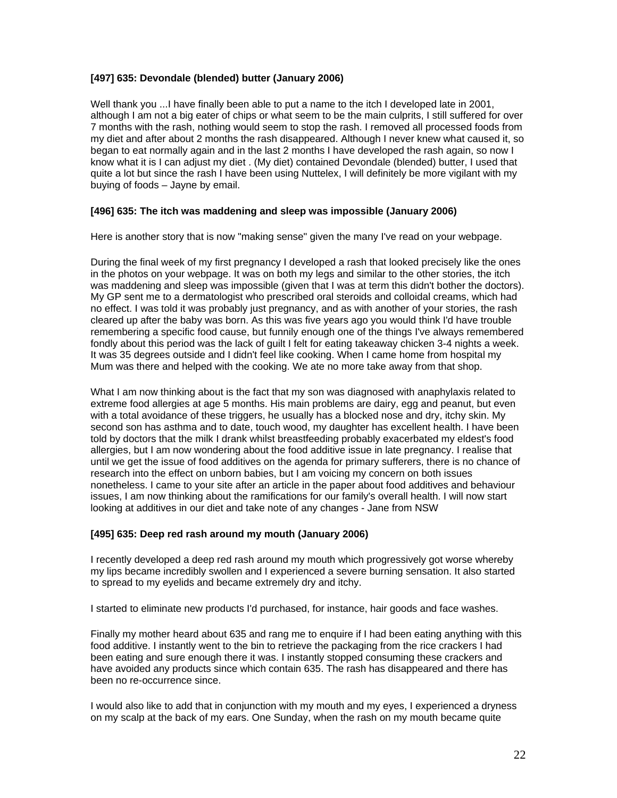### **[497] 635: Devondale (blended) butter (January 2006)**

Well thank you ...I have finally been able to put a name to the itch I developed late in 2001, although I am not a big eater of chips or what seem to be the main culprits, I still suffered for over 7 months with the rash, nothing would seem to stop the rash. I removed all processed foods from my diet and after about 2 months the rash disappeared. Although I never knew what caused it, so began to eat normally again and in the last 2 months I have developed the rash again, so now I know what it is I can adjust my diet . (My diet) contained Devondale (blended) butter, I used that quite a lot but since the rash I have been using Nuttelex, I will definitely be more vigilant with my buying of foods – Jayne by email.

#### **[496] 635: The itch was maddening and sleep was impossible (January 2006)**

Here is another story that is now "making sense" given the many I've read on your webpage.

During the final week of my first pregnancy I developed a rash that looked precisely like the ones in the photos on your webpage. It was on both my legs and similar to the other stories, the itch was maddening and sleep was impossible (given that I was at term this didn't bother the doctors). My GP sent me to a dermatologist who prescribed oral steroids and colloidal creams, which had no effect. I was told it was probably just pregnancy, and as with another of your stories, the rash cleared up after the baby was born. As this was five years ago you would think I'd have trouble remembering a specific food cause, but funnily enough one of the things I've always remembered fondly about this period was the lack of guilt I felt for eating takeaway chicken 3-4 nights a week. It was 35 degrees outside and I didn't feel like cooking. When I came home from hospital my Mum was there and helped with the cooking. We ate no more take away from that shop.

What I am now thinking about is the fact that my son was diagnosed with anaphylaxis related to extreme food allergies at age 5 months. His main problems are dairy, egg and peanut, but even with a total avoidance of these triggers, he usually has a blocked nose and dry, itchy skin. My second son has asthma and to date, touch wood, my daughter has excellent health. I have been told by doctors that the milk I drank whilst breastfeeding probably exacerbated my eldest's food allergies, but I am now wondering about the food additive issue in late pregnancy. I realise that until we get the issue of food additives on the agenda for primary sufferers, there is no chance of research into the effect on unborn babies, but I am voicing my concern on both issues nonetheless. I came to your site after an article in the paper about food additives and behaviour issues, I am now thinking about the ramifications for our family's overall health. I will now start looking at additives in our diet and take note of any changes - Jane from NSW

#### **[495] 635: Deep red rash around my mouth (January 2006)**

I recently developed a deep red rash around my mouth which progressively got worse whereby my lips became incredibly swollen and I experienced a severe burning sensation. It also started to spread to my eyelids and became extremely dry and itchy.

I started to eliminate new products I'd purchased, for instance, hair goods and face washes.

Finally my mother heard about 635 and rang me to enquire if I had been eating anything with this food additive. I instantly went to the bin to retrieve the packaging from the rice crackers I had been eating and sure enough there it was. I instantly stopped consuming these crackers and have avoided any products since which contain 635. The rash has disappeared and there has been no re-occurrence since.

I would also like to add that in conjunction with my mouth and my eyes, I experienced a dryness on my scalp at the back of my ears. One Sunday, when the rash on my mouth became quite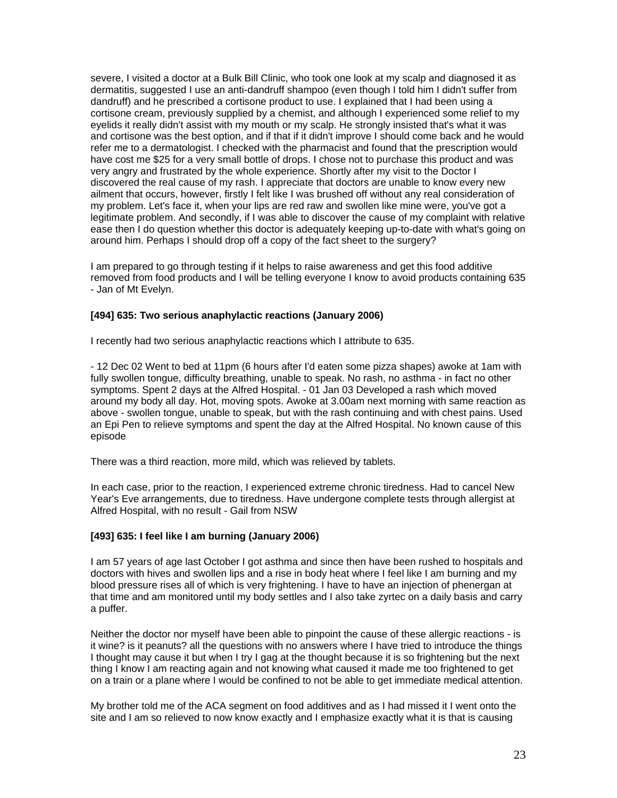severe, I visited a doctor at a Bulk Bill Clinic, who took one look at my scalp and diagnosed it as dermatitis, suggested I use an anti-dandruff shampoo (even though I told him I didn't suffer from dandruff) and he prescribed a cortisone product to use. I explained that I had been using a cortisone cream, previously supplied by a chemist, and although I experienced some relief to my eyelids it really didn't assist with my mouth or my scalp. He strongly insisted that's what it was and cortisone was the best option, and if that if it didn't improve I should come back and he would refer me to a dermatologist. I checked with the pharmacist and found that the prescription would have cost me \$25 for a very small bottle of drops. I chose not to purchase this product and was very angry and frustrated by the whole experience. Shortly after my visit to the Doctor I discovered the real cause of my rash. I appreciate that doctors are unable to know every new ailment that occurs, however, firstly I felt like I was brushed off without any real consideration of my problem. Let's face it, when your lips are red raw and swollen like mine were, you've got a legitimate problem. And secondly, if I was able to discover the cause of my complaint with relative ease then I do question whether this doctor is adequately keeping up-to-date with what's going on around him. Perhaps I should drop off a copy of the fact sheet to the surgery?

I am prepared to go through testing if it helps to raise awareness and get this food additive removed from food products and I will be telling everyone I know to avoid products containing 635 - Jan of Mt Evelyn.

#### **[494] 635: Two serious anaphylactic reactions (January 2006)**

I recently had two serious anaphylactic reactions which I attribute to 635.

- 12 Dec 02 Went to bed at 11pm (6 hours after I'd eaten some pizza shapes) awoke at 1am with fully swollen tongue, difficulty breathing, unable to speak. No rash, no asthma - in fact no other symptoms. Spent 2 days at the Alfred Hospital. - 01 Jan 03 Developed a rash which moved around my body all day. Hot, moving spots. Awoke at 3.00am next morning with same reaction as above - swollen tongue, unable to speak, but with the rash continuing and with chest pains. Used an Epi Pen to relieve symptoms and spent the day at the Alfred Hospital. No known cause of this episode

There was a third reaction, more mild, which was relieved by tablets.

In each case, prior to the reaction, I experienced extreme chronic tiredness. Had to cancel New Year's Eve arrangements, due to tiredness. Have undergone complete tests through allergist at Alfred Hospital, with no result - Gail from NSW

#### **[493] 635: I feel like I am burning (January 2006)**

I am 57 years of age last October I got asthma and since then have been rushed to hospitals and doctors with hives and swollen lips and a rise in body heat where I feel like I am burning and my blood pressure rises all of which is very frightening. I have to have an injection of phenergan at that time and am monitored until my body settles and I also take zyrtec on a daily basis and carry a puffer.

Neither the doctor nor myself have been able to pinpoint the cause of these allergic reactions - is it wine? is it peanuts? all the questions with no answers where I have tried to introduce the things I thought may cause it but when I try I gag at the thought because it is so frightening but the next thing I know I am reacting again and not knowing what caused it made me too frightened to get on a train or a plane where I would be confined to not be able to get immediate medical attention.

My brother told me of the ACA segment on food additives and as I had missed it I went onto the site and I am so relieved to now know exactly and I emphasize exactly what it is that is causing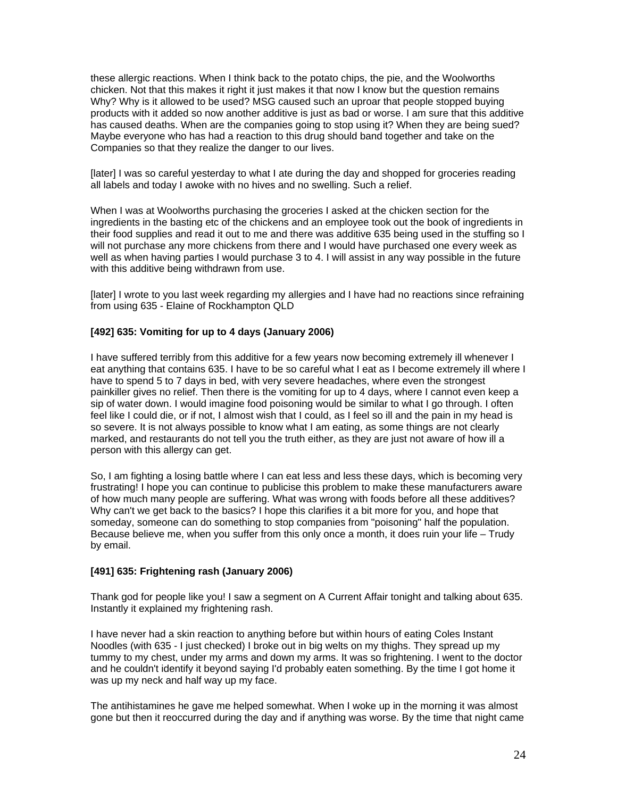these allergic reactions. When I think back to the potato chips, the pie, and the Woolworths chicken. Not that this makes it right it just makes it that now I know but the question remains Why? Why is it allowed to be used? MSG caused such an uproar that people stopped buying products with it added so now another additive is just as bad or worse. I am sure that this additive has caused deaths. When are the companies going to stop using it? When they are being sued? Maybe everyone who has had a reaction to this drug should band together and take on the Companies so that they realize the danger to our lives.

[later] I was so careful yesterday to what I ate during the day and shopped for groceries reading all labels and today I awoke with no hives and no swelling. Such a relief.

When I was at Woolworths purchasing the groceries I asked at the chicken section for the ingredients in the basting etc of the chickens and an employee took out the book of ingredients in their food supplies and read it out to me and there was additive 635 being used in the stuffing so I will not purchase any more chickens from there and I would have purchased one every week as well as when having parties I would purchase 3 to 4. I will assist in any way possible in the future with this additive being withdrawn from use.

[later] I wrote to you last week regarding my allergies and I have had no reactions since refraining from using 635 - Elaine of Rockhampton QLD

#### **[492] 635: Vomiting for up to 4 days (January 2006)**

I have suffered terribly from this additive for a few years now becoming extremely ill whenever I eat anything that contains 635. I have to be so careful what I eat as I become extremely ill where I have to spend 5 to 7 days in bed, with very severe headaches, where even the strongest painkiller gives no relief. Then there is the vomiting for up to 4 days, where I cannot even keep a sip of water down. I would imagine food poisoning would be similar to what I go through. I often feel like I could die, or if not, I almost wish that I could, as I feel so ill and the pain in my head is so severe. It is not always possible to know what I am eating, as some things are not clearly marked, and restaurants do not tell you the truth either, as they are just not aware of how ill a person with this allergy can get.

So, I am fighting a losing battle where I can eat less and less these days, which is becoming very frustrating! I hope you can continue to publicise this problem to make these manufacturers aware of how much many people are suffering. What was wrong with foods before all these additives? Why can't we get back to the basics? I hope this clarifies it a bit more for you, and hope that someday, someone can do something to stop companies from "poisoning" half the population. Because believe me, when you suffer from this only once a month, it does ruin your life – Trudy by email.

#### **[491] 635: Frightening rash (January 2006)**

Thank god for people like you! I saw a segment on A Current Affair tonight and talking about 635. Instantly it explained my frightening rash.

I have never had a skin reaction to anything before but within hours of eating Coles Instant Noodles (with 635 - I just checked) I broke out in big welts on my thighs. They spread up my tummy to my chest, under my arms and down my arms. It was so frightening. I went to the doctor and he couldn't identify it beyond saying I'd probably eaten something. By the time I got home it was up my neck and half way up my face.

The antihistamines he gave me helped somewhat. When I woke up in the morning it was almost gone but then it reoccurred during the day and if anything was worse. By the time that night came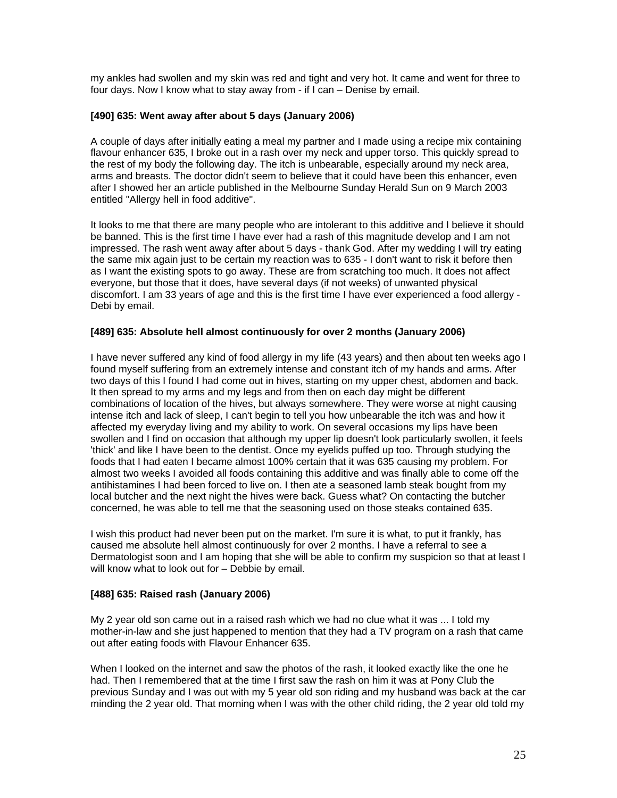my ankles had swollen and my skin was red and tight and very hot. It came and went for three to four days. Now I know what to stay away from - if I can – Denise by email.

#### **[490] 635: Went away after about 5 days (January 2006)**

A couple of days after initially eating a meal my partner and I made using a recipe mix containing flavour enhancer 635, I broke out in a rash over my neck and upper torso. This quickly spread to the rest of my body the following day. The itch is unbearable, especially around my neck area, arms and breasts. The doctor didn't seem to believe that it could have been this enhancer, even after I showed her an article published in the Melbourne Sunday Herald Sun on 9 March 2003 entitled "Allergy hell in food additive".

It looks to me that there are many people who are intolerant to this additive and I believe it should be banned. This is the first time I have ever had a rash of this magnitude develop and I am not impressed. The rash went away after about 5 days - thank God. After my wedding I will try eating the same mix again just to be certain my reaction was to 635 - I don't want to risk it before then as I want the existing spots to go away. These are from scratching too much. It does not affect everyone, but those that it does, have several days (if not weeks) of unwanted physical discomfort. I am 33 years of age and this is the first time I have ever experienced a food allergy - Debi by email.

#### **[489] 635: Absolute hell almost continuously for over 2 months (January 2006)**

I have never suffered any kind of food allergy in my life (43 years) and then about ten weeks ago I found myself suffering from an extremely intense and constant itch of my hands and arms. After two days of this I found I had come out in hives, starting on my upper chest, abdomen and back. It then spread to my arms and my legs and from then on each day might be different combinations of location of the hives, but always somewhere. They were worse at night causing intense itch and lack of sleep, I can't begin to tell you how unbearable the itch was and how it affected my everyday living and my ability to work. On several occasions my lips have been swollen and I find on occasion that although my upper lip doesn't look particularly swollen, it feels 'thick' and like I have been to the dentist. Once my eyelids puffed up too. Through studying the foods that I had eaten I became almost 100% certain that it was 635 causing my problem. For almost two weeks I avoided all foods containing this additive and was finally able to come off the antihistamines I had been forced to live on. I then ate a seasoned lamb steak bought from my local butcher and the next night the hives were back. Guess what? On contacting the butcher concerned, he was able to tell me that the seasoning used on those steaks contained 635.

I wish this product had never been put on the market. I'm sure it is what, to put it frankly, has caused me absolute hell almost continuously for over 2 months. I have a referral to see a Dermatologist soon and I am hoping that she will be able to confirm my suspicion so that at least I will know what to look out for – Debbie by email.

### **[488] 635: Raised rash (January 2006)**

My 2 year old son came out in a raised rash which we had no clue what it was ... I told my mother-in-law and she just happened to mention that they had a TV program on a rash that came out after eating foods with Flavour Enhancer 635.

When I looked on the internet and saw the photos of the rash, it looked exactly like the one he had. Then I remembered that at the time I first saw the rash on him it was at Pony Club the previous Sunday and I was out with my 5 year old son riding and my husband was back at the car minding the 2 year old. That morning when I was with the other child riding, the 2 year old told my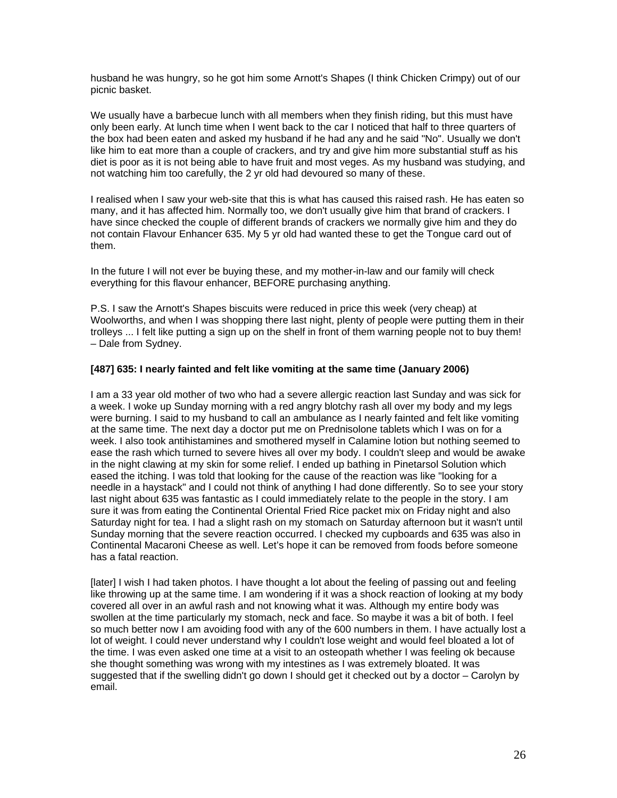husband he was hungry, so he got him some Arnott's Shapes (I think Chicken Crimpy) out of our picnic basket.

We usually have a barbecue lunch with all members when they finish riding, but this must have only been early. At lunch time when I went back to the car I noticed that half to three quarters of the box had been eaten and asked my husband if he had any and he said "No". Usually we don't like him to eat more than a couple of crackers, and try and give him more substantial stuff as his diet is poor as it is not being able to have fruit and most veges. As my husband was studying, and not watching him too carefully, the 2 yr old had devoured so many of these.

I realised when I saw your web-site that this is what has caused this raised rash. He has eaten so many, and it has affected him. Normally too, we don't usually give him that brand of crackers. I have since checked the couple of different brands of crackers we normally give him and they do not contain Flavour Enhancer 635. My 5 yr old had wanted these to get the Tongue card out of them.

In the future I will not ever be buying these, and my mother-in-law and our family will check everything for this flavour enhancer, BEFORE purchasing anything.

P.S. I saw the Arnott's Shapes biscuits were reduced in price this week (very cheap) at Woolworths, and when I was shopping there last night, plenty of people were putting them in their trolleys ... I felt like putting a sign up on the shelf in front of them warning people not to buy them! – Dale from Sydney.

#### **[487] 635: I nearly fainted and felt like vomiting at the same time (January 2006)**

I am a 33 year old mother of two who had a severe allergic reaction last Sunday and was sick for a week. I woke up Sunday morning with a red angry blotchy rash all over my body and my legs were burning. I said to my husband to call an ambulance as I nearly fainted and felt like vomiting at the same time. The next day a doctor put me on Prednisolone tablets which I was on for a week. I also took antihistamines and smothered myself in Calamine lotion but nothing seemed to ease the rash which turned to severe hives all over my body. I couldn't sleep and would be awake in the night clawing at my skin for some relief. I ended up bathing in Pinetarsol Solution which eased the itching. I was told that looking for the cause of the reaction was like "looking for a needle in a haystack" and I could not think of anything I had done differently. So to see your story last night about 635 was fantastic as I could immediately relate to the people in the story. I am sure it was from eating the Continental Oriental Fried Rice packet mix on Friday night and also Saturday night for tea. I had a slight rash on my stomach on Saturday afternoon but it wasn't until Sunday morning that the severe reaction occurred. I checked my cupboards and 635 was also in Continental Macaroni Cheese as well. Let's hope it can be removed from foods before someone has a fatal reaction.

[later] I wish I had taken photos. I have thought a lot about the feeling of passing out and feeling like throwing up at the same time. I am wondering if it was a shock reaction of looking at my body covered all over in an awful rash and not knowing what it was. Although my entire body was swollen at the time particularly my stomach, neck and face. So maybe it was a bit of both. I feel so much better now I am avoiding food with any of the 600 numbers in them. I have actually lost a lot of weight. I could never understand why I couldn't lose weight and would feel bloated a lot of the time. I was even asked one time at a visit to an osteopath whether I was feeling ok because she thought something was wrong with my intestines as I was extremely bloated. It was suggested that if the swelling didn't go down I should get it checked out by a doctor – Carolyn by email.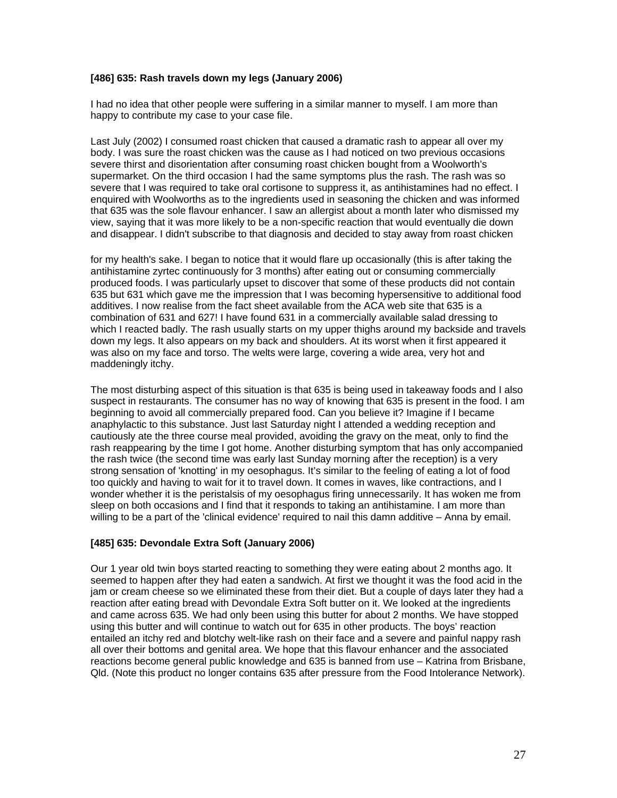#### **[486] 635: Rash travels down my legs (January 2006)**

I had no idea that other people were suffering in a similar manner to myself. I am more than happy to contribute my case to your case file.

Last July (2002) I consumed roast chicken that caused a dramatic rash to appear all over my body. I was sure the roast chicken was the cause as I had noticed on two previous occasions severe thirst and disorientation after consuming roast chicken bought from a Woolworth's supermarket. On the third occasion I had the same symptoms plus the rash. The rash was so severe that I was required to take oral cortisone to suppress it, as antihistamines had no effect. I enquired with Woolworths as to the ingredients used in seasoning the chicken and was informed that 635 was the sole flavour enhancer. I saw an allergist about a month later who dismissed my view, saying that it was more likely to be a non-specific reaction that would eventually die down and disappear. I didn't subscribe to that diagnosis and decided to stay away from roast chicken

for my health's sake. I began to notice that it would flare up occasionally (this is after taking the antihistamine zyrtec continuously for 3 months) after eating out or consuming commercially produced foods. I was particularly upset to discover that some of these products did not contain 635 but 631 which gave me the impression that I was becoming hypersensitive to additional food additives. I now realise from the fact sheet available from the ACA web site that 635 is a combination of 631 and 627! I have found 631 in a commercially available salad dressing to which I reacted badly. The rash usually starts on my upper thighs around my backside and travels down my legs. It also appears on my back and shoulders. At its worst when it first appeared it was also on my face and torso. The welts were large, covering a wide area, very hot and maddeningly itchy.

The most disturbing aspect of this situation is that 635 is being used in takeaway foods and I also suspect in restaurants. The consumer has no way of knowing that 635 is present in the food. I am beginning to avoid all commercially prepared food. Can you believe it? Imagine if I became anaphylactic to this substance. Just last Saturday night I attended a wedding reception and cautiously ate the three course meal provided, avoiding the gravy on the meat, only to find the rash reappearing by the time I got home. Another disturbing symptom that has only accompanied the rash twice (the second time was early last Sunday morning after the reception) is a very strong sensation of 'knotting' in my oesophagus. It's similar to the feeling of eating a lot of food too quickly and having to wait for it to travel down. It comes in waves, like contractions, and I wonder whether it is the peristalsis of my oesophagus firing unnecessarily. It has woken me from sleep on both occasions and I find that it responds to taking an antihistamine. I am more than willing to be a part of the 'clinical evidence' required to nail this damn additive – Anna by email.

### **[485] 635: Devondale Extra Soft (January 2006)**

Our 1 year old twin boys started reacting to something they were eating about 2 months ago. It seemed to happen after they had eaten a sandwich. At first we thought it was the food acid in the jam or cream cheese so we eliminated these from their diet. But a couple of days later they had a reaction after eating bread with Devondale Extra Soft butter on it. We looked at the ingredients and came across 635. We had only been using this butter for about 2 months. We have stopped using this butter and will continue to watch out for 635 in other products. The boys' reaction entailed an itchy red and blotchy welt-like rash on their face and a severe and painful nappy rash all over their bottoms and genital area. We hope that this flavour enhancer and the associated reactions become general public knowledge and 635 is banned from use – Katrina from Brisbane, Qld. (Note this product no longer contains 635 after pressure from the Food Intolerance Network).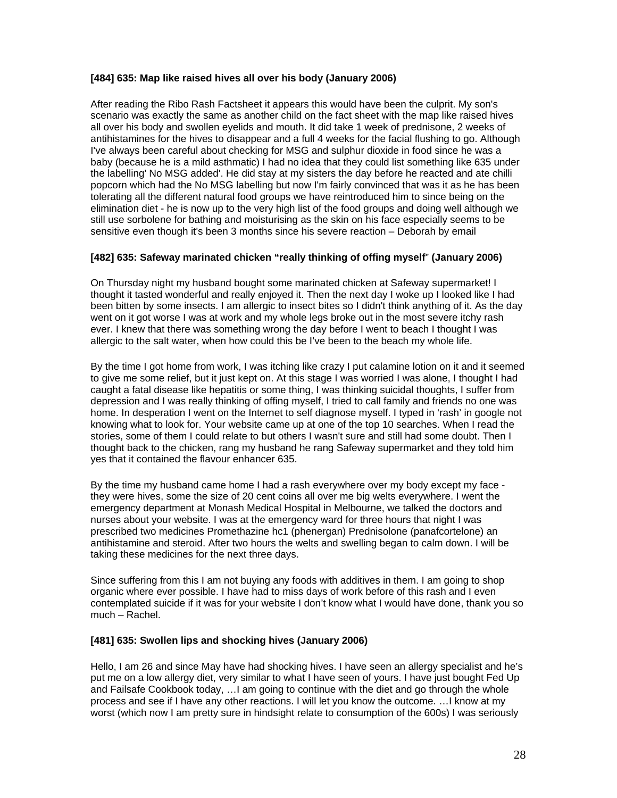#### **[484] 635: Map like raised hives all over his body (January 2006)**

After reading the Ribo Rash Factsheet it appears this would have been the culprit. My son's scenario was exactly the same as another child on the fact sheet with the map like raised hives all over his body and swollen eyelids and mouth. It did take 1 week of prednisone, 2 weeks of antihistamines for the hives to disappear and a full 4 weeks for the facial flushing to go. Although I've always been careful about checking for MSG and sulphur dioxide in food since he was a baby (because he is a mild asthmatic) I had no idea that they could list something like 635 under the labelling' No MSG added'. He did stay at my sisters the day before he reacted and ate chilli popcorn which had the No MSG labelling but now I'm fairly convinced that was it as he has been tolerating all the different natural food groups we have reintroduced him to since being on the elimination diet - he is now up to the very high list of the food groups and doing well although we still use sorbolene for bathing and moisturising as the skin on his face especially seems to be sensitive even though it's been 3 months since his severe reaction – Deborah by email

#### **[482] 635: Safeway marinated chicken "really thinking of offing myself**" **(January 2006)**

On Thursday night my husband bought some marinated chicken at Safeway supermarket! I thought it tasted wonderful and really enjoyed it. Then the next day I woke up I looked like I had been bitten by some insects. I am allergic to insect bites so I didn't think anything of it. As the day went on it got worse I was at work and my whole legs broke out in the most severe itchy rash ever. I knew that there was something wrong the day before I went to beach I thought I was allergic to the salt water, when how could this be I've been to the beach my whole life.

By the time I got home from work, I was itching like crazy I put calamine lotion on it and it seemed to give me some relief, but it just kept on. At this stage I was worried I was alone, I thought I had caught a fatal disease like hepatitis or some thing, I was thinking suicidal thoughts, I suffer from depression and I was really thinking of offing myself, I tried to call family and friends no one was home. In desperation I went on the Internet to self diagnose myself. I typed in 'rash' in google not knowing what to look for. Your website came up at one of the top 10 searches. When I read the stories, some of them I could relate to but others I wasn't sure and still had some doubt. Then I thought back to the chicken, rang my husband he rang Safeway supermarket and they told him yes that it contained the flavour enhancer 635.

By the time my husband came home I had a rash everywhere over my body except my face they were hives, some the size of 20 cent coins all over me big welts everywhere. I went the emergency department at Monash Medical Hospital in Melbourne, we talked the doctors and nurses about your website. I was at the emergency ward for three hours that night I was prescribed two medicines Promethazine hc1 (phenergan) Prednisolone (panafcortelone) an antihistamine and steroid. After two hours the welts and swelling began to calm down. I will be taking these medicines for the next three days.

Since suffering from this I am not buying any foods with additives in them. I am going to shop organic where ever possible. I have had to miss days of work before of this rash and I even contemplated suicide if it was for your website I don't know what I would have done, thank you so much – Rachel.

#### **[481] 635: Swollen lips and shocking hives (January 2006)**

Hello, I am 26 and since May have had shocking hives. I have seen an allergy specialist and he's put me on a low allergy diet, very similar to what I have seen of yours. I have just bought Fed Up and Failsafe Cookbook today, …I am going to continue with the diet and go through the whole process and see if I have any other reactions. I will let you know the outcome. …I know at my worst (which now I am pretty sure in hindsight relate to consumption of the 600s) I was seriously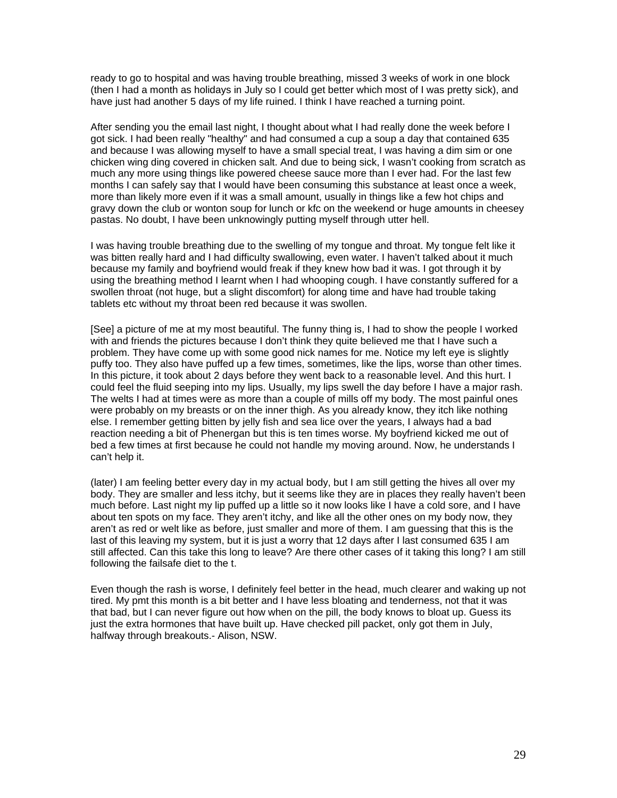ready to go to hospital and was having trouble breathing, missed 3 weeks of work in one block (then I had a month as holidays in July so I could get better which most of I was pretty sick), and have just had another 5 days of my life ruined. I think I have reached a turning point.

After sending you the email last night, I thought about what I had really done the week before I got sick. I had been really "healthy" and had consumed a cup a soup a day that contained 635 and because I was allowing myself to have a small special treat, I was having a dim sim or one chicken wing ding covered in chicken salt. And due to being sick, I wasn't cooking from scratch as much any more using things like powered cheese sauce more than I ever had. For the last few months I can safely say that I would have been consuming this substance at least once a week, more than likely more even if it was a small amount, usually in things like a few hot chips and gravy down the club or wonton soup for lunch or kfc on the weekend or huge amounts in cheesey pastas. No doubt, I have been unknowingly putting myself through utter hell.

I was having trouble breathing due to the swelling of my tongue and throat. My tongue felt like it was bitten really hard and I had difficulty swallowing, even water. I haven't talked about it much because my family and boyfriend would freak if they knew how bad it was. I got through it by using the breathing method I learnt when I had whooping cough. I have constantly suffered for a swollen throat (not huge, but a slight discomfort) for along time and have had trouble taking tablets etc without my throat been red because it was swollen.

[See] a picture of me at my most beautiful. The funny thing is, I had to show the people I worked with and friends the pictures because I don't think they quite believed me that I have such a problem. They have come up with some good nick names for me. Notice my left eye is slightly puffy too. They also have puffed up a few times, sometimes, like the lips, worse than other times. In this picture, it took about 2 days before they went back to a reasonable level. And this hurt. I could feel the fluid seeping into my lips. Usually, my lips swell the day before I have a major rash. The welts I had at times were as more than a couple of mills off my body. The most painful ones were probably on my breasts or on the inner thigh. As you already know, they itch like nothing else. I remember getting bitten by jelly fish and sea lice over the years, I always had a bad reaction needing a bit of Phenergan but this is ten times worse. My boyfriend kicked me out of bed a few times at first because he could not handle my moving around. Now, he understands I can't help it.

(later) I am feeling better every day in my actual body, but I am still getting the hives all over my body. They are smaller and less itchy, but it seems like they are in places they really haven't been much before. Last night my lip puffed up a little so it now looks like I have a cold sore, and I have about ten spots on my face. They aren't itchy, and like all the other ones on my body now, they aren't as red or welt like as before, just smaller and more of them. I am guessing that this is the last of this leaving my system, but it is just a worry that 12 days after I last consumed 635 I am still affected. Can this take this long to leave? Are there other cases of it taking this long? I am still following the failsafe diet to the t.

Even though the rash is worse, I definitely feel better in the head, much clearer and waking up not tired. My pmt this month is a bit better and I have less bloating and tenderness, not that it was that bad, but I can never figure out how when on the pill, the body knows to bloat up. Guess its just the extra hormones that have built up. Have checked pill packet, only got them in July, halfway through breakouts.- Alison, NSW.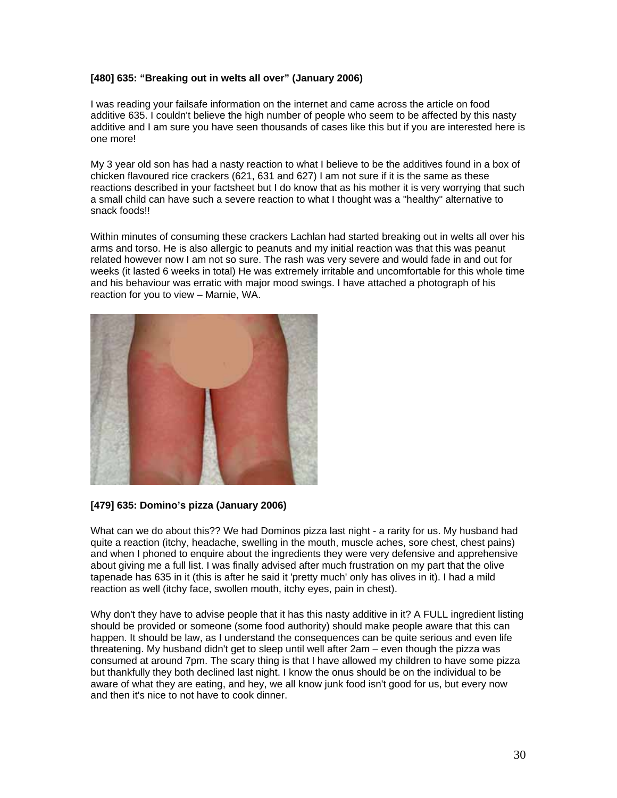### **[480] 635: "Breaking out in welts all over" (January 2006)**

I was reading your failsafe information on the internet and came across the article on food additive 635. I couldn't believe the high number of people who seem to be affected by this nasty additive and I am sure you have seen thousands of cases like this but if you are interested here is one more!

My 3 year old son has had a nasty reaction to what I believe to be the additives found in a box of chicken flavoured rice crackers (621, 631 and 627) I am not sure if it is the same as these reactions described in your factsheet but I do know that as his mother it is very worrying that such a small child can have such a severe reaction to what I thought was a "healthy" alternative to snack foods!!

Within minutes of consuming these crackers Lachlan had started breaking out in welts all over his arms and torso. He is also allergic to peanuts and my initial reaction was that this was peanut related however now I am not so sure. The rash was very severe and would fade in and out for weeks (it lasted 6 weeks in total) He was extremely irritable and uncomfortable for this whole time and his behaviour was erratic with major mood swings. I have attached a photograph of his reaction for you to view – Marnie, WA.



#### **[479] 635: Domino's pizza (January 2006)**

What can we do about this?? We had Dominos pizza last night - a rarity for us. My husband had quite a reaction (itchy, headache, swelling in the mouth, muscle aches, sore chest, chest pains) and when I phoned to enquire about the ingredients they were very defensive and apprehensive about giving me a full list. I was finally advised after much frustration on my part that the olive tapenade has 635 in it (this is after he said it 'pretty much' only has olives in it). I had a mild reaction as well (itchy face, swollen mouth, itchy eyes, pain in chest).

Why don't they have to advise people that it has this nasty additive in it? A FULL ingredient listing should be provided or someone (some food authority) should make people aware that this can happen. It should be law, as I understand the consequences can be quite serious and even life threatening. My husband didn't get to sleep until well after 2am – even though the pizza was consumed at around 7pm. The scary thing is that I have allowed my children to have some pizza but thankfully they both declined last night. I know the onus should be on the individual to be aware of what they are eating, and hey, we all know junk food isn't good for us, but every now and then it's nice to not have to cook dinner.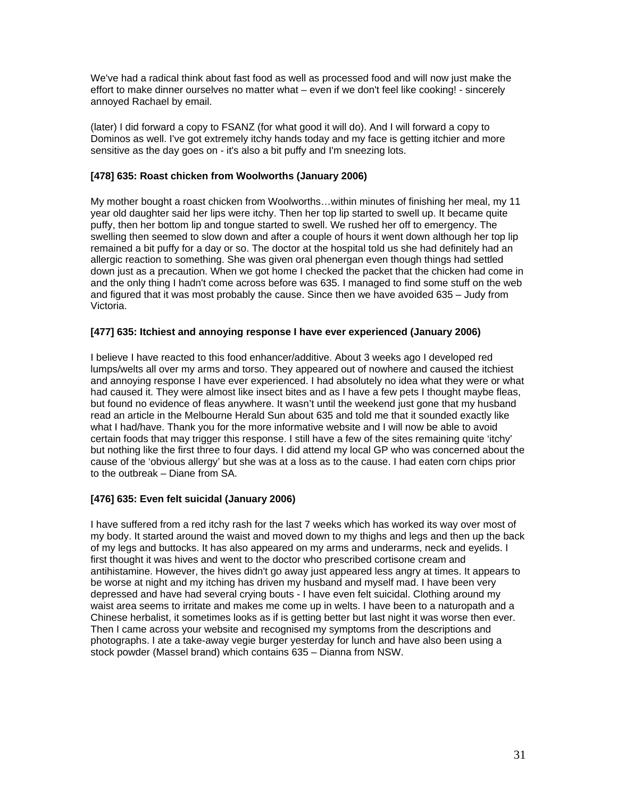We've had a radical think about fast food as well as processed food and will now just make the effort to make dinner ourselves no matter what – even if we don't feel like cooking! - sincerely annoyed Rachael by email.

(later) I did forward a copy to FSANZ (for what good it will do). And I will forward a copy to Dominos as well. I've got extremely itchy hands today and my face is getting itchier and more sensitive as the day goes on - it's also a bit puffy and I'm sneezing lots.

### **[478] 635: Roast chicken from Woolworths (January 2006)**

My mother bought a roast chicken from Woolworths…within minutes of finishing her meal, my 11 year old daughter said her lips were itchy. Then her top lip started to swell up. It became quite puffy, then her bottom lip and tongue started to swell. We rushed her off to emergency. The swelling then seemed to slow down and after a couple of hours it went down although her top lip remained a bit puffy for a day or so. The doctor at the hospital told us she had definitely had an allergic reaction to something. She was given oral phenergan even though things had settled down just as a precaution. When we got home I checked the packet that the chicken had come in and the only thing I hadn't come across before was 635. I managed to find some stuff on the web and figured that it was most probably the cause. Since then we have avoided 635 – Judy from Victoria.

#### **[477] 635: Itchiest and annoying response I have ever experienced (January 2006)**

I believe I have reacted to this food enhancer/additive. About 3 weeks ago I developed red lumps/welts all over my arms and torso. They appeared out of nowhere and caused the itchiest and annoying response I have ever experienced. I had absolutely no idea what they were or what had caused it. They were almost like insect bites and as I have a few pets I thought maybe fleas, but found no evidence of fleas anywhere. It wasn't until the weekend just gone that my husband read an article in the Melbourne Herald Sun about 635 and told me that it sounded exactly like what I had/have. Thank you for the more informative website and I will now be able to avoid certain foods that may trigger this response. I still have a few of the sites remaining quite 'itchy' but nothing like the first three to four days. I did attend my local GP who was concerned about the cause of the 'obvious allergy' but she was at a loss as to the cause. I had eaten corn chips prior to the outbreak – Diane from SA.

### **[476] 635: Even felt suicidal (January 2006)**

I have suffered from a red itchy rash for the last 7 weeks which has worked its way over most of my body. It started around the waist and moved down to my thighs and legs and then up the back of my legs and buttocks. It has also appeared on my arms and underarms, neck and eyelids. I first thought it was hives and went to the doctor who prescribed cortisone cream and antihistamine. However, the hives didn't go away just appeared less angry at times. It appears to be worse at night and my itching has driven my husband and myself mad. I have been very depressed and have had several crying bouts - I have even felt suicidal. Clothing around my waist area seems to irritate and makes me come up in welts. I have been to a naturopath and a Chinese herbalist, it sometimes looks as if is getting better but last night it was worse then ever. Then I came across your website and recognised my symptoms from the descriptions and photographs. I ate a take-away vegie burger yesterday for lunch and have also been using a stock powder (Massel brand) which contains 635 – Dianna from NSW.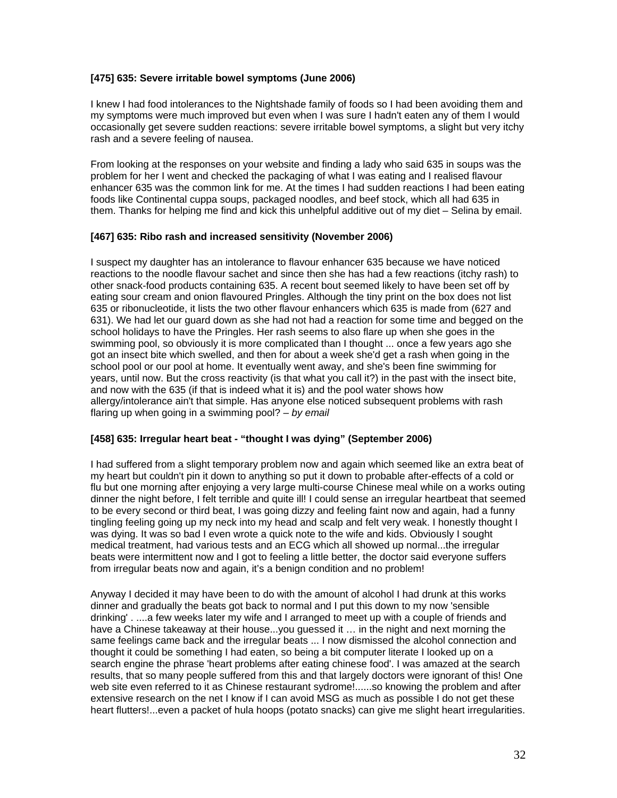### **[475] 635: Severe irritable bowel symptoms (June 2006)**

I knew I had food intolerances to the Nightshade family of foods so I had been avoiding them and my symptoms were much improved but even when I was sure I hadn't eaten any of them I would occasionally get severe sudden reactions: severe irritable bowel symptoms, a slight but very itchy rash and a severe feeling of nausea.

From looking at the responses on your website and finding a lady who said 635 in soups was the problem for her I went and checked the packaging of what I was eating and I realised flavour enhancer 635 was the common link for me. At the times I had sudden reactions I had been eating foods like Continental cuppa soups, packaged noodles, and beef stock, which all had 635 in them. Thanks for helping me find and kick this unhelpful additive out of my diet – Selina by email.

#### **[467] 635: Ribo rash and increased sensitivity (November 2006)**

I suspect my daughter has an intolerance to flavour enhancer 635 because we have noticed reactions to the noodle flavour sachet and since then she has had a few reactions (itchy rash) to other snack-food products containing 635. A recent bout seemed likely to have been set off by eating sour cream and onion flavoured Pringles. Although the tiny print on the box does not list 635 or ribonucleotide, it lists the two other flavour enhancers which 635 is made from (627 and 631). We had let our guard down as she had not had a reaction for some time and begged on the school holidays to have the Pringles. Her rash seems to also flare up when she goes in the swimming pool, so obviously it is more complicated than I thought ... once a few years ago she got an insect bite which swelled, and then for about a week she'd get a rash when going in the school pool or our pool at home. It eventually went away, and she's been fine swimming for years, until now. But the cross reactivity (is that what you call it?) in the past with the insect bite, and now with the 635 (if that is indeed what it is) and the pool water shows how allergy/intolerance ain't that simple. Has anyone else noticed subsequent problems with rash flaring up when going in a swimming pool? *– by email* 

### **[458] 635: Irregular heart beat - "thought I was dying" (September 2006)**

I had suffered from a slight temporary problem now and again which seemed like an extra beat of my heart but couldn't pin it down to anything so put it down to probable after-effects of a cold or flu but one morning after enjoying a very large multi-course Chinese meal while on a works outing dinner the night before, I felt terrible and quite ill! I could sense an irregular heartbeat that seemed to be every second or third beat, I was going dizzy and feeling faint now and again, had a funny tingling feeling going up my neck into my head and scalp and felt very weak. I honestly thought I was dying. It was so bad I even wrote a quick note to the wife and kids. Obviously I sought medical treatment, had various tests and an ECG which all showed up normal...the irregular beats were intermittent now and I got to feeling a little better, the doctor said everyone suffers from irregular beats now and again, it's a benign condition and no problem!

Anyway I decided it may have been to do with the amount of alcohol I had drunk at this works dinner and gradually the beats got back to normal and I put this down to my now 'sensible drinking' . ....a few weeks later my wife and I arranged to meet up with a couple of friends and have a Chinese takeaway at their house...you guessed it … in the night and next morning the same feelings came back and the irregular beats ... I now dismissed the alcohol connection and thought it could be something I had eaten, so being a bit computer literate I looked up on a search engine the phrase 'heart problems after eating chinese food'. I was amazed at the search results, that so many people suffered from this and that largely doctors were ignorant of this! One web site even referred to it as Chinese restaurant sydrome!......so knowing the problem and after extensive research on the net I know if I can avoid MSG as much as possible I do not get these heart flutters!...even a packet of hula hoops (potato snacks) can give me slight heart irregularities.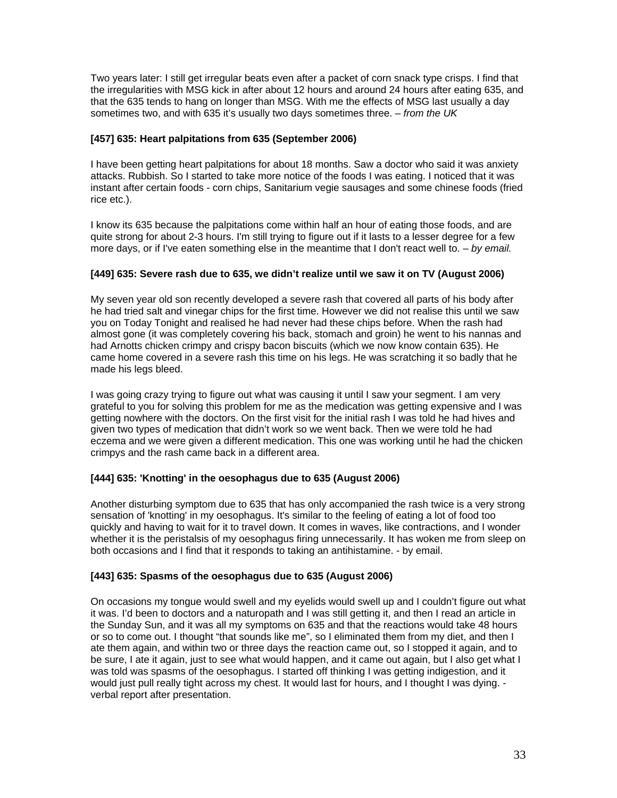Two years later: I still get irregular beats even after a packet of corn snack type crisps. I find that the irregularities with MSG kick in after about 12 hours and around 24 hours after eating 635, and that the 635 tends to hang on longer than MSG. With me the effects of MSG last usually a day sometimes two, and with 635 it's usually two days sometimes three. *– from the UK* 

### **[457] 635: Heart palpitations from 635 (September 2006)**

I have been getting heart palpitations for about 18 months. Saw a doctor who said it was anxiety attacks. Rubbish. So I started to take more notice of the foods I was eating. I noticed that it was instant after certain foods - corn chips, Sanitarium vegie sausages and some chinese foods (fried rice etc.).

I know its 635 because the palpitations come within half an hour of eating those foods, and are quite strong for about 2-3 hours. I'm still trying to figure out if it lasts to a lesser degree for a few more days, or if I've eaten something else in the meantime that I don't react well to. *– by email.* 

### **[449] 635: Severe rash due to 635, we didn't realize until we saw it on TV (August 2006)**

My seven year old son recently developed a severe rash that covered all parts of his body after he had tried salt and vinegar chips for the first time. However we did not realise this until we saw you on Today Tonight and realised he had never had these chips before. When the rash had almost gone (it was completely covering his back, stomach and groin) he went to his nannas and had Arnotts chicken crimpy and crispy bacon biscuits (which we now know contain 635). He came home covered in a severe rash this time on his legs. He was scratching it so badly that he made his legs bleed.

I was going crazy trying to figure out what was causing it until I saw your segment. I am very grateful to you for solving this problem for me as the medication was getting expensive and I was getting nowhere with the doctors. On the first visit for the initial rash I was told he had hives and given two types of medication that didn't work so we went back. Then we were told he had eczema and we were given a different medication. This one was working until he had the chicken crimpys and the rash came back in a different area.

### **[444] 635: 'Knotting' in the oesophagus due to 635 (August 2006)**

Another disturbing symptom due to 635 that has only accompanied the rash twice is a very strong sensation of 'knotting' in my oesophagus. It's similar to the feeling of eating a lot of food too quickly and having to wait for it to travel down. It comes in waves, like contractions, and I wonder whether it is the peristalsis of my oesophagus firing unnecessarily. It has woken me from sleep on both occasions and I find that it responds to taking an antihistamine. - by email.

### **[443] 635: Spasms of the oesophagus due to 635 (August 2006)**

On occasions my tongue would swell and my eyelids would swell up and I couldn't figure out what it was. I'd been to doctors and a naturopath and I was still getting it, and then I read an article in the Sunday Sun, and it was all my symptoms on 635 and that the reactions would take 48 hours or so to come out. I thought "that sounds like me", so I eliminated them from my diet, and then I ate them again, and within two or three days the reaction came out, so I stopped it again, and to be sure, I ate it again, just to see what would happen, and it came out again, but I also get what I was told was spasms of the oesophagus. I started off thinking I was getting indigestion, and it would just pull really tight across my chest. It would last for hours, and I thought I was dying. verbal report after presentation.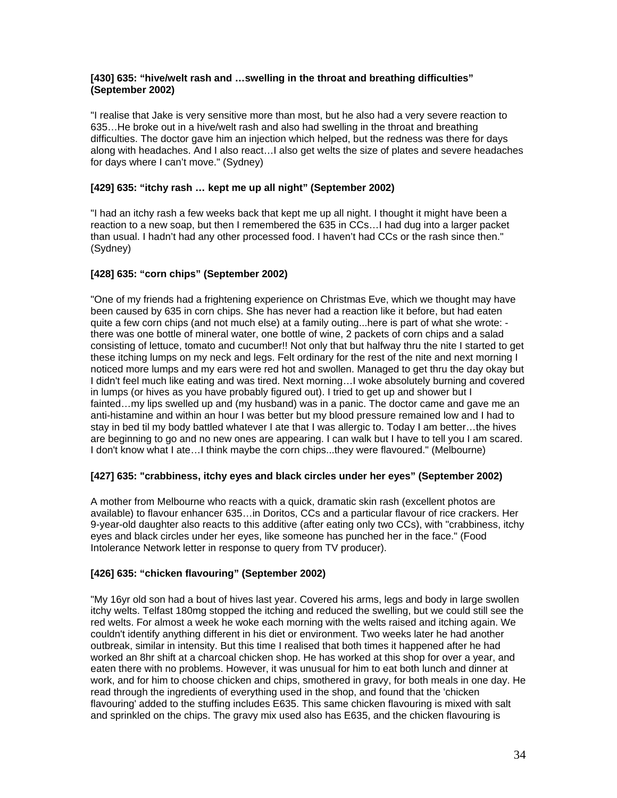#### **[430] 635: "hive/welt rash and …swelling in the throat and breathing difficulties" (September 2002)**

"I realise that Jake is very sensitive more than most, but he also had a very severe reaction to 635…He broke out in a hive/welt rash and also had swelling in the throat and breathing difficulties. The doctor gave him an injection which helped, but the redness was there for days along with headaches. And I also react…I also get welts the size of plates and severe headaches for days where I can't move." (Sydney)

### **[429] 635: "itchy rash … kept me up all night" (September 2002)**

"I had an itchy rash a few weeks back that kept me up all night. I thought it might have been a reaction to a new soap, but then I remembered the 635 in CCs…I had dug into a larger packet than usual. I hadn't had any other processed food. I haven't had CCs or the rash since then." (Sydney)

### **[428] 635: "corn chips" (September 2002)**

"One of my friends had a frightening experience on Christmas Eve, which we thought may have been caused by 635 in corn chips. She has never had a reaction like it before, but had eaten quite a few corn chips (and not much else) at a family outing...here is part of what she wrote: there was one bottle of mineral water, one bottle of wine, 2 packets of corn chips and a salad consisting of lettuce, tomato and cucumber!! Not only that but halfway thru the nite I started to get these itching lumps on my neck and legs. Felt ordinary for the rest of the nite and next morning I noticed more lumps and my ears were red hot and swollen. Managed to get thru the day okay but I didn't feel much like eating and was tired. Next morning…I woke absolutely burning and covered in lumps (or hives as you have probably figured out). I tried to get up and shower but I fainted…my lips swelled up and (my husband) was in a panic. The doctor came and gave me an anti-histamine and within an hour I was better but my blood pressure remained low and I had to stay in bed til my body battled whatever I ate that I was allergic to. Today I am better…the hives are beginning to go and no new ones are appearing. I can walk but I have to tell you I am scared. I don't know what I ate…I think maybe the corn chips...they were flavoured." (Melbourne)

### **[427] 635: "crabbiness, itchy eyes and black circles under her eyes" (September 2002)**

A mother from Melbourne who reacts with a quick, dramatic skin rash (excellent photos are available) to flavour enhancer 635…in Doritos, CCs and a particular flavour of rice crackers. Her 9-year-old daughter also reacts to this additive (after eating only two CCs), with "crabbiness, itchy eyes and black circles under her eyes, like someone has punched her in the face." (Food Intolerance Network letter in response to query from TV producer).

### **[426] 635: "chicken flavouring" (September 2002)**

"My 16yr old son had a bout of hives last year. Covered his arms, legs and body in large swollen itchy welts. Telfast 180mg stopped the itching and reduced the swelling, but we could still see the red welts. For almost a week he woke each morning with the welts raised and itching again. We couldn't identify anything different in his diet or environment. Two weeks later he had another outbreak, similar in intensity. But this time I realised that both times it happened after he had worked an 8hr shift at a charcoal chicken shop. He has worked at this shop for over a year, and eaten there with no problems. However, it was unusual for him to eat both lunch and dinner at work, and for him to choose chicken and chips, smothered in gravy, for both meals in one day. He read through the ingredients of everything used in the shop, and found that the 'chicken flavouring' added to the stuffing includes E635. This same chicken flavouring is mixed with salt and sprinkled on the chips. The gravy mix used also has E635, and the chicken flavouring is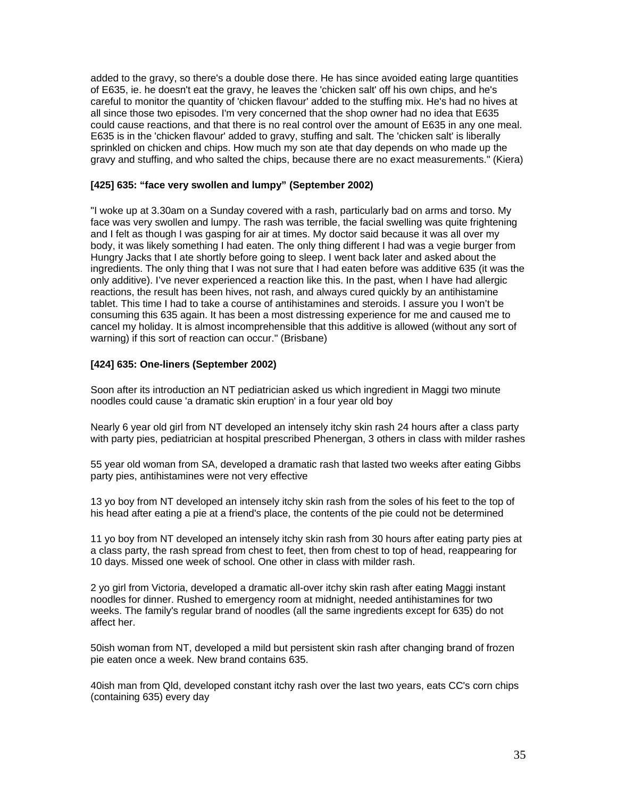added to the gravy, so there's a double dose there. He has since avoided eating large quantities of E635, ie. he doesn't eat the gravy, he leaves the 'chicken salt' off his own chips, and he's careful to monitor the quantity of 'chicken flavour' added to the stuffing mix. He's had no hives at all since those two episodes. I'm very concerned that the shop owner had no idea that E635 could cause reactions, and that there is no real control over the amount of E635 in any one meal. E635 is in the 'chicken flavour' added to gravy, stuffing and salt. The 'chicken salt' is liberally sprinkled on chicken and chips. How much my son ate that day depends on who made up the gravy and stuffing, and who salted the chips, because there are no exact measurements." (Kiera)

#### **[425] 635: "face very swollen and lumpy" (September 2002)**

"I woke up at 3.30am on a Sunday covered with a rash, particularly bad on arms and torso. My face was very swollen and lumpy. The rash was terrible, the facial swelling was quite frightening and I felt as though I was gasping for air at times. My doctor said because it was all over my body, it was likely something I had eaten. The only thing different I had was a vegie burger from Hungry Jacks that I ate shortly before going to sleep. I went back later and asked about the ingredients. The only thing that I was not sure that I had eaten before was additive 635 (it was the only additive). I've never experienced a reaction like this. In the past, when I have had allergic reactions, the result has been hives, not rash, and always cured quickly by an antihistamine tablet. This time I had to take a course of antihistamines and steroids. I assure you I won't be consuming this 635 again. It has been a most distressing experience for me and caused me to cancel my holiday. It is almost incomprehensible that this additive is allowed (without any sort of warning) if this sort of reaction can occur." (Brisbane)

### **[424] 635: One-liners (September 2002)**

Soon after its introduction an NT pediatrician asked us which ingredient in Maggi two minute noodles could cause 'a dramatic skin eruption' in a four year old boy

Nearly 6 year old girl from NT developed an intensely itchy skin rash 24 hours after a class party with party pies, pediatrician at hospital prescribed Phenergan, 3 others in class with milder rashes

55 year old woman from SA, developed a dramatic rash that lasted two weeks after eating Gibbs party pies, antihistamines were not very effective

13 yo boy from NT developed an intensely itchy skin rash from the soles of his feet to the top of his head after eating a pie at a friend's place, the contents of the pie could not be determined

11 yo boy from NT developed an intensely itchy skin rash from 30 hours after eating party pies at a class party, the rash spread from chest to feet, then from chest to top of head, reappearing for 10 days. Missed one week of school. One other in class with milder rash.

2 yo girl from Victoria, developed a dramatic all-over itchy skin rash after eating Maggi instant noodles for dinner. Rushed to emergency room at midnight, needed antihistamines for two weeks. The family's regular brand of noodles (all the same ingredients except for 635) do not affect her.

50ish woman from NT, developed a mild but persistent skin rash after changing brand of frozen pie eaten once a week. New brand contains 635.

40ish man from Qld, developed constant itchy rash over the last two years, eats CC's corn chips (containing 635) every day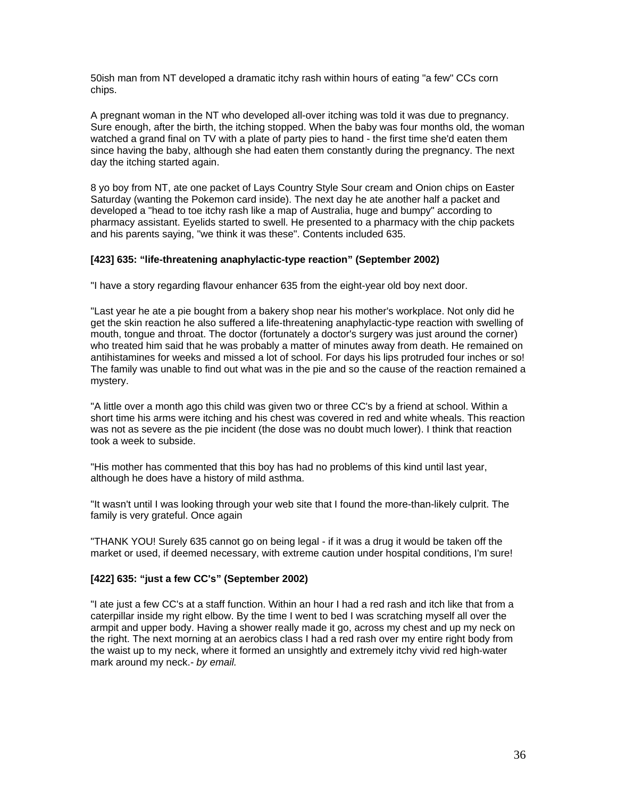50ish man from NT developed a dramatic itchy rash within hours of eating "a few" CCs corn chips.

A pregnant woman in the NT who developed all-over itching was told it was due to pregnancy. Sure enough, after the birth, the itching stopped. When the baby was four months old, the woman watched a grand final on TV with a plate of party pies to hand - the first time she'd eaten them since having the baby, although she had eaten them constantly during the pregnancy. The next day the itching started again.

8 yo boy from NT, ate one packet of Lays Country Style Sour cream and Onion chips on Easter Saturday (wanting the Pokemon card inside). The next day he ate another half a packet and developed a "head to toe itchy rash like a map of Australia, huge and bumpy" according to pharmacy assistant. Eyelids started to swell. He presented to a pharmacy with the chip packets and his parents saying, "we think it was these". Contents included 635.

### **[423] 635: "life-threatening anaphylactic-type reaction" (September 2002)**

"I have a story regarding flavour enhancer 635 from the eight-year old boy next door.

"Last year he ate a pie bought from a bakery shop near his mother's workplace. Not only did he get the skin reaction he also suffered a life-threatening anaphylactic-type reaction with swelling of mouth, tongue and throat. The doctor (fortunately a doctor's surgery was just around the corner) who treated him said that he was probably a matter of minutes away from death. He remained on antihistamines for weeks and missed a lot of school. For days his lips protruded four inches or so! The family was unable to find out what was in the pie and so the cause of the reaction remained a mystery.

"A little over a month ago this child was given two or three CC's by a friend at school. Within a short time his arms were itching and his chest was covered in red and white wheals. This reaction was not as severe as the pie incident (the dose was no doubt much lower). I think that reaction took a week to subside.

"His mother has commented that this boy has had no problems of this kind until last year, although he does have a history of mild asthma.

"It wasn't until I was looking through your web site that I found the more-than-likely culprit. The family is very grateful. Once again

"THANK YOU! Surely 635 cannot go on being legal - if it was a drug it would be taken off the market or used, if deemed necessary, with extreme caution under hospital conditions, I'm sure!

### **[422] 635: "just a few CC's" (September 2002)**

"I ate just a few CC's at a staff function. Within an hour I had a red rash and itch like that from a caterpillar inside my right elbow. By the time I went to bed I was scratching myself all over the armpit and upper body. Having a shower really made it go, across my chest and up my neck on the right. The next morning at an aerobics class I had a red rash over my entire right body from the waist up to my neck, where it formed an unsightly and extremely itchy vivid red high-water mark around my neck.*- by email.*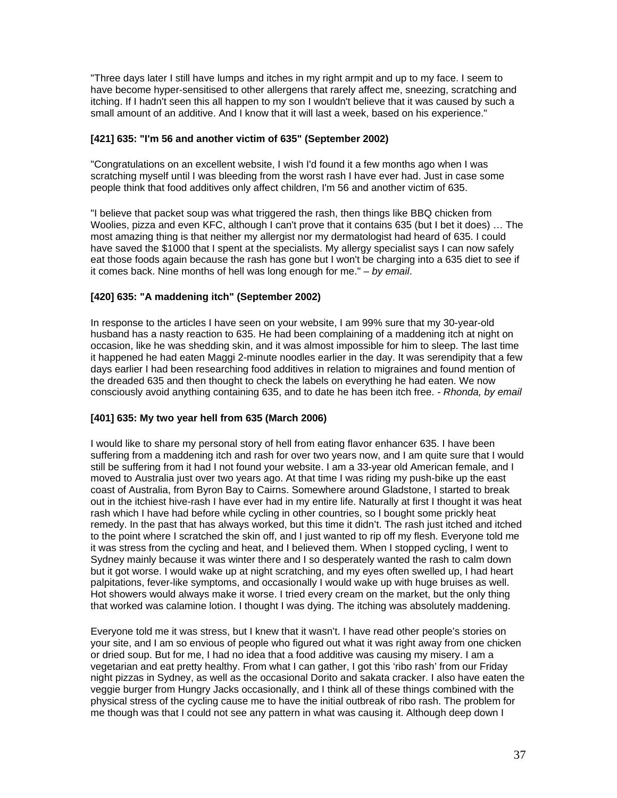"Three days later I still have lumps and itches in my right armpit and up to my face. I seem to have become hyper-sensitised to other allergens that rarely affect me, sneezing, scratching and itching. If I hadn't seen this all happen to my son I wouldn't believe that it was caused by such a small amount of an additive. And I know that it will last a week, based on his experience."

### **[421] 635: "I'm 56 and another victim of 635" (September 2002)**

"Congratulations on an excellent website, I wish I'd found it a few months ago when I was scratching myself until I was bleeding from the worst rash I have ever had. Just in case some people think that food additives only affect children, I'm 56 and another victim of 635.

"I believe that packet soup was what triggered the rash, then things like BBQ chicken from Woolies, pizza and even KFC, although I can't prove that it contains 635 (but I bet it does) … The most amazing thing is that neither my allergist nor my dermatologist had heard of 635. I could have saved the \$1000 that I spent at the specialists. My allergy specialist says I can now safely eat those foods again because the rash has gone but I won't be charging into a 635 diet to see if it comes back. Nine months of hell was long enough for me." *– by email*.

# **[420] 635: "A maddening itch" (September 2002)**

In response to the articles I have seen on your website, I am 99% sure that my 30-year-old husband has a nasty reaction to 635. He had been complaining of a maddening itch at night on occasion, like he was shedding skin, and it was almost impossible for him to sleep. The last time it happened he had eaten Maggi 2-minute noodles earlier in the day. It was serendipity that a few days earlier I had been researching food additives in relation to migraines and found mention of the dreaded 635 and then thought to check the labels on everything he had eaten. We now consciously avoid anything containing 635, and to date he has been itch free. *- Rhonda, by email* 

### **[401] 635: My two year hell from 635 (March 2006)**

I would like to share my personal story of hell from eating flavor enhancer 635. I have been suffering from a maddening itch and rash for over two years now, and I am quite sure that I would still be suffering from it had I not found your website. I am a 33-year old American female, and I moved to Australia just over two years ago. At that time I was riding my push-bike up the east coast of Australia, from Byron Bay to Cairns. Somewhere around Gladstone, I started to break out in the itchiest hive-rash I have ever had in my entire life. Naturally at first I thought it was heat rash which I have had before while cycling in other countries, so I bought some prickly heat remedy. In the past that has always worked, but this time it didn't. The rash just itched and itched to the point where I scratched the skin off, and I just wanted to rip off my flesh. Everyone told me it was stress from the cycling and heat, and I believed them. When I stopped cycling, I went to Sydney mainly because it was winter there and I so desperately wanted the rash to calm down but it got worse. I would wake up at night scratching, and my eyes often swelled up, I had heart palpitations, fever-like symptoms, and occasionally I would wake up with huge bruises as well. Hot showers would always make it worse. I tried every cream on the market, but the only thing that worked was calamine lotion. I thought I was dying. The itching was absolutely maddening.

Everyone told me it was stress, but I knew that it wasn't. I have read other people's stories on your site, and I am so envious of people who figured out what it was right away from one chicken or dried soup. But for me, I had no idea that a food additive was causing my misery. I am a vegetarian and eat pretty healthy. From what I can gather, I got this 'ribo rash' from our Friday night pizzas in Sydney, as well as the occasional Dorito and sakata cracker. I also have eaten the veggie burger from Hungry Jacks occasionally, and I think all of these things combined with the physical stress of the cycling cause me to have the initial outbreak of ribo rash. The problem for me though was that I could not see any pattern in what was causing it. Although deep down I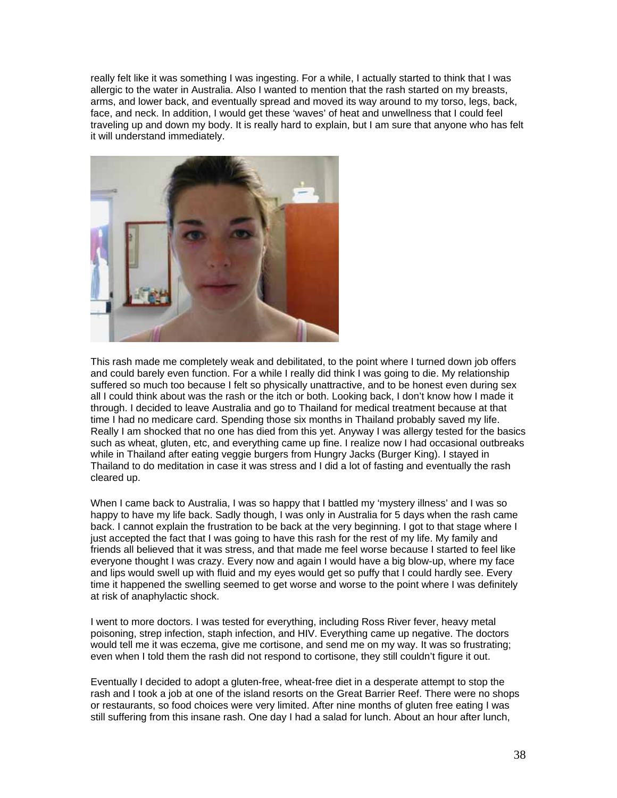really felt like it was something I was ingesting. For a while, I actually started to think that I was allergic to the water in Australia. Also I wanted to mention that the rash started on my breasts, arms, and lower back, and eventually spread and moved its way around to my torso, legs, back, face, and neck. In addition, I would get these 'waves' of heat and unwellness that I could feel traveling up and down my body. It is really hard to explain, but I am sure that anyone who has felt it will understand immediately.



This rash made me completely weak and debilitated, to the point where I turned down job offers and could barely even function. For a while I really did think I was going to die. My relationship suffered so much too because I felt so physically unattractive, and to be honest even during sex all I could think about was the rash or the itch or both. Looking back, I don't know how I made it through. I decided to leave Australia and go to Thailand for medical treatment because at that time I had no medicare card. Spending those six months in Thailand probably saved my life. Really I am shocked that no one has died from this yet. Anyway I was allergy tested for the basics such as wheat, gluten, etc, and everything came up fine. I realize now I had occasional outbreaks while in Thailand after eating veggie burgers from Hungry Jacks (Burger King). I stayed in Thailand to do meditation in case it was stress and I did a lot of fasting and eventually the rash cleared up.

When I came back to Australia, I was so happy that I battled my 'mystery illness' and I was so happy to have my life back. Sadly though, I was only in Australia for 5 days when the rash came back. I cannot explain the frustration to be back at the very beginning. I got to that stage where I just accepted the fact that I was going to have this rash for the rest of my life. My family and friends all believed that it was stress, and that made me feel worse because I started to feel like everyone thought I was crazy. Every now and again I would have a big blow-up, where my face and lips would swell up with fluid and my eyes would get so puffy that I could hardly see. Every time it happened the swelling seemed to get worse and worse to the point where I was definitely at risk of anaphylactic shock.

I went to more doctors. I was tested for everything, including Ross River fever, heavy metal poisoning, strep infection, staph infection, and HIV. Everything came up negative. The doctors would tell me it was eczema, give me cortisone, and send me on my way. It was so frustrating; even when I told them the rash did not respond to cortisone, they still couldn't figure it out.

Eventually I decided to adopt a gluten-free, wheat-free diet in a desperate attempt to stop the rash and I took a job at one of the island resorts on the Great Barrier Reef. There were no shops or restaurants, so food choices were very limited. After nine months of gluten free eating I was still suffering from this insane rash. One day I had a salad for lunch. About an hour after lunch,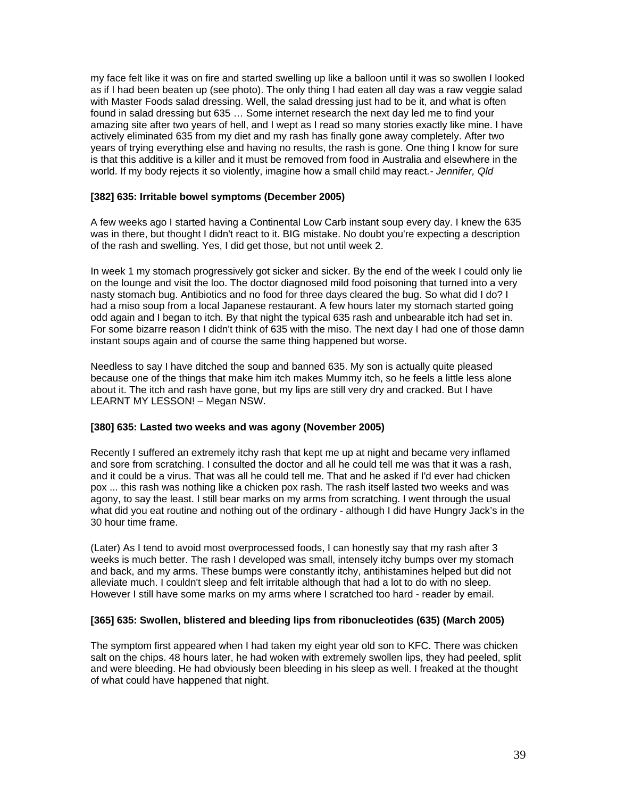my face felt like it was on fire and started swelling up like a balloon until it was so swollen I looked as if I had been beaten up (see photo). The only thing I had eaten all day was a raw veggie salad with Master Foods salad dressing. Well, the salad dressing just had to be it, and what is often found in salad dressing but 635 … Some internet research the next day led me to find your amazing site after two years of hell, and I wept as I read so many stories exactly like mine. I have actively eliminated 635 from my diet and my rash has finally gone away completely. After two years of trying everything else and having no results, the rash is gone. One thing I know for sure is that this additive is a killer and it must be removed from food in Australia and elsewhere in the world. If my body rejects it so violently, imagine how a small child may react*.- Jennifer, Qld* 

### **[382] 635: Irritable bowel symptoms (December 2005)**

A few weeks ago I started having a Continental Low Carb instant soup every day. I knew the 635 was in there, but thought I didn't react to it. BIG mistake. No doubt you're expecting a description of the rash and swelling. Yes, I did get those, but not until week 2.

In week 1 my stomach progressively got sicker and sicker. By the end of the week I could only lie on the lounge and visit the loo. The doctor diagnosed mild food poisoning that turned into a very nasty stomach bug. Antibiotics and no food for three days cleared the bug. So what did I do? I had a miso soup from a local Japanese restaurant. A few hours later my stomach started going odd again and I began to itch. By that night the typical 635 rash and unbearable itch had set in. For some bizarre reason I didn't think of 635 with the miso. The next day I had one of those damn instant soups again and of course the same thing happened but worse.

Needless to say I have ditched the soup and banned 635. My son is actually quite pleased because one of the things that make him itch makes Mummy itch, so he feels a little less alone about it. The itch and rash have gone, but my lips are still very dry and cracked. But I have LEARNT MY LESSON! – Megan NSW.

#### **[380] 635: Lasted two weeks and was agony (November 2005)**

Recently I suffered an extremely itchy rash that kept me up at night and became very inflamed and sore from scratching. I consulted the doctor and all he could tell me was that it was a rash, and it could be a virus. That was all he could tell me. That and he asked if I'd ever had chicken pox ... this rash was nothing like a chicken pox rash. The rash itself lasted two weeks and was agony, to say the least. I still bear marks on my arms from scratching. I went through the usual what did you eat routine and nothing out of the ordinary - although I did have Hungry Jack's in the 30 hour time frame.

(Later) As I tend to avoid most overprocessed foods, I can honestly say that my rash after 3 weeks is much better. The rash I developed was small, intensely itchy bumps over my stomach and back, and my arms. These bumps were constantly itchy, antihistamines helped but did not alleviate much. I couldn't sleep and felt irritable although that had a lot to do with no sleep. However I still have some marks on my arms where I scratched too hard - reader by email.

#### **[365] 635: Swollen, blistered and bleeding lips from ribonucleotides (635) (March 2005)**

The symptom first appeared when I had taken my eight year old son to KFC. There was chicken salt on the chips. 48 hours later, he had woken with extremely swollen lips, they had peeled, split and were bleeding. He had obviously been bleeding in his sleep as well. I freaked at the thought of what could have happened that night.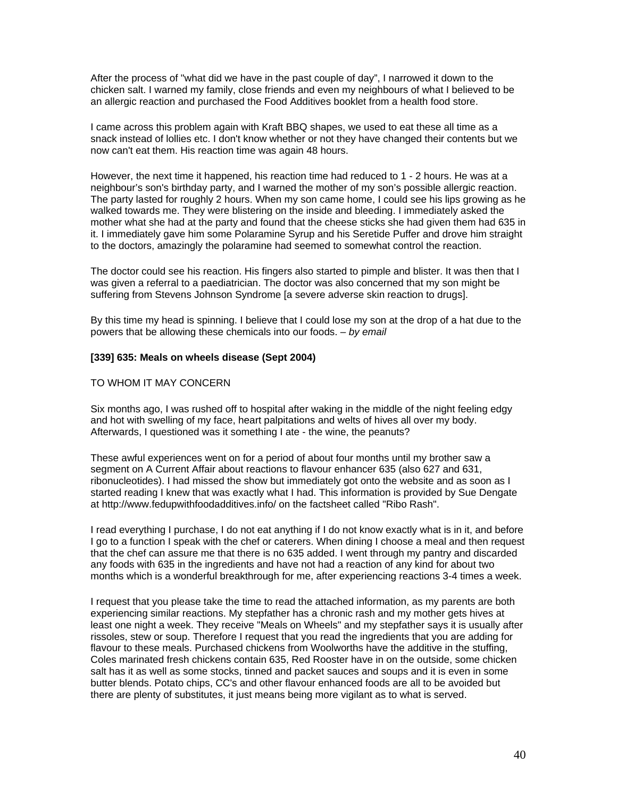After the process of "what did we have in the past couple of day", I narrowed it down to the chicken salt. I warned my family, close friends and even my neighbours of what I believed to be an allergic reaction and purchased the Food Additives booklet from a health food store.

I came across this problem again with Kraft BBQ shapes, we used to eat these all time as a snack instead of lollies etc. I don't know whether or not they have changed their contents but we now can't eat them. His reaction time was again 48 hours.

However, the next time it happened, his reaction time had reduced to 1 - 2 hours. He was at a neighbour's son's birthday party, and I warned the mother of my son's possible allergic reaction. The party lasted for roughly 2 hours. When my son came home, I could see his lips growing as he walked towards me. They were blistering on the inside and bleeding. I immediately asked the mother what she had at the party and found that the cheese sticks she had given them had 635 in it. I immediately gave him some Polaramine Syrup and his Seretide Puffer and drove him straight to the doctors, amazingly the polaramine had seemed to somewhat control the reaction.

The doctor could see his reaction. His fingers also started to pimple and blister. It was then that I was given a referral to a paediatrician. The doctor was also concerned that my son might be suffering from Stevens Johnson Syndrome [a severe adverse skin reaction to drugs].

By this time my head is spinning. I believe that I could lose my son at the drop of a hat due to the powers that be allowing these chemicals into our foods. *– by email* 

#### **[339] 635: Meals on wheels disease (Sept 2004)**

#### TO WHOM IT MAY CONCERN

Six months ago, I was rushed off to hospital after waking in the middle of the night feeling edgy and hot with swelling of my face, heart palpitations and welts of hives all over my body. Afterwards, I questioned was it something I ate - the wine, the peanuts?

These awful experiences went on for a period of about four months until my brother saw a segment on A Current Affair about reactions to flavour enhancer 635 (also 627 and 631, ribonucleotides). I had missed the show but immediately got onto the website and as soon as I started reading I knew that was exactly what I had. This information is provided by Sue Dengate at http://www.fedupwithfoodadditives.info/ on the factsheet called "Ribo Rash".

I read everything I purchase, I do not eat anything if I do not know exactly what is in it, and before I go to a function I speak with the chef or caterers. When dining I choose a meal and then request that the chef can assure me that there is no 635 added. I went through my pantry and discarded any foods with 635 in the ingredients and have not had a reaction of any kind for about two months which is a wonderful breakthrough for me, after experiencing reactions 3-4 times a week.

I request that you please take the time to read the attached information, as my parents are both experiencing similar reactions. My stepfather has a chronic rash and my mother gets hives at least one night a week. They receive "Meals on Wheels" and my stepfather says it is usually after rissoles, stew or soup. Therefore I request that you read the ingredients that you are adding for flavour to these meals. Purchased chickens from Woolworths have the additive in the stuffing, Coles marinated fresh chickens contain 635, Red Rooster have in on the outside, some chicken salt has it as well as some stocks, tinned and packet sauces and soups and it is even in some butter blends. Potato chips, CC's and other flavour enhanced foods are all to be avoided but there are plenty of substitutes, it just means being more vigilant as to what is served.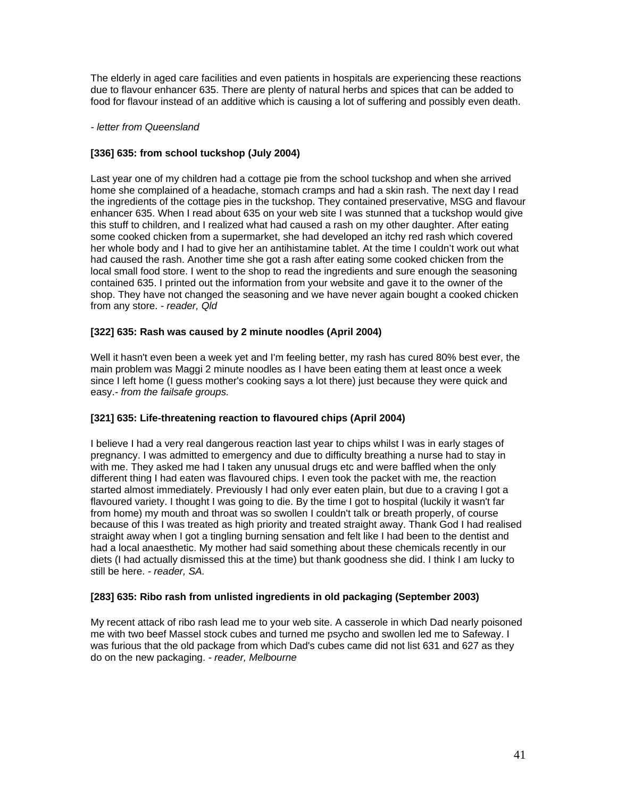The elderly in aged care facilities and even patients in hospitals are experiencing these reactions due to flavour enhancer 635. There are plenty of natural herbs and spices that can be added to food for flavour instead of an additive which is causing a lot of suffering and possibly even death.

#### *- letter from Queensland*

## **[336] 635: from school tuckshop (July 2004)**

Last year one of my children had a cottage pie from the school tuckshop and when she arrived home she complained of a headache, stomach cramps and had a skin rash. The next day I read the ingredients of the cottage pies in the tuckshop. They contained preservative, MSG and flavour enhancer 635. When I read about 635 on your web site I was stunned that a tuckshop would give this stuff to children, and I realized what had caused a rash on my other daughter. After eating some cooked chicken from a supermarket, she had developed an itchy red rash which covered her whole body and I had to give her an antihistamine tablet. At the time I couldn't work out what had caused the rash. Another time she got a rash after eating some cooked chicken from the local small food store. I went to the shop to read the ingredients and sure enough the seasoning contained 635. I printed out the information from your website and gave it to the owner of the shop. They have not changed the seasoning and we have never again bought a cooked chicken from any store. *- reader, Qld* 

### **[322] 635: Rash was caused by 2 minute noodles (April 2004)**

Well it hasn't even been a week yet and I'm feeling better, my rash has cured 80% best ever, the main problem was Maggi 2 minute noodles as I have been eating them at least once a week since I left home (I guess mother's cooking says a lot there) just because they were quick and easy.*- from the failsafe groups.* 

### **[321] 635: Life-threatening reaction to flavoured chips (April 2004)**

I believe I had a very real dangerous reaction last year to chips whilst I was in early stages of pregnancy. I was admitted to emergency and due to difficulty breathing a nurse had to stay in with me. They asked me had I taken any unusual drugs etc and were baffled when the only different thing I had eaten was flavoured chips. I even took the packet with me, the reaction started almost immediately. Previously I had only ever eaten plain, but due to a craving I got a flavoured variety. I thought I was going to die. By the time I got to hospital (luckily it wasn't far from home) my mouth and throat was so swollen I couldn't talk or breath properly, of course because of this I was treated as high priority and treated straight away. Thank God I had realised straight away when I got a tingling burning sensation and felt like I had been to the dentist and had a local anaesthetic. My mother had said something about these chemicals recently in our diets (I had actually dismissed this at the time) but thank goodness she did. I think I am lucky to still be here. *- reader, SA.* 

### **[283] 635: Ribo rash from unlisted ingredients in old packaging (September 2003)**

My recent attack of ribo rash lead me to your web site. A casserole in which Dad nearly poisoned me with two beef Massel stock cubes and turned me psycho and swollen led me to Safeway. I was furious that the old package from which Dad's cubes came did not list 631 and 627 as they do on the new packaging. *- reader, Melbourne*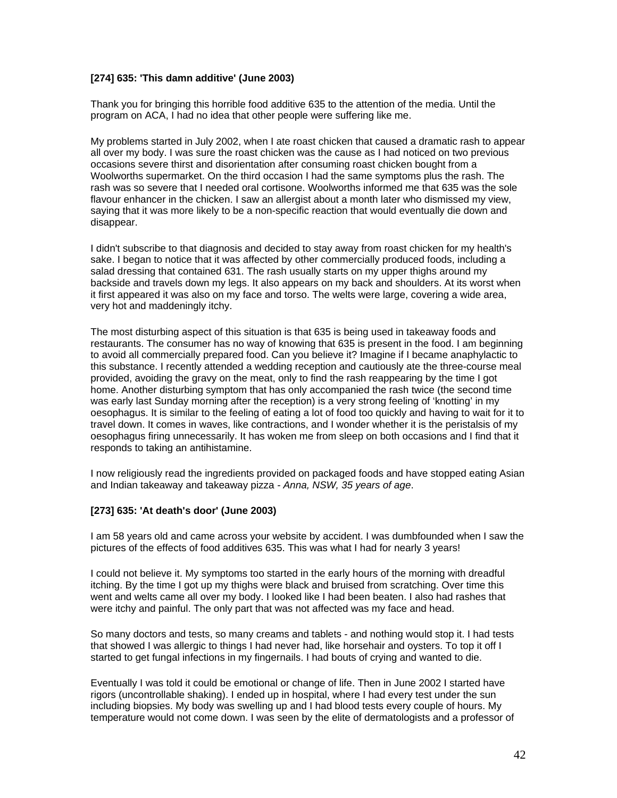# **[274] 635: 'This damn additive' (June 2003)**

Thank you for bringing this horrible food additive 635 to the attention of the media. Until the program on ACA, I had no idea that other people were suffering like me.

My problems started in July 2002, when I ate roast chicken that caused a dramatic rash to appear all over my body. I was sure the roast chicken was the cause as I had noticed on two previous occasions severe thirst and disorientation after consuming roast chicken bought from a Woolworths supermarket. On the third occasion I had the same symptoms plus the rash. The rash was so severe that I needed oral cortisone. Woolworths informed me that 635 was the sole flavour enhancer in the chicken. I saw an allergist about a month later who dismissed my view, saying that it was more likely to be a non-specific reaction that would eventually die down and disappear.

I didn't subscribe to that diagnosis and decided to stay away from roast chicken for my health's sake. I began to notice that it was affected by other commercially produced foods, including a salad dressing that contained 631. The rash usually starts on my upper thighs around my backside and travels down my legs. It also appears on my back and shoulders. At its worst when it first appeared it was also on my face and torso. The welts were large, covering a wide area, very hot and maddeningly itchy.

The most disturbing aspect of this situation is that 635 is being used in takeaway foods and restaurants. The consumer has no way of knowing that 635 is present in the food. I am beginning to avoid all commercially prepared food. Can you believe it? Imagine if I became anaphylactic to this substance. I recently attended a wedding reception and cautiously ate the three-course meal provided, avoiding the gravy on the meat, only to find the rash reappearing by the time I got home. Another disturbing symptom that has only accompanied the rash twice (the second time was early last Sunday morning after the reception) is a very strong feeling of 'knotting' in my oesophagus. It is similar to the feeling of eating a lot of food too quickly and having to wait for it to travel down. It comes in waves, like contractions, and I wonder whether it is the peristalsis of my oesophagus firing unnecessarily. It has woken me from sleep on both occasions and I find that it responds to taking an antihistamine.

I now religiously read the ingredients provided on packaged foods and have stopped eating Asian and Indian takeaway and takeaway pizza *- Anna, NSW, 35 years of age*.

#### **[273] 635: 'At death's door' (June 2003)**

I am 58 years old and came across your website by accident. I was dumbfounded when I saw the pictures of the effects of food additives 635. This was what I had for nearly 3 years!

I could not believe it. My symptoms too started in the early hours of the morning with dreadful itching. By the time I got up my thighs were black and bruised from scratching. Over time this went and welts came all over my body. I looked like I had been beaten. I also had rashes that were itchy and painful. The only part that was not affected was my face and head.

So many doctors and tests, so many creams and tablets - and nothing would stop it. I had tests that showed I was allergic to things I had never had, like horsehair and oysters. To top it off I started to get fungal infections in my fingernails. I had bouts of crying and wanted to die.

Eventually I was told it could be emotional or change of life. Then in June 2002 I started have rigors (uncontrollable shaking). I ended up in hospital, where I had every test under the sun including biopsies. My body was swelling up and I had blood tests every couple of hours. My temperature would not come down. I was seen by the elite of dermatologists and a professor of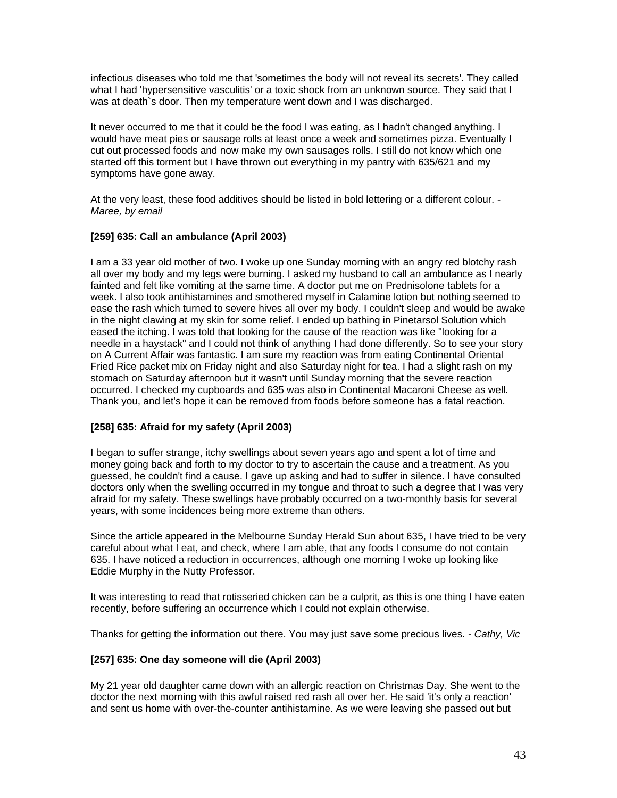infectious diseases who told me that 'sometimes the body will not reveal its secrets'. They called what I had 'hypersensitive vasculitis' or a toxic shock from an unknown source. They said that I was at death`s door. Then my temperature went down and I was discharged.

It never occurred to me that it could be the food I was eating, as I hadn't changed anything. I would have meat pies or sausage rolls at least once a week and sometimes pizza. Eventually I cut out processed foods and now make my own sausages rolls. I still do not know which one started off this torment but I have thrown out everything in my pantry with 635/621 and my symptoms have gone away.

At the very least, these food additives should be listed in bold lettering or a different colour. *- Maree, by email* 

### **[259] 635: Call an ambulance (April 2003)**

I am a 33 year old mother of two. I woke up one Sunday morning with an angry red blotchy rash all over my body and my legs were burning. I asked my husband to call an ambulance as I nearly fainted and felt like vomiting at the same time. A doctor put me on Prednisolone tablets for a week. I also took antihistamines and smothered myself in Calamine lotion but nothing seemed to ease the rash which turned to severe hives all over my body. I couldn't sleep and would be awake in the night clawing at my skin for some relief. I ended up bathing in Pinetarsol Solution which eased the itching. I was told that looking for the cause of the reaction was like "looking for a needle in a haystack" and I could not think of anything I had done differently. So to see your story on A Current Affair was fantastic. I am sure my reaction was from eating Continental Oriental Fried Rice packet mix on Friday night and also Saturday night for tea. I had a slight rash on my stomach on Saturday afternoon but it wasn't until Sunday morning that the severe reaction occurred. I checked my cupboards and 635 was also in Continental Macaroni Cheese as well. Thank you, and let's hope it can be removed from foods before someone has a fatal reaction.

### **[258] 635: Afraid for my safety (April 2003)**

I began to suffer strange, itchy swellings about seven years ago and spent a lot of time and money going back and forth to my doctor to try to ascertain the cause and a treatment. As you guessed, he couldn't find a cause. I gave up asking and had to suffer in silence. I have consulted doctors only when the swelling occurred in my tongue and throat to such a degree that I was very afraid for my safety. These swellings have probably occurred on a two-monthly basis for several years, with some incidences being more extreme than others.

Since the article appeared in the Melbourne Sunday Herald Sun about 635, I have tried to be very careful about what I eat, and check, where I am able, that any foods I consume do not contain 635. I have noticed a reduction in occurrences, although one morning I woke up looking like Eddie Murphy in the Nutty Professor.

It was interesting to read that rotisseried chicken can be a culprit, as this is one thing I have eaten recently, before suffering an occurrence which I could not explain otherwise.

Thanks for getting the information out there. You may just save some precious lives. *- Cathy, Vic* 

### **[257] 635: One day someone will die (April 2003)**

My 21 year old daughter came down with an allergic reaction on Christmas Day. She went to the doctor the next morning with this awful raised red rash all over her. He said 'it's only a reaction' and sent us home with over-the-counter antihistamine. As we were leaving she passed out but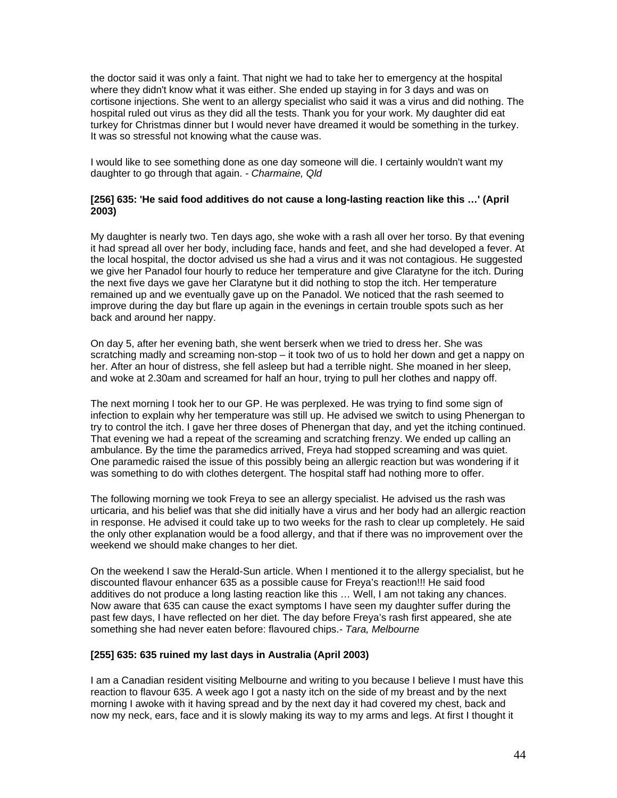the doctor said it was only a faint. That night we had to take her to emergency at the hospital where they didn't know what it was either. She ended up staying in for 3 days and was on cortisone injections. She went to an allergy specialist who said it was a virus and did nothing. The hospital ruled out virus as they did all the tests. Thank you for your work. My daughter did eat turkey for Christmas dinner but I would never have dreamed it would be something in the turkey. It was so stressful not knowing what the cause was.

I would like to see something done as one day someone will die. I certainly wouldn't want my daughter to go through that again. *- Charmaine, Qld* 

#### **[256] 635: 'He said food additives do not cause a long-lasting reaction like this …' (April 2003)**

My daughter is nearly two. Ten days ago, she woke with a rash all over her torso. By that evening it had spread all over her body, including face, hands and feet, and she had developed a fever. At the local hospital, the doctor advised us she had a virus and it was not contagious. He suggested we give her Panadol four hourly to reduce her temperature and give Claratyne for the itch. During the next five days we gave her Claratyne but it did nothing to stop the itch. Her temperature remained up and we eventually gave up on the Panadol. We noticed that the rash seemed to improve during the day but flare up again in the evenings in certain trouble spots such as her back and around her nappy.

On day 5, after her evening bath, she went berserk when we tried to dress her. She was scratching madly and screaming non-stop – it took two of us to hold her down and get a nappy on her. After an hour of distress, she fell asleep but had a terrible night. She moaned in her sleep, and woke at 2.30am and screamed for half an hour, trying to pull her clothes and nappy off.

The next morning I took her to our GP. He was perplexed. He was trying to find some sign of infection to explain why her temperature was still up. He advised we switch to using Phenergan to try to control the itch. I gave her three doses of Phenergan that day, and yet the itching continued. That evening we had a repeat of the screaming and scratching frenzy. We ended up calling an ambulance. By the time the paramedics arrived, Freya had stopped screaming and was quiet. One paramedic raised the issue of this possibly being an allergic reaction but was wondering if it was something to do with clothes detergent. The hospital staff had nothing more to offer.

The following morning we took Freya to see an allergy specialist. He advised us the rash was urticaria, and his belief was that she did initially have a virus and her body had an allergic reaction in response. He advised it could take up to two weeks for the rash to clear up completely. He said the only other explanation would be a food allergy, and that if there was no improvement over the weekend we should make changes to her diet.

On the weekend I saw the Herald-Sun article. When I mentioned it to the allergy specialist, but he discounted flavour enhancer 635 as a possible cause for Freya's reaction!!! He said food additives do not produce a long lasting reaction like this … Well, I am not taking any chances. Now aware that 635 can cause the exact symptoms I have seen my daughter suffer during the past few days, I have reflected on her diet. The day before Freya's rash first appeared, she ate something she had never eaten before: flavoured chips.*- Tara, Melbourne* 

#### **[255] 635: 635 ruined my last days in Australia (April 2003)**

I am a Canadian resident visiting Melbourne and writing to you because I believe I must have this reaction to flavour 635. A week ago I got a nasty itch on the side of my breast and by the next morning I awoke with it having spread and by the next day it had covered my chest, back and now my neck, ears, face and it is slowly making its way to my arms and legs. At first I thought it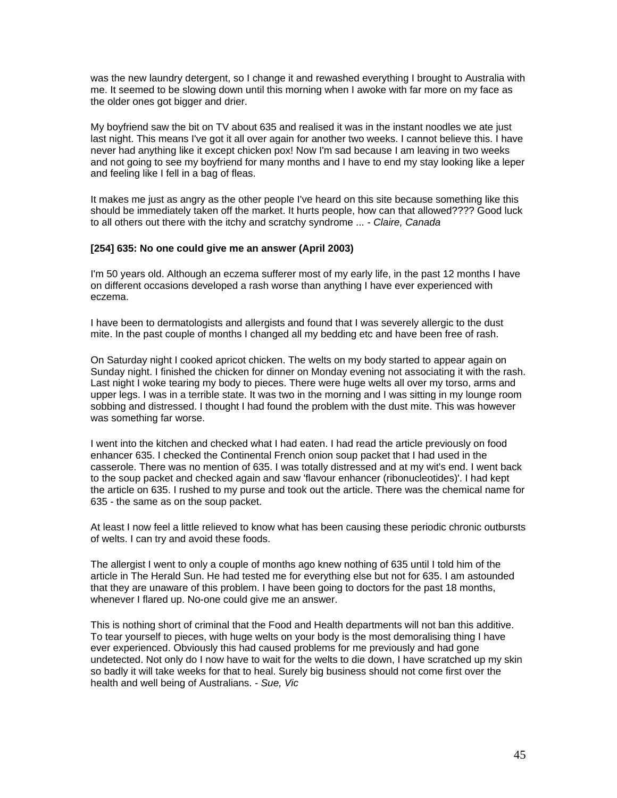was the new laundry detergent, so I change it and rewashed everything I brought to Australia with me. It seemed to be slowing down until this morning when I awoke with far more on my face as the older ones got bigger and drier.

My boyfriend saw the bit on TV about 635 and realised it was in the instant noodles we ate just last night. This means I've got it all over again for another two weeks. I cannot believe this. I have never had anything like it except chicken pox! Now I'm sad because I am leaving in two weeks and not going to see my boyfriend for many months and I have to end my stay looking like a leper and feeling like I fell in a bag of fleas.

It makes me just as angry as the other people I've heard on this site because something like this should be immediately taken off the market. It hurts people, how can that allowed???? Good luck to all others out there with the itchy and scratchy syndrome ... *- Claire, Canada* 

#### **[254] 635: No one could give me an answer (April 2003)**

I'm 50 years old. Although an eczema sufferer most of my early life, in the past 12 months I have on different occasions developed a rash worse than anything I have ever experienced with eczema.

I have been to dermatologists and allergists and found that I was severely allergic to the dust mite. In the past couple of months I changed all my bedding etc and have been free of rash.

On Saturday night I cooked apricot chicken. The welts on my body started to appear again on Sunday night. I finished the chicken for dinner on Monday evening not associating it with the rash. Last night I woke tearing my body to pieces. There were huge welts all over my torso, arms and upper legs. I was in a terrible state. It was two in the morning and I was sitting in my lounge room sobbing and distressed. I thought I had found the problem with the dust mite. This was however was something far worse.

I went into the kitchen and checked what I had eaten. I had read the article previously on food enhancer 635. I checked the Continental French onion soup packet that I had used in the casserole. There was no mention of 635. I was totally distressed and at my wit's end. I went back to the soup packet and checked again and saw 'flavour enhancer (ribonucleotides)'. I had kept the article on 635. I rushed to my purse and took out the article. There was the chemical name for 635 - the same as on the soup packet.

At least I now feel a little relieved to know what has been causing these periodic chronic outbursts of welts. I can try and avoid these foods.

The allergist I went to only a couple of months ago knew nothing of 635 until I told him of the article in The Herald Sun. He had tested me for everything else but not for 635. I am astounded that they are unaware of this problem. I have been going to doctors for the past 18 months, whenever I flared up. No-one could give me an answer.

This is nothing short of criminal that the Food and Health departments will not ban this additive. To tear yourself to pieces, with huge welts on your body is the most demoralising thing I have ever experienced. Obviously this had caused problems for me previously and had gone undetected. Not only do I now have to wait for the welts to die down, I have scratched up my skin so badly it will take weeks for that to heal. Surely big business should not come first over the health and well being of Australians. *- Sue, Vic*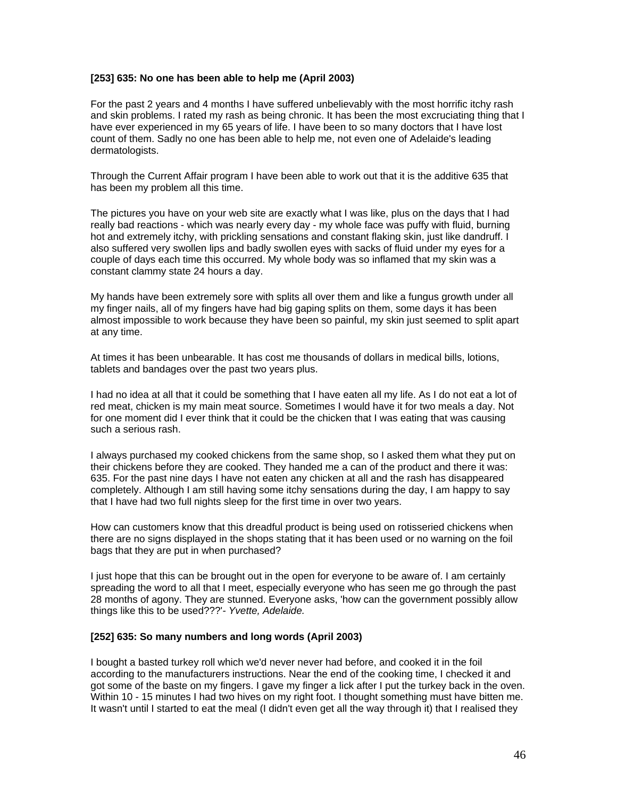#### **[253] 635: No one has been able to help me (April 2003)**

For the past 2 years and 4 months I have suffered unbelievably with the most horrific itchy rash and skin problems. I rated my rash as being chronic. It has been the most excruciating thing that I have ever experienced in my 65 years of life. I have been to so many doctors that I have lost count of them. Sadly no one has been able to help me, not even one of Adelaide's leading dermatologists.

Through the Current Affair program I have been able to work out that it is the additive 635 that has been my problem all this time.

The pictures you have on your web site are exactly what I was like, plus on the days that I had really bad reactions - which was nearly every day - my whole face was puffy with fluid, burning hot and extremely itchy, with prickling sensations and constant flaking skin, just like dandruff. I also suffered very swollen lips and badly swollen eyes with sacks of fluid under my eyes for a couple of days each time this occurred. My whole body was so inflamed that my skin was a constant clammy state 24 hours a day.

My hands have been extremely sore with splits all over them and like a fungus growth under all my finger nails, all of my fingers have had big gaping splits on them, some days it has been almost impossible to work because they have been so painful, my skin just seemed to split apart at any time.

At times it has been unbearable. It has cost me thousands of dollars in medical bills, lotions, tablets and bandages over the past two years plus.

I had no idea at all that it could be something that I have eaten all my life. As I do not eat a lot of red meat, chicken is my main meat source. Sometimes I would have it for two meals a day. Not for one moment did I ever think that it could be the chicken that I was eating that was causing such a serious rash.

I always purchased my cooked chickens from the same shop, so I asked them what they put on their chickens before they are cooked. They handed me a can of the product and there it was: 635. For the past nine days I have not eaten any chicken at all and the rash has disappeared completely. Although I am still having some itchy sensations during the day, I am happy to say that I have had two full nights sleep for the first time in over two years.

How can customers know that this dreadful product is being used on rotisseried chickens when there are no signs displayed in the shops stating that it has been used or no warning on the foil bags that they are put in when purchased?

I just hope that this can be brought out in the open for everyone to be aware of. I am certainly spreading the word to all that I meet, especially everyone who has seen me go through the past 28 months of agony. They are stunned. Everyone asks, 'how can the government possibly allow things like this to be used???'*- Yvette, Adelaide.* 

#### **[252] 635: So many numbers and long words (April 2003)**

I bought a basted turkey roll which we'd never never had before, and cooked it in the foil according to the manufacturers instructions. Near the end of the cooking time, I checked it and got some of the baste on my fingers. I gave my finger a lick after I put the turkey back in the oven. Within 10 - 15 minutes I had two hives on my right foot. I thought something must have bitten me. It wasn't until I started to eat the meal (I didn't even get all the way through it) that I realised they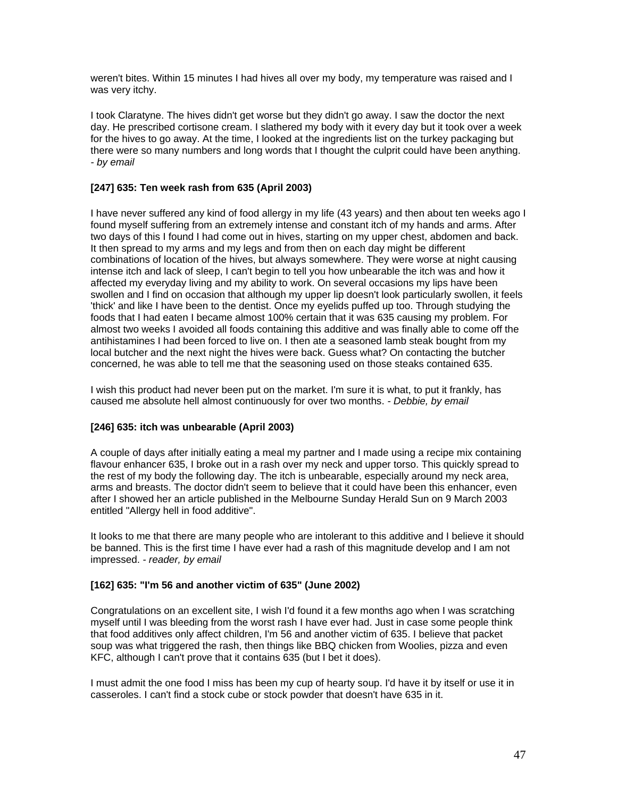weren't bites. Within 15 minutes I had hives all over my body, my temperature was raised and I was very itchy.

I took Claratyne. The hives didn't get worse but they didn't go away. I saw the doctor the next day. He prescribed cortisone cream. I slathered my body with it every day but it took over a week for the hives to go away. At the time, I looked at the ingredients list on the turkey packaging but there were so many numbers and long words that I thought the culprit could have been anything. *- by email* 

### **[247] 635: Ten week rash from 635 (April 2003)**

I have never suffered any kind of food allergy in my life (43 years) and then about ten weeks ago I found myself suffering from an extremely intense and constant itch of my hands and arms. After two days of this I found I had come out in hives, starting on my upper chest, abdomen and back. It then spread to my arms and my legs and from then on each day might be different combinations of location of the hives, but always somewhere. They were worse at night causing intense itch and lack of sleep, I can't begin to tell you how unbearable the itch was and how it affected my everyday living and my ability to work. On several occasions my lips have been swollen and I find on occasion that although my upper lip doesn't look particularly swollen, it feels 'thick' and like I have been to the dentist. Once my eyelids puffed up too. Through studying the foods that I had eaten I became almost 100% certain that it was 635 causing my problem. For almost two weeks I avoided all foods containing this additive and was finally able to come off the antihistamines I had been forced to live on. I then ate a seasoned lamb steak bought from my local butcher and the next night the hives were back. Guess what? On contacting the butcher concerned, he was able to tell me that the seasoning used on those steaks contained 635.

I wish this product had never been put on the market. I'm sure it is what, to put it frankly, has caused me absolute hell almost continuously for over two months. *- Debbie, by email* 

# **[246] 635: itch was unbearable (April 2003)**

A couple of days after initially eating a meal my partner and I made using a recipe mix containing flavour enhancer 635, I broke out in a rash over my neck and upper torso. This quickly spread to the rest of my body the following day. The itch is unbearable, especially around my neck area, arms and breasts. The doctor didn't seem to believe that it could have been this enhancer, even after I showed her an article published in the Melbourne Sunday Herald Sun on 9 March 2003 entitled "Allergy hell in food additive".

It looks to me that there are many people who are intolerant to this additive and I believe it should be banned. This is the first time I have ever had a rash of this magnitude develop and I am not impressed. *- reader, by email* 

### **[162] 635: "I'm 56 and another victim of 635" (June 2002)**

Congratulations on an excellent site, I wish I'd found it a few months ago when I was scratching myself until I was bleeding from the worst rash I have ever had. Just in case some people think that food additives only affect children, I'm 56 and another victim of 635. I believe that packet soup was what triggered the rash, then things like BBQ chicken from Woolies, pizza and even KFC, although I can't prove that it contains 635 (but I bet it does).

I must admit the one food I miss has been my cup of hearty soup. I'd have it by itself or use it in casseroles. I can't find a stock cube or stock powder that doesn't have 635 in it.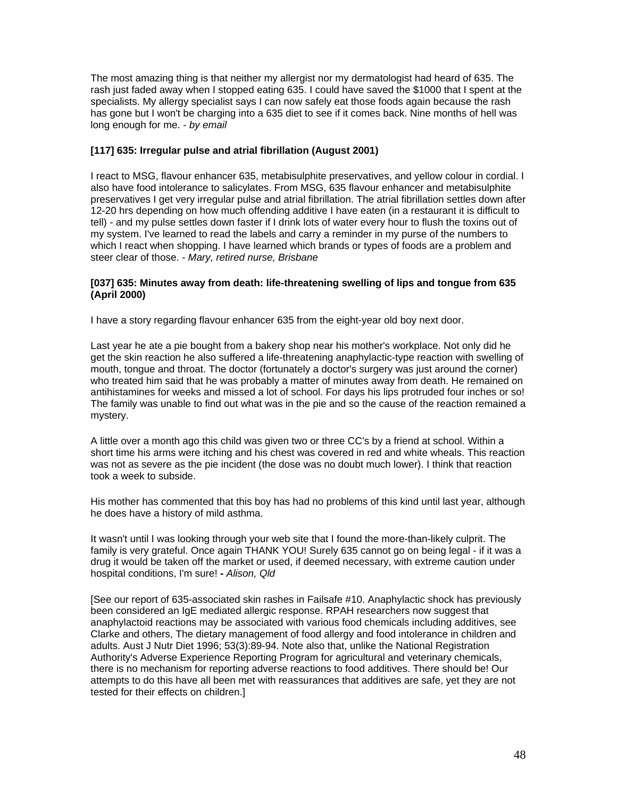The most amazing thing is that neither my allergist nor my dermatologist had heard of 635. The rash just faded away when I stopped eating 635. I could have saved the \$1000 that I spent at the specialists. My allergy specialist says I can now safely eat those foods again because the rash has gone but I won't be charging into a 635 diet to see if it comes back. Nine months of hell was long enough for me. *- by email* 

#### **[117] 635: Irregular pulse and atrial fibrillation (August 2001)**

I react to MSG, flavour enhancer 635, metabisulphite preservatives, and yellow colour in cordial. I also have food intolerance to salicylates. From MSG, 635 flavour enhancer and metabisulphite preservatives I get very irregular pulse and atrial fibrillation. The atrial fibrillation settles down after 12-20 hrs depending on how much offending additive I have eaten (in a restaurant it is difficult to tell) - and my pulse settles down faster if I drink lots of water every hour to flush the toxins out of my system. I've learned to read the labels and carry a reminder in my purse of the numbers to which I react when shopping. I have learned which brands or types of foods are a problem and steer clear of those. *- Mary, retired nurse, Brisbane* 

#### **[037] 635: Minutes away from death: life-threatening swelling of lips and tongue from 635 (April 2000)**

I have a story regarding flavour enhancer 635 from the eight-year old boy next door.

Last year he ate a pie bought from a bakery shop near his mother's workplace. Not only did he get the skin reaction he also suffered a life-threatening anaphylactic-type reaction with swelling of mouth, tongue and throat. The doctor (fortunately a doctor's surgery was just around the corner) who treated him said that he was probably a matter of minutes away from death. He remained on antihistamines for weeks and missed a lot of school. For days his lips protruded four inches or so! The family was unable to find out what was in the pie and so the cause of the reaction remained a mystery.

A little over a month ago this child was given two or three CC's by a friend at school. Within a short time his arms were itching and his chest was covered in red and white wheals. This reaction was not as severe as the pie incident (the dose was no doubt much lower). I think that reaction took a week to subside.

His mother has commented that this boy has had no problems of this kind until last year, although he does have a history of mild asthma.

It wasn't until I was looking through your web site that I found the more-than-likely culprit. The family is very grateful. Once again THANK YOU! Surely 635 cannot go on being legal - if it was a drug it would be taken off the market or used, if deemed necessary, with extreme caution under hospital conditions, I'm sure! **-** *Alison, Qld* 

[See our report of 635-associated skin rashes in Failsafe #10. Anaphylactic shock has previously been considered an IgE mediated allergic response. RPAH researchers now suggest that anaphylactoid reactions may be associated with various food chemicals including additives, see Clarke and others, The dietary management of food allergy and food intolerance in children and adults. Aust J Nutr Diet 1996; 53(3):89-94. Note also that, unlike the National Registration Authority's Adverse Experience Reporting Program for agricultural and veterinary chemicals, there is no mechanism for reporting adverse reactions to food additives. There should be! Our attempts to do this have all been met with reassurances that additives are safe, yet they are not tested for their effects on children.]